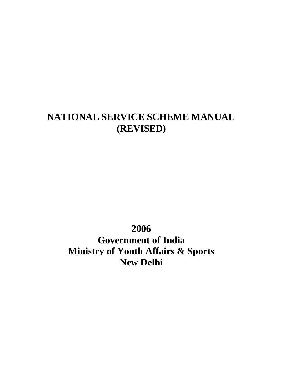# **NATIONAL SERVICE SCHEME MANUAL (REVISED)**

**2006**

**Government of India Ministry of Youth Affairs & Sports New Delhi**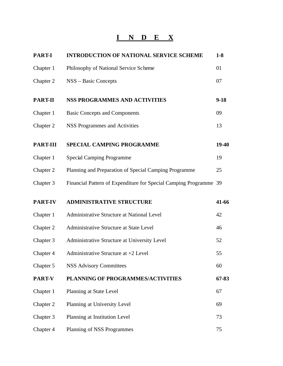# **I N D E X**

| <b>PART-I</b>   | <b>INTRODUCTION OF NATIONAL SERVICE SCHEME</b>                    | $1-8$  |
|-----------------|-------------------------------------------------------------------|--------|
| Chapter 1       | Philosophy of National Service Scheme                             | 01     |
| Chapter 2       | NSS – Basic Concepts                                              | 07     |
| <b>PART-II</b>  | <b>NSS PROGRAMMES AND ACTIVITIES</b>                              | $9-18$ |
| Chapter 1       | <b>Basic Concepts and Components</b>                              | 09     |
| Chapter 2       | <b>NSS Programmes and Activities</b>                              | 13     |
| <b>PART-III</b> | SPECIAL CAMPING PROGRAMME                                         | 19-40  |
| Chapter 1       | <b>Special Camping Programme</b>                                  | 19     |
| Chapter 2       | Planning and Preparation of Special Camping Programme             | 25     |
| Chapter 3       | Financial Pattern of Expenditure for Special Camping Programme 39 |        |
| <b>PART-IV</b>  | <b>ADMINISTRATIVE STRUCTURE</b>                                   | 41-66  |
| Chapter 1       | Administrative Structure at National Level                        | 42     |
| Chapter 2       | Administrative Structure at State Level                           | 46     |
| Chapter 3       | Administrative Structure at University Level                      | 52     |
| Chapter 4       | Administrative Structure at +2 Level                              | 55     |
| Chapter 5       | <b>NSS Advisory Committees</b>                                    | 60     |
| PART-V          | PLANNING OF PROGRAMMES/ACTIVITIES                                 | 67-83  |
| Chapter 1       | Planning at State Level                                           | 67     |
| Chapter 2       | Planning at University Level                                      | 69     |
| Chapter 3       | Planning at Institution Level                                     | 73     |
| Chapter 4       | Planning of NSS Programmes                                        | 75     |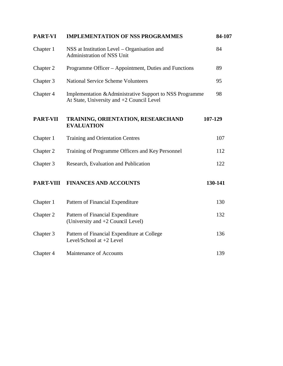| <b>IMPLEMENTATION OF NSS PROGRAMMES</b>                                                               |         |
|-------------------------------------------------------------------------------------------------------|---------|
| NSS at Institution Level – Organisation and<br>Chapter 1<br>Administration of NSS Unit                |         |
| Programme Officer – Appointment, Duties and Functions                                                 | 89      |
| <b>National Service Scheme Volunteers</b>                                                             | 95      |
| Implementation & Administrative Support to NSS Programme<br>At State, University and +2 Council Level | 98      |
| TRAINING, ORIENTATION, RESEARCHAND<br><b>EVALUATION</b>                                               | 107-129 |
| <b>Training and Orientation Centres</b>                                                               | 107     |
| Training of Programme Officers and Key Personnel                                                      | 112     |
| Research, Evaluation and Publication                                                                  | 122     |
| <b>FINANCES AND ACCOUNTS</b>                                                                          | 130-141 |
| Pattern of Financial Expenditure                                                                      | 130     |
| Pattern of Financial Expenditure<br>(University and +2 Council Level)                                 | 132     |
| Pattern of Financial Expenditure at College<br>Level/School at +2 Level                               | 136     |
| Maintenance of Accounts                                                                               | 139     |
|                                                                                                       |         |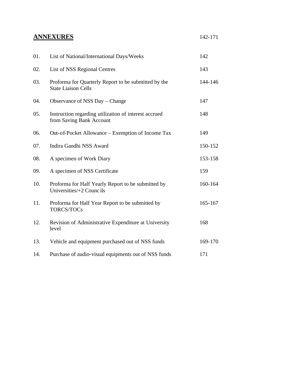## **ANNEXURES**

|--|--|

| 01. | List of National/International Days/Weeks                                          | 142     |
|-----|------------------------------------------------------------------------------------|---------|
| 02. | List of NSS Regional Centres                                                       | 143     |
| 03. | Proforma for Quarterly Report to be submitted by the<br><b>State Liaison Cells</b> | 144-146 |
| 04. | Observance of NSS Day – Change                                                     | 147     |
| 05. | Instruction regarding utilization of interest accrued<br>from Saving Bank Account  | 148     |
| 06. | Out-of-Pocket Allowance – Exemption of Income Tax                                  | 149     |
| 07. | Indira Gandhi NSS Award                                                            | 150-152 |
| 08. | A specimen of Work Diary                                                           | 153-158 |
| 09. | A specimen of NSS Certificate                                                      | 159     |
| 10. | Proforma for Half Yearly Report to be submitted by<br>Universities/+2 Councils     | 160-164 |
| 11. | Proforma for Half Year Report to be submitted by<br>TORCS/TOCs                     | 165-167 |
| 12. | Revision of Administrative Expenditure at University<br>level                      | 168     |
| 13. | Vehicle and equipment purchased out of NSS funds                                   | 169-170 |
| 14. | Purchase of audio-visual equipments out of NSS funds                               | 171     |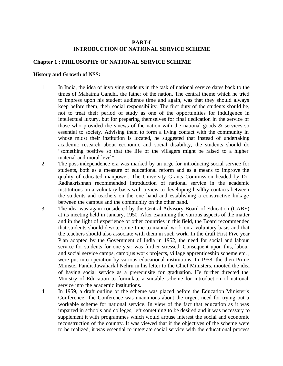## **PART-I INTRODUCTION OF NATIONAL SERVICE SCHEME**

## **Chapter 1 : PHILOSOPHY OF NATIONAL SERVICE SCHEME**

#### **History and Growth of NSS:**

- 1. In India, the idea of involving students in the task of national service dates back to the times of Mahatma Gandhi, the father of the nation. The central theme which he tried to impress upon his student audience time and again, was that they should always keep before them, their social responsibility. The first duty of the students should be, not to treat their period of study as one of the opportunities for indulgence in intellectual luxury, but for preparing themselves for final dedication in the service of those who provided the sinews of the nation with the national goods  $\&$  services so essential to society. Advising them to form a living contact with the community in whose midst their institution is located, he suggested that instead of undertaking academic research about economic and social disability, the students should do "something positive so that the life of the villagers might be raised to a higher material and moral level".
- 2. The post-independence era was marked by an urge for introducing social service for students, both as a measure of educational reform and as a means to improve the quality of educated manpower. The University Grants Commission headed by Dr. Radhakrishnan recommended introduction of national service in the academic institutions on a voluntary basis with a view to developing healthy contacts between the students and teachers on the one hand and establishing a constructive linkage between the campus and the community on the other hand.
- 3. The idea was again considered by the Central Advisory Board of Education (CABE) at its meeting held in January, 1950. After examining the various aspects of the matter and in the light of experience of other countries in this field, the Board recommended that students should devote some time to manual work on a voluntary basis and that the teachers should also associate with them in such work. In the draft First Five year Plan adopted by the Government of India in 1952, the need for social and labour service for students for one year was further stressed. Consequent upon this, labour and social service camps, camp[us work projects, village apprenticeship scheme etc. , were put into operation by various educational institutions. In 1958, the then Prime Minister Pandit Jawaharlal Nehru in his letter to the Chief Ministers, mooted the idea of having social service as a prerequisite for graduation. He further directed the Ministry of Education to formulate a suitable scheme for introduction of national service into the academic institutions.
- 4. In 1959, a draft outline of the scheme was placed before the Education Minister's Conference. The Conference was unanimous about the urgent need for trying out a workable scheme for national service. In view of the fact that education as it was imparted in schools and colleges, left something to be desired and it was necessary to supplement it with programmes which would arouse interest the social and economic reconstruction of the country. It was viewed that if the objectives of the scheme were to be realized, it was essential to integrate social service with the educational process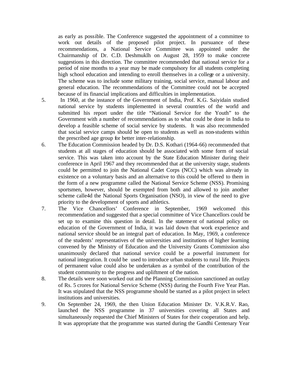as early as possible. The Conference suggested the appointment of a committee to work out details of the proposed pilot project. In pursuance of these recommendations, a National Service Committee was appointed under the Chairmanship of Dr. C.D. Deshmuklh on August 28, 1959 to make concrete suggestions in this direction. The committee recommended that national service for a period of nine months to a year may be made compulsory for all students completing high school education and intending to enroll themselves in a college or a university. The scheme was to include some military training, social service, manual labour and general education. The recommendations of the Committee could not be accepted because of its financial implications and difficulties in implementation.

- 5. In 1960, at the instance of the Government of India, Prof. K.G. Saiyidain studied national service by students implemented in several countries of the world and submitted his report under the title "National Service for the Youth" to the Government with a number of recommendations as to what could be done in India to develop a feasible scheme of social service by students. It was also recommended that social service camps should be open to students as well as non-students within the prescribed age group for better inter-relationship.
- 6. The Education Commission headed by Dr. D.S. Kothari (1964-66) recommended that students at all stages of education should be associated with some form of social service. This was taken into account by the State Education Minister during their conference in April 1967 and they recommended that at the university stage, students could be permitted to join the National Cadet Corps (NCC) which was already in existence on a voluntary basis and an alternative to this could be offered to them in the form of a new programme called the National Service Scheme (NSS). Promising sportsmen, however, should be exempted from both and allowed to join another scheme calle4d the National Sports Organisation (NSO), in view of the need to give priority to the development of sports and athletics.
- 7. The Vice Chancellors' Conference in September, 1969 welcomed this recommendation and suggested that a special committee of Vice Chancellors could be set up to examine this question in detail. In the statement of national policy on education of the Government of India, it was laid down that work experience and national service should be an integral part of education. In May, 1969, a conference of the students' representatives of the universities and institutions of higher learning convened by the Ministry of Education and the University Grants Commission also unanimously declared that national service could be a powerful instrument for national integration. It could be used to introduce urban students to rural life. Projects of permanent value could also be undertaken as a symbol of the contribution of the student community to the progress and upliftment of the nation.
- 8. The details were soon worked out and the Planning Commission sanctioned an outlay of Rs. 5 crores for National Service Scheme (NSS) during the Fourth Five Year Plan. It was stipulated that the NSS programme should be started as a pilot project in select institutions and universities.
- 9. On September 24, 1969, the then Union Education Minister Dr. V.K.R.V. Rao, launched the NSS programme in 37 universities covering all States and simultaneously requested the Chief Ministers of States for their cooperation and help. It was appropriate that the programme was started during the Gandhi Centenary Year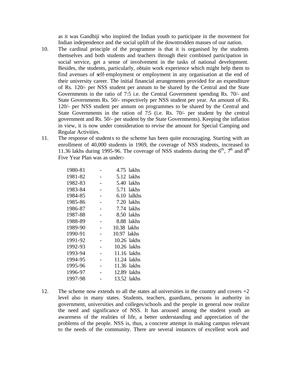as it was Gandhiji who inspired the Indian youth to participate in the movement for Indian independence and the social uplift of the downtrodden masses of our nation.

- 10. The cardinal principle of the programme is that it is organised by the students themselves and both students and teachers through their combined participation in social service, get a sense of involvement in the tasks of national development. Besides, the students, particularly, obtain work experience which might help them to find avenues of self-employment or employment in any organisation at the end of their university career. The initial financial arrangements provided for an expenditure of Rs. 120/- per NSS student per annum to be shared by the Central and the State Governments in the ratio of 7:5 i.e. the Central Government spending Rs. 70/- and State Governments Rs. 50/- respectively per NSS student per year. An amount of Rs. 120/- per NSS student per annum on programmes to be shared by the Central and State Governments in the ration of  $7.5$  (i.e. Rs.  $70/-$  per student by the central government and Rs. 50/- per student by the State Governments). Keeping the inflation in view, it is now under consideration to revise the amount for Special Camping and Regular Activities.
- 11. The response of students to the scheme has been quite encouraging. Starting with an enrollment of 40,000 students in 1969, the coverage of NSS students, increased to 11.36 lakhs during 1995-96. The coverage of NSS students during the  $6<sup>th</sup>$ ,  $7<sup>th</sup>$  and  $8<sup>th</sup>$ Five Year Plan was as under:-

| 1980-81 | 4.75 lakhs    |
|---------|---------------|
| 1981-82 | 5.12 lakhs    |
| 1982-83 | 5.40 lakhs    |
| 1983-84 | 5.71 lakhs    |
| 1984-85 | 6.10 lalkhs   |
| 1985-86 | 7.20 lakhs    |
| 1986-87 | 7.74 lakhs    |
| 1987-88 | 8.50 lakhs    |
| 1988-89 | 8.88 lakhs    |
| 1989-90 | 10.38 lakhs   |
| 1990-91 | 10.97 lakhs   |
| 1991-92 | 10.26 lakhs   |
| 1992-93 | $10.26$ lakhs |
| 1993-94 | 11.16 lakhs   |
| 1994-95 | 11.24 lakhs   |
| 1995-96 | 11.36 lakhs   |
| 1996-97 | 12.89 lakhs   |
| 1997-98 | 13.52 lakhs   |

12. The scheme now extends to all the states ad universities in the country and covers  $+2$ level also in many states. Students, teachers, guardians, persons in authority in government, universities and colleges/schools and the people in general now realize the need and significance of NSS. It has aroused among the student youth an awareness of the realities of life, a better understanding and appreciation of the problems of the people. NSS is, thus, a concrete attempt in making campus relevant to the needs of the community. There are several instances of excellent work and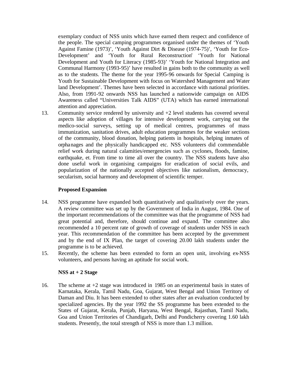exemplary conduct of NSS units which have earned them respect and confidence of the people. The special camping programmes organised under the themes of 'Youth Against Famine (1973)', 'Youth Against Dirt & Disease (1974-75)', 'Youth for Eco-Development' and 'Youth for Rural Reconstruction' 'Youth for National Development and Youth for Literacy (1985-93)' 'Youth for National Integration and Communal Harmony (1993-95)' have resulted in gains both to the community as well as to the students. The theme for the year 1995-96 onwards for Special Camping is Youth for Sustainable Development with focus on Watershed Management and Water land Development'. Themes have been selected in accordance with national priorities. Also, from 1991-92 onwards NSS has launched a nationwide campaign on AIDS Awareness called "Universities Talk AIDS" (UTA) which has earned international attention and appreciation.

13. Community service rendered by university and +2 level students has covered several aspects like adoption of villages for intensive development work, carrying out the medico-social surveys, setting up of medical centres, programmes of mass immunization, sanitation drives, adult education programmes for the weaker sections of the community, blood donation, helping patients in hospitals, helping inmates of orphanages and the physically handicapped etc. NSS volunteers did commendable relief work during natural calamities/emergencies such as cyclones, floods, famine, earthquake, et. From time to time all over the country. The NSS students have also done useful work in organising campaigns for eradication of social evils, and popularization of the nationally accepted objectives like nationalism, democracy, secularism, social harmony and development of scientific temper.

## **Proposed Expansion**

- 14. NSS programme have expanded both quantitatively and qualitatively over the years. A review committee was set up by the Government of India in August, 1984. One of the important recommendations of the committee was that the programme of NSS had great potential and, therefore, should continue and expand. The committee also recommended a 10 percent rate of growth of coverage of students under NSS in each year. This recommendation of the committee has been accepted by the government and by the end of IX Plan, the target of covering 20.00 lakh students under the programme is to be achieved.
- 15. Recently, the scheme has been extended to form an open unit, involving ex-NSS volunteers, and persons having an aptitude for social work.

## **NSS at + 2 Stage**

16. The scheme at +2 stage was introduced in 1985 on an experimental basis in states of Karnataka, Kerala, Tamil Nadu, Goa, Gujarat, West Bengal and Union Territory of Daman and Diu. It has been extended to other states after an evaluation conducted by specialized agencies. By the year 1992 the SS programme has been extended to the States of Gujarat, Kerala, Punjab, Haryana, West Bengal, Rajasthan, Tamil Nadu, Goa and Union Territories of Chandigarh, Delhi and Pondicherry covering 1.60 lakh students. Presently, the total strength of NSS is more than 1.3 million.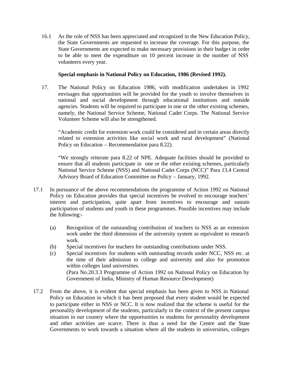16.1 As the role of NSS has been appreciated and recognized in the New Education Policy, the State Governments are requested to increase the coverage. For this purpose, the State Governments are expected to make necessary provisions in their budge t in order to be able to meet the expenditure on 10 percent increase in the number of NSS volunteers every year.

## **Special emphasis in National Policy on Education, 1986 (Revised 1992).**

17. The National Policy on Education 1986, with modification undertaken in 1992 envisages that opportunities will be provided for the youth to involve themselves in national and social development through educational institutions and outside agencies. Students will be required to participate in one or the other existing schemes, namely, the National Service Scheme, National Cadet Corps. The National Service Volunteer Scheme will also be strengthened.

"Academic credit for extension work could be considered and in certain areas directly related to extension activities like social work and rural development" (National Policy on Education – Recommendation para 8.22).

"We strongly reiterate para 8.22 of NPE. Adequate facilities should be provided to ensure that all students participate in one or the other existing schemes, particularly National Service Scheme (NSS) and National Cadet Corps (NCC)" Para 13.4 Central Advisory Board of Education Committee on Policy – January, 1992.

- 17.1 In pursuance of the above recommendations the programme of Action 1992 on National Policy on Education provides that special incentives be evolved to encourage teachers' interest and participation, quite apart from incentives to encourage and sustain participation of students and youth in these programmes. Possible incentives may include the following:-
	- (a) Recognition of the outstanding contribution of teachers to NSS as an extension work under the third dimension of the university system as equivalent to research work.
	- (b) Special incentives for teachers for outstanding contributions under NSS.
	- (c) Special incentives for students with outstanding records under NCC, NSS etc. at the time of their admission to college and university and also for promotion within colleges land universities. (Para No.20.3.3 Programme of Action 1992 on National Policy on Education by Government of India, Ministry of Human Resource Development)
- 17.2 From the above, it is evident that special emphasis has been given to NSS in National Policy on Education in which it has been proposed that every student would be expected to participate either in NSS or NCC. It is now realized that the scheme is useful for the personality development of the students, particularly in the context of the present campus situation in our country where the opportunities to students for personality development and other activities are scarce. There is thus a need for the Centre and the State Governments to work towards a situation where all the students in universities, colleges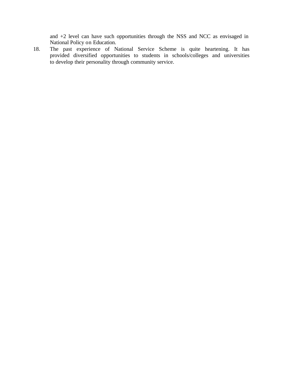and +2 level can have such opportunities through the NSS and NCC as envisaged in National Policy on Education.

18. The past experience of National Service Scheme is quite heartening. It has provided diversified opportunities to students in schools/colleges and universities to develop their personality through community service.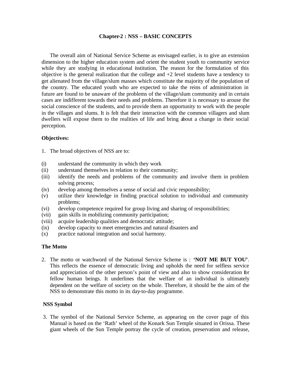#### **Chapter-2 : NSS – BASIC CONCEPTS**

The overall aim of National Service Scheme as envisaged earlier, is to give an extension dimension to the higher education system and orient the student youth to community service while they are studying in educational institution. The reason for the formulation of this objective is the general realization that the college and +2 level students have a tendency to get alienated from the village/slum masses which constitute the majority of the population of the country. The educated youth who are expected to take the reins of administration in future are found to be unaware of the problems of the village/slum community and in certain cases are indifferent towards their needs and problems. Therefore it is necessary to arouse the social conscience of the students, and to provide them an opportunity to work with the people in the villages and slums. It is felt that their interaction with the common villagers and slum dwellers will expose them to the realities of life and bring about a change in their social perception.

#### **Objectives:**

- 1. The broad objectives of NSS are to:
- (i) understand the community in which they work
- (ii) understand themselves in relation to their community;
- (iii) identify the needs and problems of the community and involve them in problem solving process;
- (iv) develop among themselves a sense of social and civic responsibility;
- (v) utilize their knowledge in finding practical solution to individual and community problems;
- (vi) develop competence required for group living and sharing of responsibilities;
- (vii) gain skills in mobilizing community participation;
- (viii) acquire leadership qualities and democratic attitude;
- (ix) develop capacity to meet emergencies and natural disasters and
- (x) practice national integration and social harmony.

## **The Motto**

 2. The motto or watchword of the National Service Scheme is : **'NOT ME BUT YOU'**. This reflects the essence of democratic living and upholds the need for selfless service and appreciation of the other person's point of view and also to show consideration for fellow human beings. It underlines that the welfare of an individual is ultimately dependent on the welfare of society on the whole. Therefore, it should be the aim of the NSS to demonstrate this motto in its day-to-day programme.

## **NSS Symbol**

 3. The symbol of the National Service Scheme, as appearing on the cover page of this Manual is based on the 'Rath' wheel of the Konark Sun Temple situated in Orissa. These giant wheels of the Sun Temple portray the cycle of creation, preservation and release,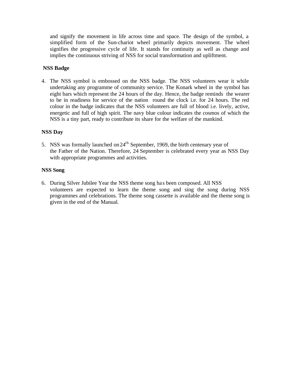and signify the movement in life across time and space. The design of the symbol, a simplified form of the Sun-chariot wheel primarily depicts movement. The wheel signifies the progressive cycle of life. It stands for continuity as well as change and implies the continuous striving of NSS for social transformation and upliftment.

## **NSS Badge**

4. The NSS symbol is embossed on the NSS badge. The NSS volunteers wear it while undertaking any programme of community service. The Konark wheel in the symbol has eight bars which represent the 24 hours of the day. Hence, the badge reminds the wearer to be in readiness for service of the nation round the clock i.e. for 24 hours. The red colour in the badge indicates that the NSS volunteers are full of blood i.e. lively, active, energetic and full of high spirit. The navy blue colour indicates the cosmos of which the NSS is a tiny part, ready to contribute its share for the welfare of the mankind.

## **NSS Day**

5. NSS was formally launched on  $24<sup>th</sup>$  September, 1969, the birth centenary year of the Father of the Nation. Therefore, 24 September is celebrated every year as NSS Day with appropriate programmes and activities.

## **NSS Song**

 6. During Silver Jubilee Year the NSS theme song ha s been composed. All NSS volunteers are expected to learn the theme song and sing the song during NSS programmes and celebrations. The theme song cassette is available and the theme song is given in the end of the Manual.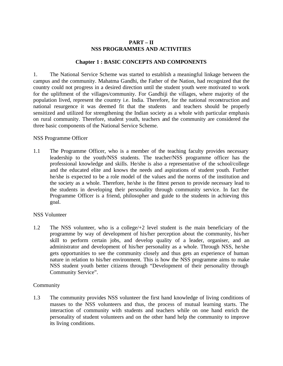## **PART – II NSS PROGRAMMES AND ACTIVITIES**

## **Chapter 1 : BASIC CONCEPTS AND COMPONENTS**

1. The National Service Scheme was started to establish a meaningful linkage between the campus and the community. Mahatma Gandhi, the Father of the Nation, had recognized that the country could not progress in a desired direction until the student youth were motivated to work for the upliftment of the villages/community. For Gandhiji the villages, where majority of the population lived, represent the country i.e. India. Therefore, for the national reconstruction and national resurgence it was deemed fit that the students and teachers should be properly sensitized and utilized for strengthening the Indian society as a whole with particular emphasis on rural community. Therefore, student youth, teachers and the community are considered the three basic components of the National Service Scheme.

## NSS Programme Officer

1.1 The Programme Officer, who is a member of the teaching faculty provides necessary leadership to the youth/NSS students. The teacher/NSS programme officer has the professional knowledge and skills. He/she is also a representative of the school/college and the educated elite and knows the needs and aspirations of student youth. Further he/she is expected to be a role model of the values and the norms of the institution and the society as a whole. Therefore, he/she is the fittest person to provide necessary lead to the students in developing their personality through community service. In fact the Programme Officer is a friend, philosopher and guide to the students in achieving this goal.

## NSS Volunteer

1.2 The NSS volunteer, who is a college/+2 level student is the main beneficiary of the programme by way of development of his/her perception about the community, his/her skill to perform certain jobs, and develop quality of a leader, organiser, and an administrator and development of his/her personality as a whole. Through NSS, he/she gets opportunities to see the community closely and thus gets an experience of human nature in relation to his/her environment. This is how the NSS programme aims to make NSS student youth better citizens through "Development of their personality through Community Service".

## Community

1.3 The community provides NSS volunteer the first hand knowledge of living conditions of masses to the NSS volunteers and thus, the process of mutual learning starts. The interaction of community with students and teachers while on one hand enrich the personality of student volunteers and on the other hand help the community to improve its living conditions.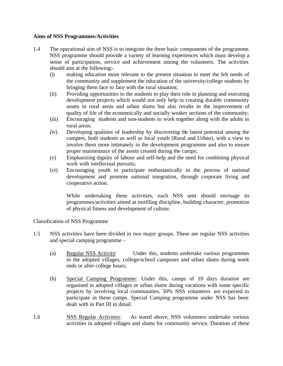## **Aims of NSS Programmes/Activities**

- 1.4 The operational aim of NSS is to integrate the three basic components of the programme. NSS programme should provide a variety of learning experiences which must develop a sense of participation, service and achievement among the volunteers. The activities should aim at the following:-
	- (i) making education more relevant to the present situation to meet the felt needs of the community and supplement the education of the university/college students by bringing them face to face with the rural situation;
	- (ii) Providing opportunities to the students to play their role in planning and executing development projects which would not only help in creating durable community assets in rural areas and urban slums but also results in the improvement of quality of life of the economically and socially weaker sections of the community;
	- (iii) Encouraging students and non-students to work together along with the adults in rural areas;
	- (iv) Developing qualities of leadership by discovering the latent potential among the campers, both students as well as local youth (Rural and Urban), with a view to involve them more intimately in the development programme and also to ensure proper maintenance of the assets created during the camps;
	- (v) Emphasizing dignity of labour and self-help and the need for combining physical work with intellectual pursuits;
	- (vi) Encouraging youth to participate enthusiastically in the process of national development and promote national integration, through corporate living and cooperative action.

While undertaking these activities, each NSS unit should envisage its programmes/activities aimed at instilling discipline, building character, promotion of physical fitness and development of culture.

Classification of NSS Programme

- 1.5 NSS activities have been divided in two major groups. These are regular NSS activities and special camping programme –
	- (a) Regular NSS Activity: Under this, students undertake various programmes in the adopted villages, college/school campuses and urban slums during week ends or after college hours;
	- (b) Special Camping Programme: Under this, camps of 10 days duration are organised in adopted villages or urban slums during vacations with some specific projects by involving local communities. 50% NSS volunteers are expected to participate in these camps. Special Camping programme under NSS has been dealt with in Part III in detail.
- 1.6 NSS Regular Activities: As stated above, NSS volunteers undertake various activities in adopted villages and slums for community service. Duration of these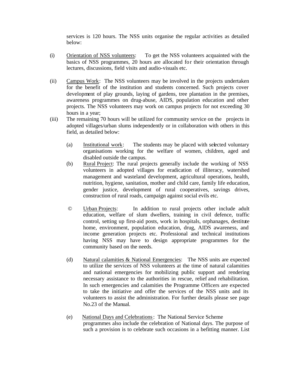services is 120 hours. The NSS units organise the regular activities as detailed below:

- (i) Orientation of NSS volunteers: To get the NSS volunteers acquainted with the basics of NSS programmes, 20 hours are allocated for their orientation through lectures, discussions, field visits and audio-visuals etc.
- (ii) Campus Work: The NSS volunteers may be involved in the projects undertaken for the benefit of the institution and students concerned. Such projects cover development of play grounds, laying of gardens, tree plantation in the premises, awareness programmes on drug-abuse, AIDS, population education and other projects. The NSS volunteers may work on campus projects for not exceeding 30 hours in a year;
- (iii) The remaining 70 hours will be utilized for community service on the projects in adopted villages/urban slums independently or in collaboration with others in this field, as detailed below:
	- (a) Institutional work: The students may be placed with selected voluntary organisations working for the welfare of women, children, aged and disabled outside the campus.
	- (b) Rural Project: The rural projects generally include the working of NSS volunteers in adopted villages for eradication of illiteracy, watershed management and wasteland development, agricultural operations, health, nutrition, hygiene, sanitation, mother and child care, family life education, gender justice, development of rural cooperatives, savings drives, construction of rural roads, campaign against social evils etc.
	- © Urban Projects: In addition to rural projects other include adult education, welfare of slum dwellers, training in civil defence, traffic control, setting up first-aid posts, work in hospitals, orphanages, destitute home, environment, population education, drug, AIDS awareness, and income generation projects etc. Professional and technical institutions having NSS may have to design appropriate programmes for the community based on the needs.
	- (d) Natural calamities & National Emergencies: The NSS units are expected to utilize the services of NSS volunteers at the time of natural calamities and national emergencies for mobilizing public support and rendering necessary assistance to the authorities in rescue, relief and rehabilitation. In such emergencies and calamities the Programme Officers are expected to take the initiative and offer the services of the NSS units and its volunteers to assist the administration. For further details please see page No.23 of the Manual.
	- (e) National Days and Celebrations: The National Service Scheme programmes also include the celebration of National days. The purpose of such a provision is to celebrate such occasions in a befitting manner. List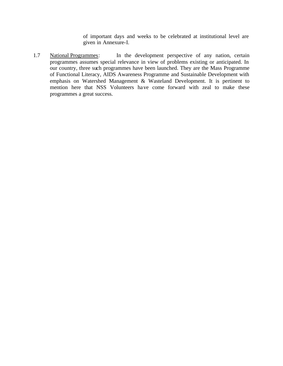of important days and weeks to be celebrated at institutional level are given in Annexure-I.

1.7 National Programmes: In the development perspective of any nation, certain programmes assumes special relevance in view of problems existing or anticipated. In our country, three such programmes have been launched. They are the Mass Programme of Functional Literacy, AIDS Awareness Programme and Sustainable Development with emphasis on Watershed Management & Wasteland Development. It is pertinent to mention here that NSS Volunteers have come forward with zeal to make these programmes a great success.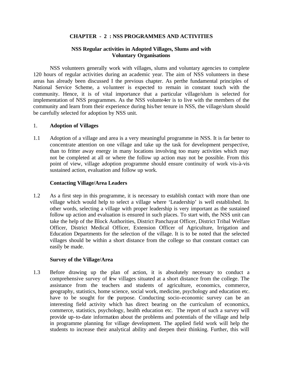## **CHAPTER - 2 : NSS PROGRAMMES AND ACTIVITIES**

## **NSS Regular activities in Adopted Villages, Slums and with Voluntary Organisations**

NSS volunteers generally work with villages, slums and voluntary agencies to complete 120 hours of regular activities during an academic year. The aim of NSS volunteers in these areas has already been discussed I the previous chapter. As perthe fundamental principles of National Service Scheme, a volunteer is expected to remain in constant touch with the community. Hence, it is of vital importance that a particular village/slum is selected for implementation of NSS programmes. As the NSS volunte4er is to live with the members of the community and learn from their experience during his/her tenure in NSS, the village/slum should be carefully selected for adoption by NSS unit.

## 1. **Adoption of Villages**

1.1 Adoption of a village and area is a very meaningful programme in NSS. It is far better to concentrate attention on one village and take up the task for development perspective, than to fritter away energy in many locations involving too many activities which may not be completed at all or where the follow up action may not be possible. From this point of view, village adoption programme should ensure continuity of work vis-à-vis sustained action, evaluation and follow up work.

#### **Contacting Village/Area Leaders**

1.2 As a first step in this programme, it is necessary to establish contact with more than one village which would help to select a village where 'Leadership' is well established. In other words, selecting a village with proper leadership is very important as the sustained follow up action and evaluation is ensured in such places. To start with, the NSS unit can take the help of the Block Authorities, District Panchayat Officer, District Tribal Welfare Officer, District Medical Officer, Extension Officer of Agriculture, Irrigation and Education Departments for the selection of the village. It is to be noted that the selected villages should be within a short distance from the college so that constant contact can easily be made.

#### **Survey of the Village/Area**

1.3 Before drawing up the plan of action, it is absolutely necessary to conduct a comprehensive survey of few villages situated at a short distance from the college. The assistance from the teachers and students of agriculture, economics, commerce, geography, statistics, home science, social work, medicine, psychology and education etc. have to be sought for the purpose. Conducting socio-economic survey can be an interesting field activity which has direct bearing on the curriculum of economics, commerce, statistics, psychology, health education etc. The report of such a survey will provide up-to-date information about the problems and potentials of the village and help in programme planning for village development. The applied field work will help the students to increase their analytical ability and deepen their thinking. Further, this will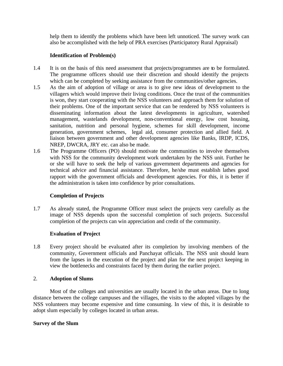help them to identify the problems which have been left unnoticed. The survey work can also be accomplished with the help of PRA exercises (Participatory Rural Appraisal)

## **Identification of Problem(s)**

- 1.4 It is on the basis of this need assessment that projects/programmes are to be formulated. The programme officers should use their discretion and should identify the projects which can be completed by seeking assistance from the communities/other agencies.
- 1.5 As the aim of adoption of village or area is to give new ideas of development to the villagers which would improve their living conditions. Once the trust of the communities is won, they start cooperating with the NSS volunteers and approach them for solution of their problems. One of the important service that can be rendered by NSS volunteers is disseminating information about the latest developments in agriculture, watershed management, wastelands development, non-conventional energy, low cost housing, sanitation, nutrition and personal hygiene, schemes for skill development, income generation, government schemes, legal aid, consumer protection and allied field. A liaison between government and other development agencies like Banks, IRDP, ICDS, NREP, DWCRA, JRY etc. can also be made.
- 1.6 The Programme Officers (PO) should motivate the communities to involve themselves with NSS for the community development work undertaken by the NSS unit. Further he or she will have to seek the help of various government departments and agencies for technical advice and financial assistance. Therefore, he/she must establish lathes good rapport with the government officials and development agencies. For this, it is better if the administration is taken into confidence by prior consultations.

## **Completion of Projects**

1.7 As already stated, the Programme Officer must select the projects very carefully as the image of NSS depends upon the successful completion of such projects. Successful completion of the projects can win appreciation and credit of the community.

## **Evaluation of Project**

1.8 Every project should be evaluated after its completion by involving members of the community, Government officials and Panchayat officials. The NSS unit should learn from the lapses in the execution of the project and plan for the next project keeping in view the bottlenecks and constraints faced by them during the earlier project.

## 2. **Adoption of Slums**

Most of the colleges and universities are usually located in the urban areas. Due to long distance between the college campuses and the villages, the visits to the adopted villages by the NSS volunteers may become expensive and time consuming. In view of this, it is desirable to adopt slum especially by colleges located in urban areas.

## **Survey of the Slum**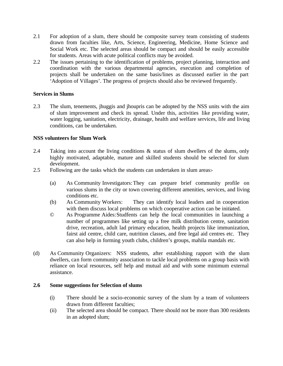- 2.1 For adoption of a slum, there should be composite survey team consisting of students drawn from faculties like, Arts, Science, Engineering, Medicine, Home Science and Social Work etc. The selected areas should be compact and should be easily accessible for students. Areas with acute political conflicts may be avoided.
- 2.2 The issues pertaining to the identification of problems, project planning, interaction and coordination with the various departmental agencies, execution and completion of projects shall be undertaken on the same basis/lines as discussed earlier in the part 'Adoption of Villages'. The progress of projects should also be reviewed frequently.

## **Services in Slums**

2.3 The slum, tenements, jhuggis and jhoupris can be adopted by the NSS units with the aim of slum improvement and check its spread. Under this, activities like providing water, water logging, sanitation, electricity, drainage, health and welfare services, life and living conditions, can be undertaken.

## **NSS volunteers for Slum Work**

- 2.4 Taking into account the living conditions & status of slum dwellers of the slums, only highly motivated, adaptable, mature and skilled students should be selected for slum development.
- 2.5 Following are the tasks which the students can undertaken in slum areas:-
	- (a) As Community Investigators:They can prepare brief community profile on various slums in the city or town covering different amenities, services, and living conditions etc.
	- (b) As Community Workers: They can identify local leaders and in cooperation with them discuss local problems on which cooperative action can be initiated.
	- © As Programme Aides:Studfents can help the local communities in launching a number of programmes like setting up a free milk distribution centre, sanitation drive, recreation, adult lad primary education, health projects like immunization, fairst aid centre, child care, nutrition classes, and free legal aid centres etc. They can also help in forming youth clubs, children's groups, mahila mandals etc.
- (d) As Community Organizers: NSS students, after establishing rapport with the slum dwellers, can form community association to tackle local problems on a group basis with reliance on local resources, self help and mutual aid and with some minimum external assistance.

## **2.6 Some suggestions for Selection of slums**

- (i) There should be a socio-economic survey of the slum by a team of volunteers drawn from different faculties;
- (ii) The selected area should be compact. There should not be more than 300 residents in an adopted slum;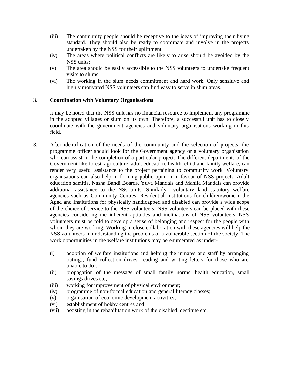- (iii) The community people should be receptive to the ideas of improving their living standard. They should also be ready to coordinate and involve in the projects undertaken by the NSS for their upliftment;
- (iv) The areas where political conflicts are likely to arise should be avoided by the NSS units;
- (v) The area should be easily accessible to the NSS volunteers to undertake frequent visits to slums;
- (vi) The working in the slum needs commitment and hard work. Only sensitive and highly motivated NSS volunteers can find easy to serve in slum areas.

## 3. **Coordination with Voluntary Organisations**

It may be noted that the NSS unit has no financial resource to implement any programme in the adopted villages or slum on its own. Therefore, a successful unit has to closely coordinate with the government agencies and voluntary organisations working in this field.

- 3.1 After identification of the needs of the community and the selection of projects, the programme officer should look for the Government agency or a voluntary organisation who can assist in the completion of a particular project. The different departments of the Government like forest, agriculture, adult education, health, child and family welfare, can render very useful assistance to the project pertaining to community work. Voluntary organisations can also help in forming public opinion in favour of NSS projects. Adult education samitis, Nasha Bandi Boards, Yuva Mandals and Mahila Mandals can provide additional assistance to the NSs units. Similarly voluntary land statutory welfare agencies such as Community Centres, Residential Institutions for children/women, the Aged and Institutions for physically handicapped and disabled can provide a wide scope of the choice of service to the NSS volunteers. NSS volunteers can be placed with these agencies considering the inherent aptitudes and inclinations of NSS volunteers. NSS volunteers must be told to develop a sense of belonging and respect for the people with whom they are working. Working in close collaboration with these agencies will help the NSS volunteers in understanding the problems of a vulnerable section of the society. The work opportunities in the welfare institutions may be enumerated as under:-
	- (i) adoption of welfare institutions and helping the inmates and staff by arranging outings, fund collection drives, reading and writing letters for those who are unable to do so;
	- (ii) propagation of the message of small family norms, health education, small savings drives etc;
	- (iii) working for improvement of physical environment;
	- (iv) programme of non-formal education and general literacy classes;
	- (v) organisation of economic development activities;
	- (vi) establishment of hobby centres and
	- (vii) assisting in the rehabilitation work of the disabled, destitute etc.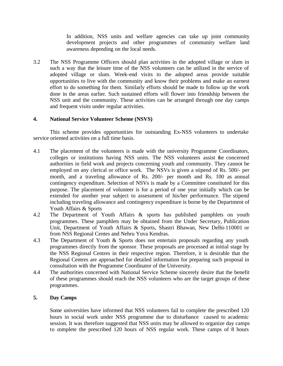In addition, NSS units and welfare agencies can take up joint community development projects and other programmes of community welfare land awareness depending on the local needs.

3.2 The NSS Programme Officers should plan activities in the adopted village or slum in such a way that the leisure time of the NSS volunteers can be utilized in the service of adopted village or slum. Week-end visits to the adopted areas provide suitable opportunities to live with the community and know their problems and make an earnest effort to do something for them. Similarly efforts should be made to follow up the work done in the areas earlier. Such sustained efforts will flower into friendship between the NSS unit and the community. These activities can be arranged through one day camps and frequent visits under regular activities.

## **4. National Service Volunteer Scheme (NSVS)**

This scheme provides opportunities for outstanding Ex-NSS volunteers to undertake service oriented activities on a full time basis.

- 4.1 The placement of the volunteers is made with the university Programme Coordinators, colleges or institutions having NSS units. The NSS volunteers assist the concerned authorities in field work and projects concerning youth and community. They cannot be employed on any clerical or office work. The NSVs is given a stipend of Rs. 500/- per month, and a traveling allowance of Rs. 200/- per month and Rs. 100 as annual contingency expenditure. Selection of NSVs is made by a Committee constituted for this purpose. The placement of volunteer is for a period of one year initially which can be extended for another year subject to assessment of his/her performance. The stipend including traveling allowance and contingency expenditure is borne by the Department of Youth Affairs & Sports
- 4.2 The Department of Youth Affairs & sports has published pamphlets on youth programmes. These pamphlets may be obtained from the Under Secretary, Publication Unit, Department of Youth Affairs & Sports, Shastri Bhawan, New Delhi-110001 or from NSS Regional Centes and Nehru Yuva Kendras.
- 4.3 The Department of Youth & Sports does not entertain proposals regarding any youth programmes directly from the sponsor. These proposals are processed at initial stage by the NSS Regional Centres in their respective region. Therefore, it is desirable that the Regional Centres are approached for detailed information for preparing such proposal in consultation with the Programme Coordinator of the University.
- 4.4 The authorities concerned with National Service Scheme sincerely desire that the benefit of these programmes should reach the NSS volunteers who are the target groups of these programmes.

## **5. Day Camps**

Some universities have informed that NSS volunteers fail to complete the prescribed 120 hours in social work under NSS programme due to disturbance caused to academic session. It was therefore suggested that NSS units may be allowed to organize day camps to complete the prescribed 120 hours of NSS regular work. These camps of 8 hours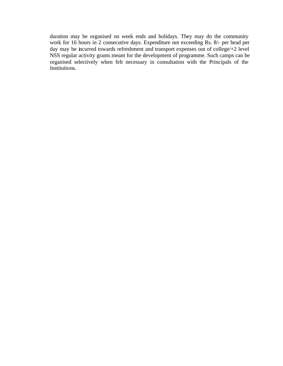duration may be organised on week ends and holidays. They may do the community work for 16 hours in 2 consecutive days. Expenditure not exceeding Rs. 8/- per head per day may be incurred towards refreshment and transport expenses out of college/+2 level NSS regular activity grants meant for the development of programme. Such camps can be organised selectively when felt necessary in consultation with the Principals of the Institutions.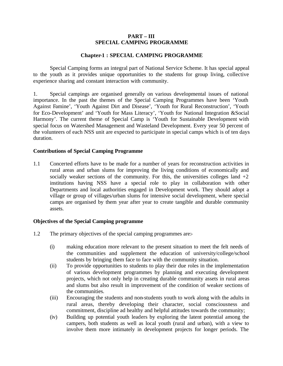## **PART – III SPECIAL CAMPING PROGRAMME**

## **Chapter-1 : SPECIAL CAMPING PROGRAMME**

Special Camping forms an integral part of National Service Scheme. It has special appeal to the youth as it provides unique opportunities to the students for group living, collective experience sharing and constant interaction with community.

1. Special campings are organised generally on various developmental issues of national importance. In the past the themes of the Special Camping Programmes have been 'Youth Against Famine', 'Youth Against Dirt and Disease', 'Youth for Rural Reconstruction', 'Youth for Eco-Development' and 'Youth for Mass Literacy', 'Youth for National Integration &Social Harmony'. The current theme of Special Camp is 'Youth for Sustainable Development with special focus on Watershed Management and Wasteland Development. Every year 50 percent of the volunteers of each NSS unit are expected to participate in special camps which is of ten days duration.

## **Contributions of Special Camping Programme**

1.1 Concerted efforts have to be made for a number of years for reconstruction activities in rural areas and urban slums for improving the living conditions of economically and socially weaker sections of the community. For this, the universities colleges land  $+2$ institutions having NSS have a special role to play in collaboration with other Departments and local authorities engaged in Development work. They should adopt a village or group of villages/urban slums for intensive social development, where special camps are organised by them year after year to create tangible and durable community assets.

## **Objectives of the Special Camping programme**

- 1.2 The primary objectives of the special camping programmes are:-
	- (i) making education more relevant to the present situation to meet the felt needs of the communities and supplement the education of university/college/school students by bringing them face to face with the community situation.
	- (ii) To provide opportunities to students to play their due roles in the implementation of various development programmes by planning and executing development projects, which not only help in creating durable community assets in rural areas and slums but also result in improvement of the condition of weaker sections of the communities.
	- (iii) Encouraging the students and non-students youth to work along with the adults in rural areas, thereby developing their character, social consciousness and commitment, discipline ad healthy and helpful attitudes towards the community;
	- (iv) Building up potential youth leaders by exploring the latent potential among the campers, both students as well as local youth (rural and urban), with a view to involve them more intimately in development projects for longer periods. The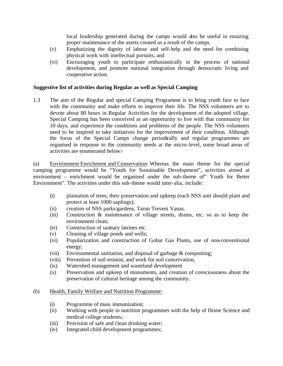local leadership generated during the camps would also be useful in ensuring proper maintenance of the assets created as a result of the camps.

- (v) Emphasizing the dignity of labour and self-help and the need for combining physical work with intellectual pursuits, and
- (vi) Encouraging youth to participate enthusiastically in the process of national development, and promote national integration through democratic living and cooperative action.

## **Suggestive list of activities during Regular as well as Special Camping**

1.3 The aim of the Regular and special Camping Programme is to bring youth face to face with the community and make efforts to improve their life. The NSS volunteers are to devote about 80 hours in Regular Activities for the development of the adopted village. Special Camping has been conceived as an opportunity to live with that community for 10 days, and experience the conditions and problems of the people. The NSS volunteers need to be inspired to take initiatives for the improvement of their condition. Although the focus of the Special Camps change periodically and regular programmes are organised in response to the community needs at the micro-level, some broad areas of activities are enumerated below:-

(a) Environment Enrichment and Conservation: Whereas the main theme for the special camping programme would be "Youth for Sustainable Development", activities aimed at environment – enrichment would be organised under the sub-theme of" Youth for Better Environment". The activities under this sub-theme would inter-alia, include:

- (i) plantation of trees, their preservation and upkeep (each NSS unit should plant and protect at least 1000 saplings);
- (ii) creation of NSS parks/gardens, Tarun Treveni Vanas.
- (iii) Construction & maintenance of village streets, drains, etc. so as to keep the environment clean;
- (iv) Construction of sanitary latrines etc.
- (v) Cleaning of village ponds and wells;
- (vi) Popularization and construction of Gobar Gas Plants, use of non-conventional energy;
- (vii) Environmental sanitation, and disposal of garbage & composting;
- (viii) Prevention of soil erosion, and work for soil conservation,
- (ix) Watershed management and wasteland development
- (x) Preservation and upkeep of monuments, and creation of consciousness about the preservation of cultural heritage among the community.

## (b) Health, Family Welfare and Nutrition Programme:

- (i) Programme of mass immunization;
- (ii) Working with people in nutrition programmes with the help of Home Science and medical college students;
- (iii) Provision of safe and clean drinking water;
- (iv) Integrated child development programmes;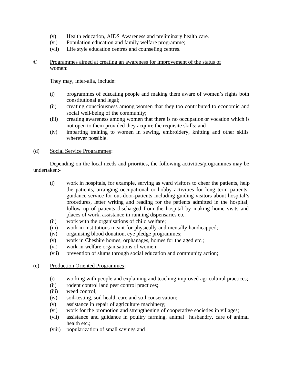- (v) Health education, AIDS Awareness and preliminary health care.
- (vi) Population education and family welfare programme;
- (vii) Life style education centres and counseling centres.

## © Programmes aimed at creating an awareness for improvement of the status of women:

They may, inter-alia, include:

- (i) programmes of educating people and making them aware of women's rights both constitutional and legal;
- (ii) creating consciousness among women that they too contributed to economic and social well-being of the community;
- (iii) creating awareness among women that there is no occupation or vocation which is not open to them provided they acquire the requisite skills; and
- (iv) imparting training to women in sewing, embroidery, knitting and other skills wherever possible.

## (d) Social Service Programmes:

Depending on the local needs and priorities, the following activities/programmes may be undertaken:-

- (i) work in hospitals, for example, serving as ward visitors to cheer the patients, help the patients, arranging occupational or hobby activities for long term patients; guidance service for out-door-patients including guiding visitors about hospital's procedures, letter writing and reading for the patients admitted in the hospital; follow up of patients discharged from the hospital by making home visits and places of work, assistance in running dispensaries etc.
- (ii) work with the organisations of child welfare;
- (iii) work in institutions meant for physically and mentally handicapped;
- (iv) organising blood donation, eye pledge programmes;
- (v) work in Cheshire homes, orphanages, homes for the aged etc.;
- (vi) work in welfare organisations of women;
- (vii) prevention of slums through social education and community action;

## (e) Production Oriented Programmes:

- (i) working with people and explaining and teaching improved agricultural practices;
- (ii) rodent control land pest control practices;
- (iii) weed control;
- (iv) soil-testing, soil health care and soil conservation;
- (v) assistance in repair of agriculture machinery;
- (vi) work for the promotion and strengthening of cooperative societies in villages;
- (vii) assistance and guidance in poultry farming, animal husbandry, care of animal health etc.;
- (viii) popularization of small savings and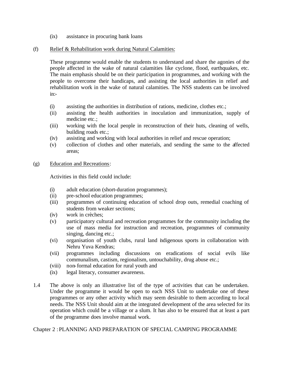(ix) assistance in procuring bank loans

## (f) Relief & Rehabilitation work during Natural Calamities:

These programme would enable the students to understand and share the agonies of the people affected in the wake of natural calamities like cyclone, flood, earthquakes, etc. The main emphasis should be on their participation in programmes, and working with the people to overcome their handicaps, and assisting the local authorities in relief and rehabilitation work in the wake of natural calamities. The NSS students can be involved in:-

- (i) assisting the authorities in distribution of rations, medicine, clothes etc.;
- (ii) assisting the health authorities in inoculation and immunization, supply of medicine etc.;
- (iii) working with the local people in reconstruction of their huts, cleaning of wells, building roads etc.;
- (iv) assisting and working with local authorities in relief and rescue operation;
- (v) collection of clothes and other materials, and sending the same to the affected areas;
- (g) Education and Recreations:

Activities in this field could include:

- (i) adult education (short-duration programmes);
- (ii) pre-school education programmes;
- (iii) programmes of continuing education of school drop outs, remedial coaching of students from weaker sections;
- (iv) work in crèches;
- (v) participatory cultural and recreation programmes for the community including the use of mass media for instruction and recreation, programmes of community singing, dancing etc.;
- (vi) organisation of youth clubs, rural land indigenous sports in collaboration with Nehru Yuva Kendras;
- (vii) programmes including discussions on eradications of social evils like communalism, castism, regionalism, untouchability, drug abuse etc.;
- (viii) non-formal education for rural youth and
- (ix) legal literacy, consumer awareness.
- 1.4 The above is only an illustrative list of the type of activities that can be undertaken. Under the programme it would be open to each NSS Unit to undertake one of these programmes or any other activity which may seem desirable to them according to local needs. The NSS Unit should aim at the integrated development of the area selected for its operation which could be a village or a slum. It has also to be ensured that at least a part of the programme does involve manual work.

Chapter 2 : PLANNING AND PREPARATION OF SPECIAL CAMPING PROGRAMME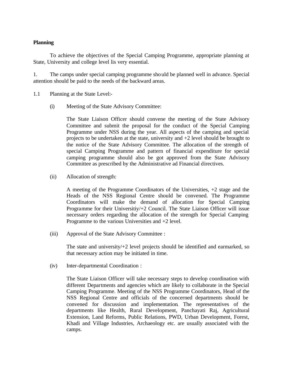## **Planning**

To achieve the objectives of the Special Camping Programme, appropriate planning at State, University and college level lis very essential.

1. The camps under special camping programme should be planned well in advance. Special attention should be paid to the needs of the backward areas.

- 1.1 Planning at the State Level:-
	- (i) Meeting of the State Advisory Committee:

The State Liaison Officer should convene the meeting of the State Advisory Committee and submit the proposal for the conduct of the Special Camping Programme under NSS during the year. All aspects of the camping and special projects to be undertaken at the state, university and +2 level should be brought to the notice of the State Advisory Committee. The allocation of the strength of special Camping Programme and pattern of financial expenditure for special camping programme should also be got approved from the State Advisory Committee as prescribed by the Administrative ad Financial directives.

(ii) Allocation of strength:

A meeting of the Programme Coordinators of the Universities, +2 stage and the Heads of the NSS Regional Centre should be convened. The Programme Coordinators will make the demand of allocation for Special Camping Programme for their Universitiy/+2 Council. The State Liaison Officer will issue necessary orders regarding the allocation of the strength for Special Camping Programme to the various Universities and +2 level.

(iii) Approval of the State Advisory Committee :

The state and university/+2 level projects should be identified and earmarked, so that necessary action may be initiated in time.

(iv) Inter-departmental Coordination :

The State Liaison Officer will take necessary steps to develop coordination with different Departments and agencies which are likely to collaborate in the Special Camping Programme. Meeting of the NSS Programme Coordinators, Head of the NSS Regional Centre and officials of the concerned departments should be convened for discussion and implementation. The representatives of the departments like Health, Rural Development, Panchayati Raj, Agricultural Extension, Land Reforms, Public Relations, PWD, Urban Development, Forest, Khadi and Village Industries, Archaeology etc. are usually associated with the camps.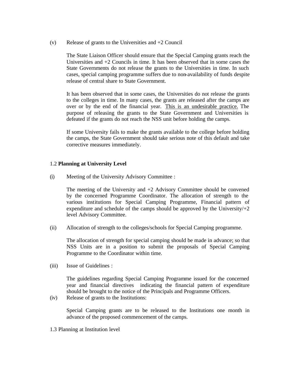(v) Release of grants to the Universities and  $+2$  Council

The State Liaison Officer should ensure that the Special Camping grants reach the Universities and  $+2$  Councils in time. It has been observed that in some cases the State Governments do not release the grants to the Universities in time. In such cases, special camping programme suffers due to non-availability of funds despite release of central share to State Government.

It has been observed that in some cases, the Universities do not release the grants to the colleges in time. In many cases, the grants are released after the camps are over or by the end of the financial year. This is an undesirable practice. The purpose of releasing the grants to the State Government and Universities is defeated if the grants do not reach the NSS unit before holding the camps.

If some University fails to make the grants available to the college before holding the camps, the State Government should take serious note of this default and take corrective measures immediately.

## 1.2 **Planning at University Level**

(i) Meeting of the University Advisory Committee :

The meeting of the University and  $+2$  Advisory Committee should be convened by the concerned Programme Coordinator. The allocation of strength to the various institutions for Special Camping Programme, Financial pattern of expenditure and schedule of the camps should be approved by the University $/+2$ level Advisory Committee.

(ii) Allocation of strength to the colleges/schools for Special Camping programme.

The allocation of strength for special camping should be made in advance; so that NSS Units are in a position to submit the proposals of Special Camping Programme to the Coordinator within time.

(iii) Issue of Guidelines :

The guidelines regarding Special Camping Programme issued for the concerned year and financial directives indicating the financial pattern of expenditure should be brought to the notice of the Principals and Programme Officers.

(iv) Release of grants to the Institutions:

Special Camping grants are to be released to the Institutions one month in advance of the proposed commencement of the camps.

1.3 Planning at Institution level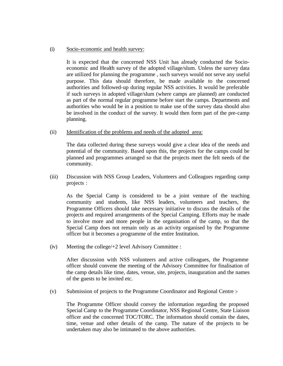#### (i) Socio-economic and health survey:

It is expected that the concerned NSS Unit has already conducted the Socioeconomic and Health survey of the adopted village/slum. Unless the survey data are utilized for planning the programme , such surveys would not serve any useful purpose. This data should therefore, be made available to the concerned authorities and followed-up during regular NSS activities. It would be preferable if such surveys in adopted village/slum (where camps are planned) are conducted as part of the normal regular programme before start the camps. Departments and authorities who would be in a position to make use of the survey data should also be involved in the conduct of the survey. It would then form part of the pre-camp planning.

(ii) Identification of the problems and needs of the adopted area:

The data collected during these surveys would give a clear idea of the needs and potential of the community. Based upon this, the projects for the camps could be planned and programmes arranged so that the projects meet the felt needs of the community.

(iii) Discussion with NSS Group Leaders, Volunteers and Colleagues regarding camp projects :

As the Special Camp is considered to be a joint venture of the teaching community and students, like NSS leaders, volunteers and teachers, the Programme Officers should take necessary initiative to discuss the details of the projects and required arrangements of the Special Camping. Efforts may be made to involve more and more people in the organisation of the camp, so that the Special Camp does not remain only as an activity organised by the Programme officer but it becomes a programme of the entire Institution.

(iv) Meeting the college/+2 level Advisory Committee :

After discussion with NSS volunteers and active colleagues, the Programme officer should convene the meeting of the Advisory Committee for finalisation of the camp details like time, dates, venue, site, projects, inauguration and the names of the guests to be invited etc.

(v) Submission of projects to the Programme Coordinator and Regional Centre :-

The Programme Officer should convey the information regarding the proposed Special Camp to the Programme Coordinator, NSS Regional Centre, State Liaison officer and the concerned TOC/TORC. The information should contain the dates, time, venue and other details of the camp. The nature of the projects to be undertaken may also be intimated to the above authorities.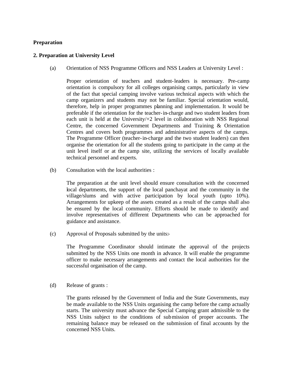## **Preparation**

## **2. Preparation at University Level**

(a) Orientation of NSS Programme Officers and NSS Leaders at University Level :

Proper orientation of teachers and student-leaders is necessary. Pre-camp orientation is compulsory for all colleges organising camps, particularly in view of the fact that special camping involve various technical aspects with which the camp organizers and students may not be familiar. Special orientation would, therefore, help in proper programmes planning and implementation. It would be preferable if the orientation for the teacher-in-charge and two student leaders from each unit is held at the University/+2 level in collaboration with NSS Regional Centre, the concerned Government Departments and Training & Orientation Centres and covers both programmes and administrative aspects of the camps. The Programme Officer (teacher-in-charge and the two student leaders) can then organise the orientation for all the students going to participate in the camp at the unit level itself or at the camp site, utilizing the services of locally available technical personnel and experts.

(b) Consultation with the local authorities :

The preparation at the unit level should ensure consultation with the concerned local departments, the support of the local panchayat and the community in the village/slums and with active participation by local youth (upto 10%). Arrangements for upkeep of the assets created as a result of the camps shall also be ensured by the local community. Efforts should be made to identify and involve representatives of different Departments who can be approached for guidance and assistance.

(c) Approval of Proposals submitted by the units:-

The Programme Coordinator should intimate the approval of the projects submitted by the NSS Units one month in advance. It will enable the programme officer to make necessary arrangements and contact the local authorities for the successful organisation of the camp.

(d) Release of grants :

The grants released by the Government of India and the State Governments, may be made available to the NSS Units organising the camp before the camp actually starts. The university must advance the Special Camping grant admissible to the NSS Units subject to the conditions of submission of proper accounts. The remaining balance may be released on the submission of final accounts by the concerned NSS Units.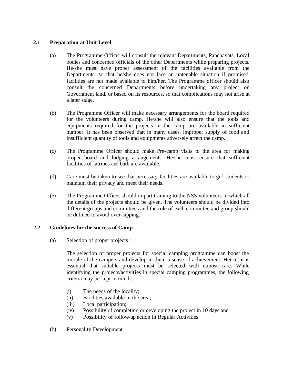## **2.1 Preparation at Unit Level**

- (a) The Programme Officer will consult the relevant Departments, Panchayats, Local bodies and concerned officials of the other Departments while preparing projects. He/she must have proper assessment of the facilities available from the Departments, so that he/she does not face an untenable situation if promised facilities are not made available to him/her. The Programme officer should also consult the concerned Departments before undertaking any project on Government land, or based on its resources, so that complications may not arise at a later stage.
- (b) The Programme Officer will make necessary arrangements for the board required for the volunteers during camp. He/she will also ensure that the tools and equipments required for the projects in the camp are available in sufficient number. It has been observed that in many cases, improper supply of food and insufficient quantity of tools and equipments adversely affect the camp.
- (c) The Programme Officer should make Pre-camp visits to the area for making proper board and lodging arrangements. He/she must ensure that sufficient facilities of latrines and bath are available.
- (d) Care must be taken to see that necessary facilities are available to girl students to maintain their privacy and meet their needs.
- (e) The Programme Officer should impart training to the NSS volunteers in which all the details of the projects should be given. The volunteers should be divided into different groups and committees and the role of each committee and group should be defined to avoid over-lapping.

## **2.2 Guidelines for the success of Camp**

(a) Selection of proper projects :

The selection of proper projects for special camping programme can boost the morale of the campers and develop in them a sense of achievement. Hence, it is essential that suitable projects must be selected with utmost care. While identifying the projects/activities in special camping programmes, the following criteria may be kept in mind :

- (i) The needs of the locality;
- (ii) Facilities available in the area;
- (iii) Local participation;
- (iv) Possibility of completing or developing the project in 10 days and
- (v) Possibility of follow-up action in Regular Activities.
- (b) Personality Development :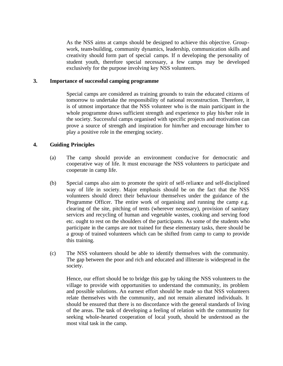As the NSS aims at camps should be designed to achieve this objective. Groupwork, team-building, community dynamics, leadership, communication skills and creativity should form part of special camps. If n developing the personality of student youth, therefore special necessary, a few camps may be developed exclusively for the purpose involving key NSS volunteers.

#### **3. Importance of successful camping programme**

Special camps are considered as training grounds to train the educated citizens of tomorrow to undertake the responsibility of national reconstruction. Therefore, it is of utmost importance that the NSS volunteer who is the main participant in the whole programme draws sufficient strength and experience to play his/her role in the society. Successful camps organised with specific projects and motivation can prove a source of strength and inspiration for him/her and encourage him/her to play a positive role in the emerging society.

## **4. Guiding Principles**

- (a) The camp should provide an environment conducive for democratic and cooperative way of life. It must encourage the NSS volunteers to participate and cooperate in camp life.
- (b) Special camps also aim to promote the spirit of self-reliance and self-disciplined way of life in society. Major emphasis should be on the fact that the NSS volunteers should direct their behaviour themselves under the guidance of the Programme Officer. The entire work of organising and running the camp e.g. clearing of the site, pitching of tents (wherever necessary), provision of sanitary services and recycling of human and vegetable wastes, cooking and serving food etc. ought to rest on the shoulders of the participants. As some of the students who participate in the camps are not trained for these elementary tasks, there should be a group of trained volunteers which can be shifted from camp to camp to provide this training.
- (c) The NSS volunteers should be able to identify themselves with the community. The gap between the poor and rich and educated and illiterate is widespread in the society.

Hence, our effort should be to bridge this gap by taking the NSS volunteers to the village to provide with opportunities to understand the community, its problem and possible solutions. An earnest effort should be made so that NSS volunteers relate themselves with the community, and not remain alienated individuals. It should be ensured that there is no discordance with the general standards of living of the areas. The task of developing a feeling of relation with the community for seeking whole-hearted cooperation of local youth, should be understood as the most vital task in the camp.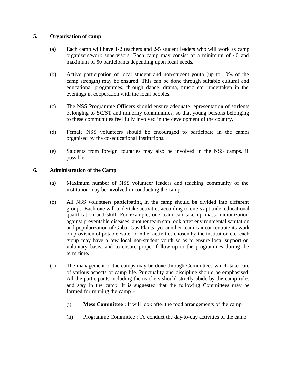## **5. Organisation of camp**

- (a) Each camp will have 1-2 teachers and 2-5 student leaders who will work as camp organizers/work supervisors. Each camp may consist of a minimum of 40 and maximum of 50 participants depending upon local needs.
- (b) Active participation of local student and non-student youth (up to 10% of the camp strength) may be ensured. This can be done through suitable cultural and educational programmes, through dance, drama, music etc. undertaken in the evenings in cooperation with the local peoples.
- (c) The NSS Programme Officers should ensure adequate representation of students belonging to SC/ST and minority communities, so that young persons belonging to these communities feel fully involved in the development of the country.
- (d) Female NSS volunteers should be encouraged to participate in the camps organised by the co-educational Institutions.
- (e) Students from foreign countries may also be involved in the NSS camps, if possible.

## **6. Administration of the Camp**

- (a) Maximum number of NSS volunteer leaders and teaching community of the institution may be involved in conducting the camp.
- (b) All NSS volunteers participating in the camp should be divided into different groups. Each one will undertake activities according to one's aptitude, educational qualification and skill. For example, one team can take up mass immunization against preventable diseases, another team can look after environmental sanitation and popularization of Gobar Gas Plants; yet another team can concentrate its work on provision of potable water or other activities chosen by the institution etc. each group may have a few local non-student youth so as to ensure local support on voluntary basis, and to ensure proper follow-up to the programmes during the term time.
- (c) The management of the camps may be done through Committees which take care of various aspects of camp life. Punctuality and discipline should be emphasised. All the participants including the teachers should strictly abide by the camp rules and stay in the camp. It is suggested that the following Committees may be formed for running the camp :-
	- (i) **Mess Committee** : It will look after the food arrangements of the camp
	- (ii) Programme Committee : To conduct the day-to-day activities of the camp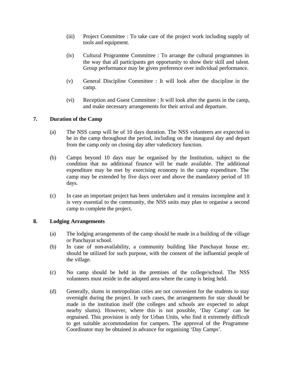- (iii) Project Committee : To take care of the project work including supply of tools and equipment.
- (iv) Cultural Programme Committee : To arrange the cultural programmes in the way that all participants get opportunity to show their skill and talent. Group performance may be given preference over individual performance.
- (v) General Discipline Committee : It will look after the discipline in the camp.
- (vi) Reception and Guest Committee : It will look after the guests in the camp, and make necessary arrangements for their arrival and departure.

## **7. Duration of the Camp**

- (a) The NSS camp will be of 10 days duration. The NSS volunteers are expected to be in the camp throughout the period, including on the inaugural day and depart from the camp only on closing day after valedictory function.
- (b) Camps beyond 10 days may be organised by the Institution, subject to the condition that no additional finance will be made available. The additional expenditure may be met by exercising economy in the camp expenditure. The camp may be extended by five days over and above the mandatory period of 10 days.
- (c) In case an important project has been undertaken and it remains incomplete and it is very essential to the community, the NSS units may plan to organise a second camp to complete the project.

## **8. Lodging Arrangements**

- (a) The lodging arrangements of the camp should be made in a building of the village or Panchayat school.
- (b) In case of non-availability, a community building like Panchayat house etc. should be utilized for such purpose, with the consent of the influential people of the village.
- (c) No camp should be held in the premises of the college/school. The NSS volunteers must reside in the adopted area where the camp is being held.
- (d) Generally, slums in metropolitan cities are not convenient for the students to stay overnight during the project. In such cases, the arrangements for stay should be made in the institution itself (the colleges and schools are expected to adopt nearby slums). However, where this is not possible, 'Day Camp' can be orgnaised. This provision is only for Urban Units, who find it extremely difficult to get suitable accommodation for campers. The approval of the Programme Coordinator may be obtained in advance for organising 'Day Camps'.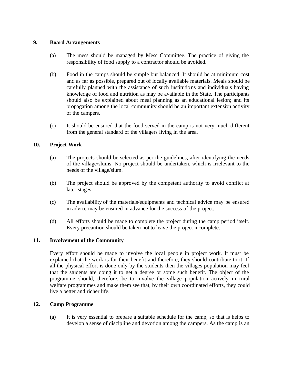## **9. Board Arrangements**

- (a) The mess should be managed by Mess Committee. The practice of giving the responsibility of food supply to a contractor should be avoided.
- (b) Food in the camps should be simple but balanced. It should be at minimum cost and as far as possible, prepared out of locally available materials. Meals should be carefully planned with the assistance of such institutions and individuals having knowledge of food and nutrition as may be available in the State. The participants should also be explained about meal planning as an educational lesion; and its propagation among the local community should be an important extension activity of the campers.
- (c) It should be ensured that the food served in the camp is not very much different from the general standard of the villagers living in the area.

## **10. Project Work**

- (a) The projects should be selected as per the guidelines, after identifying the needs of the village/slums. No project should be undertaken, which is irrelevant to the needs of the village/slum.
- (b) The project should be approved by the competent authority to avoid conflict at later stages.
- (c) The availability of the materials/equipments and technical advice may be ensured in advice may be ensured in advance for the success of the project.
- (d) All efforts should be made to complete the project during the camp period itself. Every precaution should be taken not to leave the project incomplete.

## **11. Involvement of the Community**

Every effort should be made to involve the local people in project work. It must be explained that the work is for their benefit and therefore, they should contribute to it. If all the physical effort is done only by the students then the villages population may feel that the students are doing it to get a degree or some such benefit. The object of the programme should, therefore, be to involve the village population actively in rural welfare programmes and make them see that, by their own coordinated efforts, they could live a better and richer life.

## **12. Camp Programme**

(a) It is very essential to prepare a suitable schedule for the camp, so that is helps to develop a sense of discipline and devotion among the campers. As the camp is an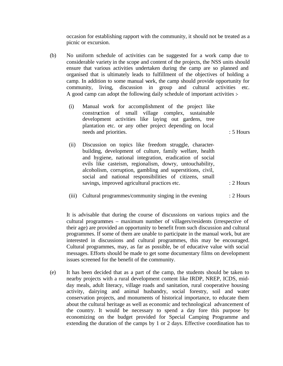occasion for establishing rapport with the community, it should not be treated as a picnic or excursion.

- (b) No uniform schedule of activities can be suggested for a work camp due to considerable variety in the scope and content of the projects, the NSS units should ensure that various activities undertaken during the camp are so planned and organised that is ultimately leads to fulfillment of the objectives of holding a camp. In addition to some manual work, the camp should provide opportunity for community, living, discussion in group and cultural activities etc. A good camp can adopt the following daily schedule of important activities :-
	- (i) Manual work for accomplishment of the project like construction of small village complex, sustainable development activities like laying out gardens, tree plantation etc. or any other project depending on local needs and priorities.  $\cdot$  5 Hours

- (ii) Discussion on topics like freedom struggle, characterbuilding, development of culture, family welfare, health and hygiene, national integration, eradication of social evils like casteism, regionalism, dowry, untouchability, alcoholism, corruption, gambling and superstitions, civil, social and national responsibilities of citizens, small savings, improved agricultural practices etc.  $\cdot$  2 Hours
- (iii) Cultural programmes/community singing in the evening : 2 Hours

It is advisable that during the course of discussions on various topics and the cultural programmes – maximum number of villagers/residents (irrespective of their age) are provided an opportunity to benefit from such discussion and cultural programmes. If some of them are unable to participate in the manual work, but are interested in discussions and cultural programmes, this may be encouraged. Cultural programmes, may, as far as possible, be of educative value with social messages. Efforts should be made to get some documentary films on development issues screened for the benefit of the community.

(e) It has been decided that as a part of the camp, the students should be taken to nearby projects with a rural development content like IRDP, NREP, ICDS, midday meals, adult literacy, village roads and sanitation, rural cooperative housing activity, dairying and animal husbandry, social forestry, soil and water conservation projects, and monuments of historical importance, to educate them about the cultural heritage as well as economic and technological advancement of the country. It would be necessary to spend a day fore this purpose by economizing on the budget provided for Special Camping Programme and extending the duration of the camps by 1 or 2 days. Effective coordination has to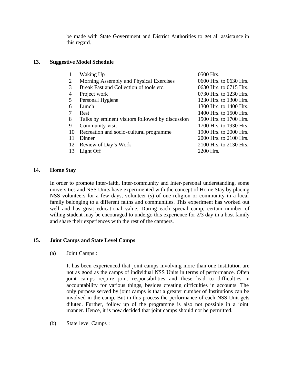be made with State Government and District Authorities to get all assistance in this regard.

# **13. Suggestive Model Schedule**

|                | Waking Up                                        | 0500 Hrs.              |
|----------------|--------------------------------------------------|------------------------|
| 2              | Morning Assembly and Physical Exercises          | 0600 Hrs. to 0630 Hrs. |
| 3              | Break Fast and Collection of tools etc.          | 0630 Hrs. to 0715 Hrs. |
| $\overline{4}$ | Project work                                     | 0730 Hrs. to 1230 Hrs. |
| 5              | Personal Hygiene                                 | 1230 Hrs. to 1300 Hrs. |
| 6              | Lunch                                            | 1300 Hrs. to 1400 Hrs. |
|                | Rest                                             | 1400 Hrs. to 1500 Hrs. |
| 8              | Talks by eminent visitors followed by discussion | 1500 Hrs. to 1700 Hrs. |
| 9              | Community visit                                  | 1700 Hrs. to 1930 Hrs. |
| 10             | Recreation and socio-cultural programme          | 1900 Hrs. to 2000 Hrs. |
| 11             | Dinner                                           | 2000 Hrs. to 2100 Hrs. |
| 12             | Review of Day's Work                             | 2100 Hrs. to 2130 Hrs. |
| 13             | Light Off                                        | 2200 Hrs.              |
|                |                                                  |                        |

## **14. Home Stay**

In order to promote Inter-faith, Inter-community and Inter-personal understanding, some universities and NSS Units have experimented with the concept of Home Stay by placing NSS volunteers for a few days, volunteer (s) of one religion or community in a local family belonging to a different faiths and communities. This experiment has worked out well and has great educational value. During each special camp, certain number of willing student may be encouraged to undergo this experience for 2/3 day in a host family and share their experiences with the rest of the campers.

## **15. Joint Camps and State Level Camps**

(a) Joint Camps :

It has been experienced that joint camps involving more than one Institution are not as good as the camps of individual NSS Units in terms of performance. Often joint camps require joint responsibilities and these lead to difficulties in accountability for various things, besides creating difficulties in accounts. The only purpose served by joint camps is that a greater number of Institutions can be involved in the camp. But in this process the performance of each NSS Unit gets diluted. Further, follow up of the programme is also not possible in a joint manner. Hence, it is now decided that joint camps should not be permitted.

(b) State level Camps :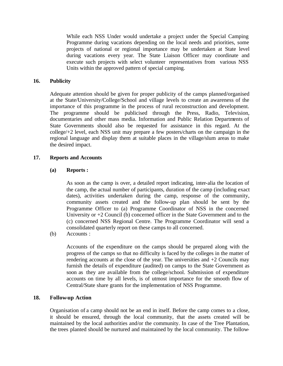While each NSS Under would undertake a project under the Special Camping Programme during vacations depending on the local needs and priorities, some projects of national or regional importance may be undertaken at State level during vacations every year. The State Liaison Officer may coordinate and execute such projects with select volunteer representatives from various NSS Units within the approved pattern of special camping.

## **16. Publicity**

Adequate attention should be given for proper publicity of the camps planned/organised at the State/University/College/School and village levels to create an awareness of the importance of this programme in the process of rural reconstruction and development. The programme should be publicised through the Press, Radio, Television, documentaries and other mass media. Information and Public Relation Departments of State Governments should also be requested for assistance in this regard. At the college/+2 level, each NSS unit may prepare a few posters/charts on the campaign in the regional language and display them at suitable places in the village/slum areas to make the desired impact.

# **17. Reports and Accounts**

# **(a) Reports :**

As soon as the camp is over, a detailed report indicating, inter-alia the location of the camp, the actual number of participants, duration of the camp (including exact dates), activities undertaken during the camp, response of the community, community assets created and the follow-up plan should be sent by the Programme Officer to (a) Programme Coordinator of NSS in the concerned University or +2 Council (b) concerned officer in the State Government and to the (c) concerned NSS Regional Centre. The Programme Coordinator will send a consolidated quarterly report on these camps to all concerned.

(b) Accounts :

Accounts of the expenditure on the camps should be prepared along with the progress of the camps so that no difficulty is faced by the colleges in the matter of rendering accounts at the close of the year. The universities and  $+2$  Councils may furnish the details of expenditure (audited) on camps to the State Government as soon as they are available from the college/school. Submission of expenditure accounts on time by all levels, is of utmost importance for the smooth flow of Central/State share grants for the implementation of NSS Programme.

## **18. Follow-up Action**

Organisation of a camp should not be an end in itself. Before the camp comes to a close, it should be ensured, through the local community, that the assets created will be maintained by the local authorities and/or the community. In case of the Tree Plantation, the trees planted should be nurtured and maintained by the local community. The follow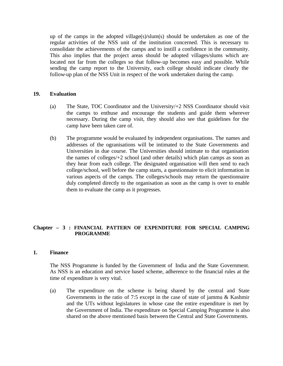up of the camps in the adopted village(s)/slum(s) should be undertaken as one of the regular activities of the NSS unit of the institution concerned. This is necessary to consolidate the achievements of the camps and to instill a confidence in the community. This also implies that the project areas should be adopted villages/slums which are located not far from the colleges so that follow-up becomes easy and possible. While sending the camp report to the University, each college should indicate clearly the follow-up plan of the NSS Unit in respect of the work undertaken during the camp.

## **19. Evaluation**

- (a) The State, TOC Coordinator and the University/+2 NSS Coordinator should visit the camps to enthuse and encourage the students and guide them wherever necessary. During the camp visit, they should also see that guidelines for the camp have been taken care of.
- (b) The programme would be evaluated by independent organisations. The names and addresses of the ogranisations will be intimated to the State Governments and Universities in due course. The Universities should intimate to that organisation the names of colleges/+2 school (and other details) which plan camps as soon as they hear from each college. The designated organisation will then send to each college/school, well before the camp starts, a questionnaire to elicit information in various aspects of the camps. The colleges/schools may return the questionnaire duly completed directly to the organisation as soon as the camp is over to enable them to evaluate the camp as it progresses.

# **Chapter – 3 : FINANCIAL PATTERN OF EXPENDITURE FOR SPECIAL CAMPING PROGRAMME**

## **1. Finance**

The NSS Programme is funded by the Government of India and the State Government. As NSS is an education and service based scheme, adherence to the financial rules at the time of expenditure is very vital.

(a) The expenditure on the scheme is being shared by the central and State Governments in the ratio of 7:5 except in the case of state of jammu & Kashmir and the UTs without legislatures in whose case the entire expenditure is met by the Government of India. The expenditure on Special Camping Programme is also shared on the above mentioned basis between the Central and State Governments.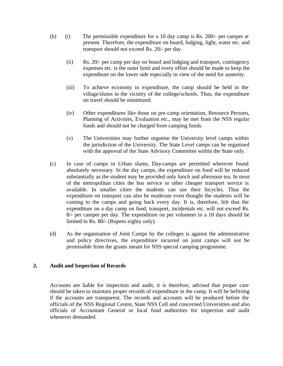- (b) (i) The permissible expenditure for a 10 day camp is Rs. 200/- per camper at present. Therefore, the expenditure on board, lodging, light, water etc. and transport should not exceed Rs. 20/- per day.
	- (ii) Rs. 20/- per camp per day on board and lodging and transport, contingency expenses etc. is the outer limit and every effort should be made to keep the expenditure on the lower side especially in view of the need for austerity.
	- (iii) To achieve economy in expenditure, the camp should be held in the village/slums in the vicinity of the college/schools. Thus, the expenditure on travel should be minimized.
	- (iv) Other expenditures like those on pre-camp orientation, Resource Persons, Planning of Activities, Evaluation etc., may be met from the NSS regular funds and should not be charged from camping funds.
	- (v) The Universities may further organise the University level camps within the jurisdiction of the University. The State Level camps can be organised with the approval of the State Advisory Committee within the State only.
- (c) In case of camps in Urban slums, Day-camps are permitted wherever found absolutely necessary. In the day camps, the expenditure on food will be reduced substantially as the student may be provided only lunch and afternoon tea. In most of the metropolitan cities the bus service or other cheaper transport service is available. In smaller cities the students can use their bicycles. Thus the expenditure on transport can also be moderate even thought the students will be coming to the camps and going back every day. It is, therefore, felt that the expenditure on a day camp on food, transport, incidentals etc. will not exceed Rs. 8/- per camper per day. The expenditure on per volunteer in a 10 days should be limited to Rs. 80/- (Rupees eighty only).
- (d) As the organisation of Joint Camps by the colleges is against the administrative and policy directives, the expenditure incurred on joint camps will not be permissible from the grants meant for NSS special camping programme.

## **2. Audit and Inspection of Records**

Accounts are liable for inspection and audit, it is therefore, advised that proper care should be taken to maintain proper records of expenditure in the camp. It will be befitting if the accounts are transparent. The records and accounts will be produced before the officials of the NSS Regional Centre, State NSS Cell and concerned Universities and also officials of Accountant General or local fund authorities for inspection and audit whenever demanded.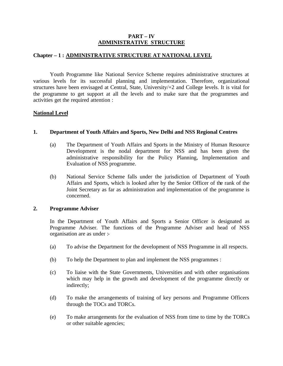## **PART – IV ADMINISTRATIVE STRUCTURE**

## **Chapter – 1 : ADMINISTRATIVE STRUCTURE AT NATIONAL LEVEL**

Youth Programme like National Service Scheme requires administrative structures at various levels for its successful planning and implementation. Therefore, organizational structures have been envisaged at Central, State, University/+2 and College levels. It is vital for the programme to get support at all the levels and to make sure that the programmes and activities get the required attention :

# **National Level**

## **1. Department of Youth Affairs and Sports, New Delhi and NSS Regional Centres**

- (a) The Department of Youth Affairs and Sports in the Ministry of Human Resource Development is the nodal department for NSS and has been given the administrative responsibility for the Policy Planning, Implementation and Evaluation of NSS programme.
- (b) National Service Scheme falls under the jurisdiction of Department of Youth Affairs and Sports, which is looked after by the Senior Officer of the rank of the Joint Secretary as far as administration and implementation of the programme is concerned.

## **2. Programme Adviser**

In the Department of Youth Affairs and Sports a Senior Officer is designated as Programme Adviser. The functions of the Programme Adviser and head of NSS organisation are as under :-

- (a) To advise the Department for the development of NSS Programme in all respects.
- (b) To help the Department to plan and implement the NSS programmes :
- (c) To liaise with the State Governments, Universities and with other organisations which may help in the growth and development of the programme directly or indirectly;
- (d) To make the arrangements of training of key persons and Programme Officers through the TOCs and TORCs.
- (e) To make arrangements for the evaluation of NSS from time to time by the TORCs or other suitable agencies;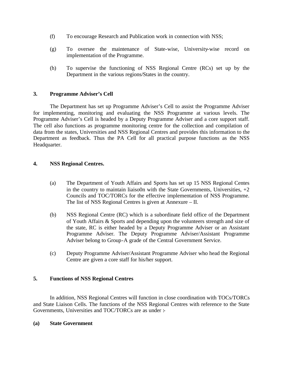- (f) To encourage Research and Publication work in connection with NSS;
- (g) To oversee the maintenance of State-wise, University-wise record on implementation of the Programme.
- (h) To supervise the functioning of NSS Regional Centre (RCs) set up by the Department in the various regions/States in the country.

## **3. Programme Adviser's Cell**

The Department has set up Programme Adviser's Cell to assist the Programme Adviser for implementing, monitoring and evaluating the NSS Programme at various levels. The Programme Adviser's Cell is headed by a Deputy Programme Adviser and a core support staff. The cell also functions as programme monitoring centre for the collection and compilation of data from the states, Universities and NSS Regional Centres and provides this information to the Department as feedback. Thus the PA Cell for all practical purpose functions as the NSS Headquarter.

## **4. NSS Regional Centres.**

- (a) The Department of Youth Affairs and Sports has set up 15 NSS Regional Centes in the country to maintain liaiso0n with the State Governments, Universities,  $+2$ Councils and TOC/TORCs for the effective implementation of NSS Programme. The list of NSS Regional Centres is given at Annexure – II.
- (b) NSS Regional Centre (RC) which is a subordinate field office of the Department of Youth Affairs & Sports and depending upon the volunteers strength and size of the state, RC is either headed by a Deputy Programme Adviser or an Assistant Programme Adviser. The Deputy Programme Adviser/Assistant Programme Adviser belong to Group-A grade of the Central Government Service.
- (c) Deputy Programme Adviser/Assistant Programme Adviser who head the Regional Centre are given a core staff for his/her support.

## **5. Functions of NSS Regional Centres**

In addition, NSS Regional Centres will function in close coordination with TOCs/TORCs and State Liaison Cells. The functions of the NSS Regional Centres with reference to the State Governments, Universities and TOC/TORCs are as under :-

#### **(a) State Government**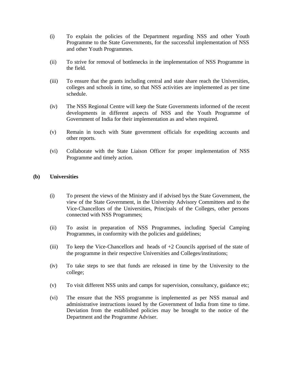- (i) To explain the policies of the Department regarding NSS and other Youth Programme to the State Governments, for the successful implementation of NSS and other Youth Programmes.
- (ii) To strive for removal of bottlenecks in the implementation of NSS Programme in the field.
- (iii) To ensure that the grants including central and state share reach the Universities, colleges and schools in time, so that NSS activities are implemented as per time schedule.
- (iv) The NSS Regional Centre will keep the State Governments informed of the recent developments in different aspects of NSS and the Youth Programme of Government of India for their implementation as and when required.
- (v) Remain in touch with State government officials for expediting accounts and other reports.
- (vi) Collaborate with the State Liaison Officer for proper implementation of NSS Programme and timely action.

## **(b) Universities**

- (i) To present the views of the Ministry and if advised bys the State Government, the view of the State Government, in the University Advisory Committees and to the Vice-Chancellors of the Universities, Principals of the Colleges, other persons connected with NSS Programmes;
- (ii) To assist in preparation of NSS Programmes, including Special Camping Programmes, in conformity with the policies and guidelines;
- (iii) To keep the Vice-Chancellors and heads of +2 Councils apprised of the state of the programme in their respective Universities and Colleges/institutions;
- (iv) To take steps to see that funds are released in time by the University to the college;
- (v) To visit different NSS units and camps for supervision, consultancy, guidance etc;
- (vi) The ensure that the NSS programme is implemented as per NSS manual and administrative instructions issued by the Government of India from time to time. Deviation from the established policies may be brought to the notice of the Department and the Programme Adviser.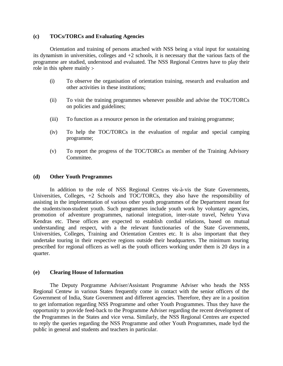#### **(c) TOCs/TORCs and Evaluating Agencies**

Orientation and training of persons attached with NSS being a vital input for sustaining its dynamism in universities, colleges and +2 schools, it is necessary that the various facts of the programme are studied, understood and evaluated. The NSS Regional Centres have to play their role in this sphere mainly :-

- (i) To observe the organisation of orientation training, research and evaluation and other activities in these institutions;
- (ii) To visit the training programmes whenever possible and advise the TOC/TORCs on policies and guidelines;
- (iii) To function as a resource person in the orientation and training programme;
- (iv) To help the TOC/TORCs in the evaluation of regular and special camping programme;
- (v) To report the progress of the TOC/TORCs as member of the Training Advisory Committee.

## **(d) Other Youth Programmes**

In addition to the role of NSS Regional Centres vis-à-vis the State Governments, Universities, Colleges, +2 Schools and TOC/TORCs, they also have the responsibility of assisting in the implementation of various other youth programmes of the Department meant for the students/non-student youth. Such programmes include youth work by voluntary agencies, promotion of adventure programmes, national integration, inter-state travel, Nehru Yuva Kendras etc. These offices are expected to establish cordial relations, based on mutual understanding and respect, with a the relevant functionaries of the State Governments, Universities, Colleges, Training and Orientation Centres etc. It is also important that they undertake touring in their respective regions outside their headquarters. The minimum touring prescribed for regional officers as well as the youth officers working under them is 20 days in a quarter.

## **(e) Clearing House of Information**

The Deputy Porgramme Adviser/Assistant Programme Adviser who heads the NSS Regional Centew in various States frequently come in contact with the senior officers of the Government of India, State Government and different agencies. Therefore, they are in a position to get information regarding NSS Programme and other Youth Programmes. Thus they have the opportunity to provide feed-back to the Programme Adviser regarding the recent development of the Programmes in the States and vice versa. Similarly, the NSS Regional Centres are expected to reply the queries regarding the NSS Programme and other Youth Programmes, made byd the public in general and students and teachers in particular.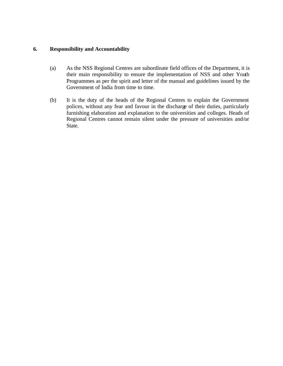# **6. Responsibility and Accountability**

- (a) As the NSS Regional Centres are subordinate field offices of the Department, it is their main responsibility to ensure the implementation of NSS and other Youth Programmes as per the spirit and letter of the manual and guidelines issued by the Government of India from time to time.
- (b) It is the duty of the heads of the Regional Centres to explain the Government polices, without any fear and favour in the discharge of their duties, particularly furnishing elaboration and explanation to the universities and colleges. Heads of Regional Centres cannot remain silent under the pressure of universities and/or State.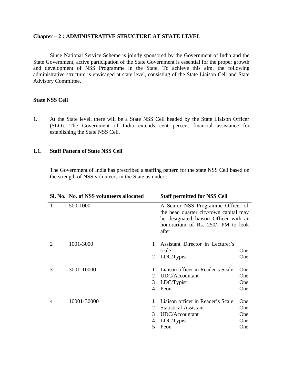#### **Chapter – 2 : ADMINISTRATIVE STRUCTURE AT STATE LEVEL**

Since National Service Scheme is jointly sponsored by the Government of India and the State Government, active participation of the State Government is essential for the proper growth and development of NSS Programme in the State. To achieve this aim, the following administrative structure is envisaged at state level, consisting of the State Liaison Cell and State Advisory Committee.

## **State NSS Cell**

1. At the State level, there will be a State NSS Cell headed by the State Liaison Officer (SLO). The Government of India extends cent percent financial assistance for establishing the State NSS Cell.

#### **1.1. Staff Pattern of State NSS Cell**

The Government of India has prescribed a staffing pattern for the state NSS Cell based on the strength of NSS volunteers in the State as under :-

|   | Sl. No. No. of NSS volunteers allocated |                             | <b>Staff permitted for NSS Cell</b>                                                                                                                                 |            |
|---|-----------------------------------------|-----------------------------|---------------------------------------------------------------------------------------------------------------------------------------------------------------------|------------|
| 1 | 500-1000                                |                             | A Senior NSS Programme Officer of<br>the head quarter city/town capital may<br>be designated liaison Officer with an<br>honorarium of Rs. 250/- PM to look<br>after |            |
| 2 | 1001-3000                               | $\mathbf{1}$                | Assistant Director in Lecturer's<br>scale                                                                                                                           | One        |
|   |                                         | 2                           | LDC/Typist                                                                                                                                                          | One        |
| 3 | 3001-10000                              |                             | Liaison officer in Reader's Scale                                                                                                                                   | One        |
|   |                                         | $\mathcal{D}_{\cdot}$       | UDC/Accountant                                                                                                                                                      | One        |
|   |                                         | 3                           | LDC/Typist                                                                                                                                                          | <b>One</b> |
|   |                                         | 4                           | Peon                                                                                                                                                                | One        |
| 4 | 10001-30000                             |                             | Liaison officer in Reader's Scale                                                                                                                                   | <b>One</b> |
|   |                                         | $\mathcal{D}_{\mathcal{L}}$ | <b>Statistical Assistant</b>                                                                                                                                        | <b>One</b> |
|   |                                         | 3                           | UDC/Accountant                                                                                                                                                      | One        |
|   |                                         | 4                           | LDC/Typist                                                                                                                                                          | <b>One</b> |
|   |                                         | 5                           | Peon                                                                                                                                                                | One        |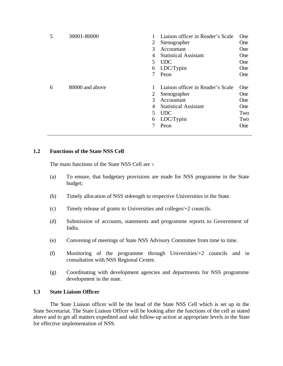| 5 | 30001-80000     | 2<br>$\mathcal{R}$<br>4<br>5<br>6 | Liaison officer in Reader's Scale<br>Stenographer<br>Accountant<br><b>Statistical Assistant</b><br><b>UDC</b><br>LDC/Typist<br>Peon | <b>One</b><br><b>One</b><br><b>One</b><br><b>One</b><br><b>One</b><br>One<br><b>One</b> |
|---|-----------------|-----------------------------------|-------------------------------------------------------------------------------------------------------------------------------------|-----------------------------------------------------------------------------------------|
| 6 | 80000 and above | 2<br>$\mathcal{R}$<br>4<br>5<br>6 | Liaison officer in Reader's Scale<br>Stenographer<br>Accountant<br><b>Statistical Assistant</b><br><b>UDC</b><br>LDC/Typist<br>Peon | One<br><b>One</b><br><b>One</b><br><b>One</b><br>Two<br>Two<br><b>One</b>               |

# **1.2 Functions of the State NSS Cell**

The main functions of the State NSS Cell are :-

- (a) To ensure, that budgetary provisions are made for NSS programme in the State budget;
- (b) Timely allocation of NSS st4rength to respective Universities in the State.
- (c) Timely release of grants to Universities and colleges/+2 councils.
- (d) Submission of accounts, statements and programme reports to Government of India.
- (e) Convening of meetings of State NSS Advisory Committee from time to time.
- (f) Monitoring of the programme through Universities/+2 councils and in consultation with NSS Regional Centre.
- (g) Coordinating with development agencies and departments for NSS programme development in the state.

## **1.3 State Liaison Officer**

The State Liaison officer will be the head of the State NSS Cell which is set up in the State Secretariat. The State Liaison Officer will be looking after the functions of the cell as stated above and to get all matters expedited and take follow-up action at appropriate levels in the State for effective implementation of NSS.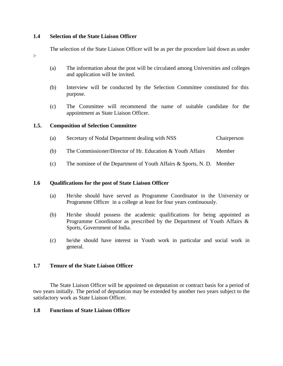## **1.4 Selection of the State Liaison Officer**

The selection of the State Liaison Officer will be as per the procedure laid down as under

- :-
- (a) The information about the post will be circulated among Universities and colleges and application will be invited.
- (b) Interview will be conducted by the Selection Committee constituted for this purpose.
- (c) The Committee will recommend the name of suitable candidate for the appointment as State Liaison Officer.

## **1.5. Composition of Selection Committee**

- (a) Secretary of Nodal Department dealing with NSS Chairperson
- (b) The Commissioner/Director of Hr. Education & Youth Affairs Member
- (c) The nominee of the Department of Youth Affairs & Sports, N. D. Member

## **1.6 Qualifications for the post of State Liaison Officer**

- (a) He/she should have served as Programme Coordinator in the University or Programme Officer in a college at least for four years continuously.
- (b) He/she should possess the academic qualifications for being appointed as Programme Coordinator as prescribed by the Department of Youth Affairs & Sports, Government of India.
- (c) he/she should have interest in Youth work in particular and social work in general.

## **1.7 Tenure of the State Liaison Officer**

The State Liaison Officer will be appointed on deputation or contract basis for a period of two years initially. The period of deputation may be extended by another two years subject to the satisfactory work as State Liaison Officer.

## **1.8 Functions of State Liaison Officer**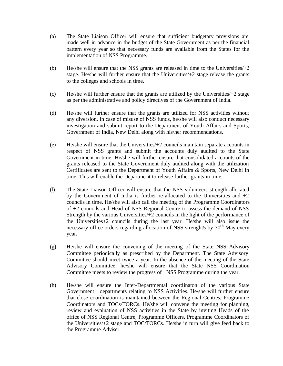- (a) The State Liaison Officer will ensure that sufficient budgetary provisions are made well in advance in the budget of the State Government as per the financial pattern every year so that necessary funds are available from the States for the implementation of NSS Programme.
- (b) He/she will ensure that the NSS grants are released in time to the Universities/+2 stage. He/she will further ensure that the Universities $/+2$  stage release the grants to the colleges and schools in time.
- (c) He/she will further ensure that the grants are utilized by the Universities/+2 stage as per the administrative and policy directives of the Government of India.
- (d) He/she will further ensure that the grants are utilized for NSS activities without any diversion. In case of misuse of NSS funds, he/she will also conduct necessary investigation and submit report to the Department of Youth Affairs and Sports, Government of India, New Delhi along with his/her recommendations.
- (e) He/she will ensure that the Universities/+2 councils maintain separate accounts in respect of NSS grants and submit the accounts duly audited to the State Government in time. He/she will further ensure that consolidated accounts of the grants released to the State Government duly audited along with the utilization Certificates are sent to the Department of Youth Affairs & Sports, New Delhi in time. This will enable the Department to release further grants in time.
- (f) The State Liaison Officer will ensure that the NSS volunteers strength allocated by the Government of India is further re-allocated to the Universities and  $+2$ councils in time. He/she will also call the meeting of the Programme Coordinators of +2 councils and Head of NSS Regional Centre to assess the demand of NSS Strength by the various Universities/+2 councils in the light of the performance of the Universities+2 councils during the last year. He/she will also issue the necessary office orders regarding allocation of NSS strenght5 by  $30<sup>th</sup>$  May every year.
- (g) He/she will ensure the convening of the meeting of the State NSS Advisory Committee periodically as prescribed by the Department. The State Advisory Committee should meet twice a year. In the absence of the meeting of the State Advisory Committee, he/she will ensure that the State NSS Coordination Committee meets to review the progress of NSS Programme during the year.
- (h) He/she will ensure the Inter-Departmental coordinaton of the various State Government departments relating to NSS Activities. He/she will further ensure that close coordination is maintained between the Regional Centres, Programme Coordinators and TOCs/TORCs. He/she will convene the meeting for planning, review and evaluation of NSS activities in the State by inviting Heads of the office of NSS Regional Centre, Programme Officers, Programme Coordinators of the Universities/+2 stage and TOC/TORCs. He/she in turn will give feed back to the Programme Adviser.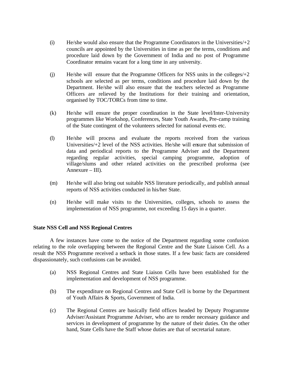- $(i)$  He/she would also ensure that the Programme Coordinators in the Universities/ $+2$ councils are appointed by the Universities in time as per the terms, conditions and procedure laid down by the Government of India and no post of Programme Coordinator remains vacant for a long time in any university.
- (j) He/she will ensure that the Programme Officers for NSS units in the colleges/+2 schools are selected as per terms, conditions and procedure laid down by the Department. He/she will also ensure that the teachers selected as Programme Officers are relieved by the Institutions for their training and orientation, organised by TOC/TORCs from time to time.
- (k) He/she will ensure the proper coordination in the State level/Inter-University programmes like Workshop, Conferences, State Youth Awards, Pre-camp training of the State contingent of the volunteers selected for national events etc.
- (l) He/she will process and evaluate the reports received from the various Universities/+2 level of the NSS activities. He/she will ensure that submission of data and periodical reports to the Programme Adviser and the Department regarding regular activities, special camping programme, adoption of village/slums and other related activities on the prescribed proforma (see Annexure – III).
- (m) He/she will also bring out suitable NSS literature periodically, and publish annual reports of NSS activities conducted in his/her State.
- (n) He/she will make visits to the Universities, colleges, schools to assess the implementation of NSS programme, not exceeding 15 days in a quarter.

## **State NSS Cell and NSS Regional Centres**

A few instances have come to the notice of the Department regarding some confusion relating to the role overlapping between the Regional Centre and the State Liaison Cell. As a result the NSS Programme received a setback in those states. If a few basic facts are considered dispassionately, such confusions can be avoided.

- (a) NSS Regional Centres and State Liaison Cells have been established for the implementation and development of NSS programme.
- (b) The expenditure on Regional Centres and State Cell is borne by the Department of Youth Affairs & Sports, Government of India.
- (c) The Regional Centres are basically field offices headed by Deputy Programme Adviser/Assistant Programme Adviser, who are to render necessary guidance and services in development of programme by the nature of their duties. On the other hand, State Cells have the Staff whose duties are that of secretarial nature.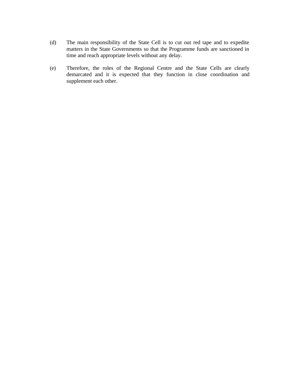- (d) The main responsibility of the State Cell is to cut out red tape and to expedite matters in the State Governments so that the Programme funds are sanctioned in time and reach appropriate levels without any delay.
- (e) Therefore, the roles of the Regional Centre and the State Cells are clearly demarcated and it is expected that they function in close coordination and supplement each other.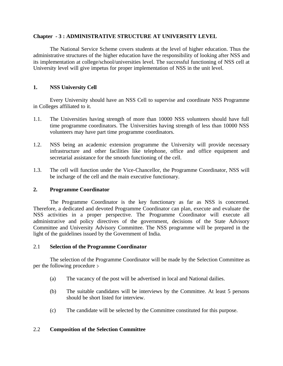#### **Chapter - 3 : ADMINISTRATIVE STRUCTURE AT UNIVERSITY LEVEL**

The National Service Scheme covers students at the level of higher education. Thus the administrative structures of the higher education have the responsibility of looking after NSS and its implementation at college/school/universities level. The successful functioning of NSS cell at University level will give impetus for proper implementation of NSS in the unit level.

# **1. NSS University Cell**

Every University should have an NSS Cell to supervise and coordinate NSS Programme in Colleges affiliated to it.

- 1.1. The Universities having strength of more than 10000 NSS volunteers should have full time programme coordinators. The Universities having strength of less than 10000 NSS volunteers may have part time programme coordinators.
- 1.2. NSS being an academic extension programme the University will provide necessary infrastructure and other facilities like telephone, office and office equipment and secretarial assistance for the smooth functioning of the cell.
- 1.3. The cell will function under the Vice-Chancellor, the Programme Coordinator, NSS will be incharge of the cell and the main executive functionary.

## **2. Programme Coordinator**

The Programme Coordinator is the key functionary as far as NSS is concerned. Therefore, a dedicated and devoted Programme Coordinator can plan, execute and evaluate the NSS activities in a proper perspective. The Programme Coordinator will execute all administrative and policy directives of the government, decisions of the State Advisory Committee and University Advisory Committee. The NSS programme will be prepared in the light of the guidelines issued by the Government of India.

## 2.1 **Selection of the Programme Coordinator**

The selection of the Programme Coordinator will be made by the Selection Committee as per the following procedure :-

- (a) The vacancy of the post will be advertised in local and National dailies.
- (b) The suitable candidates will be interviews by the Committee. At least 5 persons should be short listed for interview.
- (c) The candidate will be selected by the Committee constituted for this purpose.

## 2.2 **Composition of the Selection Committee**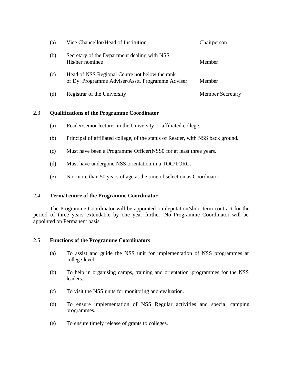| (a) | Vice Chancellor/Head of Institution                                                                 | Chairperson             |
|-----|-----------------------------------------------------------------------------------------------------|-------------------------|
| (b) | Secretary of the Department dealing with NSS<br>His/her nominee                                     | Member                  |
| (c) | Head of NSS Regional Centre not below the rank<br>of Dy. Programme Adviser/Asstt. Programme Adviser | Member                  |
| (d) | Registrar of the University                                                                         | <b>Member Secretary</b> |

# 2.3 **Qualifications of the Programme Coordinator**

- (a) Reader/senior lecturer in the University or affiliated college.
- (b) Principal of affiliated college, of the status of Reader, with NSS back ground.
- (c) Must have been a Programme Officer(NSS0 for at least three years.
- (d) Must have undergone NSS orientation in a TOC/TORC.
- (e) Not more than 50 years of age at the time of selection as Coordinator.

## 2.4 **Term/Tenure of the Programme Coordinator**

The Programme Coordinator will be appointed on deputation/short term contract for the period of three years extendable by one year further. No Programme Coordinator will be appointed on Permanent basis.

## 2.5 **Functions of the Programme Coordinators**

- (a) To assist and guide the NSS unit for implementation of NSS programmes at college level.
- (b) To help in organising camps, training and orientation programmes for the NSS leaders.
- (c) To visit the NSS units for monitoring and evaluation.
- (d) To ensure implementation of NSS Regular activities and special camping programmes.
- (e) To ensure timely release of grants to colleges.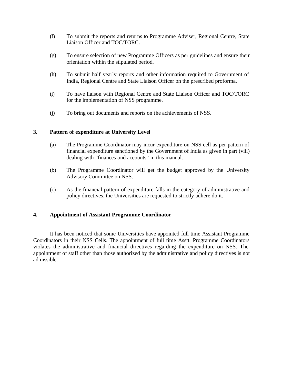- (f) To submit the reports and returns to Programme Adviser, Regional Centre, State Liaison Officer and TOC/TORC.
- (g) To ensure selection of new Programme Officers as per guidelines and ensure their orientation within the stipulated period.
- (h) To submit half yearly reports and other information required to Government of India, Regional Centre and State Liaison Officer on the prescribed proforma.
- (i) To have liaison with Regional Centre and State Liaison Officer and TOC/TORC for the implementation of NSS programme.
- (j) To bring out documents and reports on the achievements of NSS.

# **3. Pattern of expenditure at University Level**

- (a) The Programme Coordinator may incur expenditure on NSS cell as per pattern of financial expenditure sanctioned by the Government of India as given in part (viii) dealing with "finances and accounts" in this manual.
- (b) The Programme Coordinator will get the budget approved by the University Advisory Committee on NSS.
- (c) As the financial pattern of expenditure falls in the category of administrative and policy directives, the Universities are requested to strictly adhere do it.

## **4. Appointment of Assistant Programme Coordinator**

It has been noticed that some Universities have appointed full time Assistant Programme Coordinators in their NSS Cells. The appointment of full time Asstt. Programme Coordinators violates the administrative and financial directives regarding the expenditure on NSS. The appointment of staff other than those authorized by the administrative and policy directives is not admissible.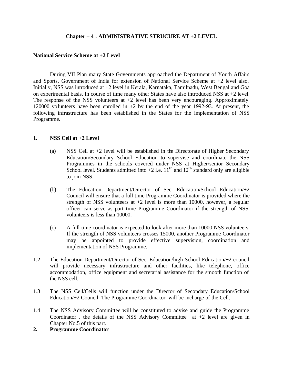## **Chapter – 4 : ADMINISTRATIVE STRUCURE AT +2 LEVEL**

#### **National Service Scheme at +2 Level**

During VII Plan many State Governments approached the Department of Youth Affairs and Sports, Government of India for extension of National Service Scheme at +2 level also. Initially, NSS was introduced at +2 level in Kerala, Karnataka, Tamilnadu, West Bengal and Goa on experimental basis. In course of time many other States have also introduced NSS at +2 level. The response of the NSS volunteers at  $+2$  level has been very encouraging. Approximately 120000 volunteers have been enrolled in +2 by the end of the year 1992-93. At present, the following infrastructure has been established in the States for the implementation of NSS Programme.

#### **1. NSS Cell at +2 Level**

- (a) NSS Cell at +2 level will be established in the Directorate of Higher Secondary Education/Secondary School Education to supervise and coordinate the NSS Programmes in the schools covered under NSS at Higher/senior Secondary School level. Students admitted into  $+2$  i.e.  $11<sup>th</sup>$  and  $12<sup>th</sup>$  standard only are eligible to join NSS.
- (b) The Education Department/Director of Sec. Education/School Education/+2 Council will ensure that a full time Programme Coordinator is provided where the strength of NSS volunteers at  $+2$  level is more than 10000. however, a regular officer can serve as part time Programme Coordinator if the strength of NSS volunteers is less than 10000.
- (c) A full time coordinator is expected to look after more than 10000 NSS volunteers. If the strength of NSS volunteers crosses 15000, another Programme Coordinator may be appointed to provide effective supervision, coordination and implementation of NSS Programme.
- 1.2 The Education Department/Director of Sec. Education/high School Education/+2 council will provide necessary infrastructure and other facilities, like telephone, office accommodation, office equipment and secretarial assistance for the smooth function of the NSS cell.
- 1.3 The NSS Cell/Cells will function under the Director of Secondary Education/School Education/+2 Council. The Programme Coordina tor will be incharge of the Cell.
- 1.4 The NSS Advisory Committee will be constituted to advise and guide the Programme Coordinator . the details of the NSS Advisory Committee  $at +2$  level are given in Chapter No.5 of this part.
- **2. Programme Coordinator**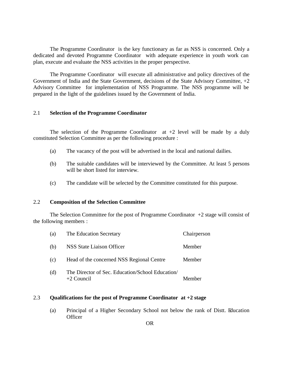The Programme Coordinator is the key functionary as far as NSS is concerned. Only a dedicated and devoted Programme Coordinator with adequate experience in youth work can plan, execute and evaluate the NSS activities in the proper perspective.

The Programme Coordinator will execute all administrative and policy directives of the Government of India and the State Government, decisions of the State Advisory Committee, +2 Advisory Committee for implementation of NSS Programme. The NSS programme will be prepared in the light of the guidelines issued by the Government of India.

## 2.1 **Selection of the Programme Coordinator**

The selection of the Programme Coordinator  $at +2$  level will be made by a duly constituted Selection Committee as per the following procedure :

- (a) The vacancy of the post will be advertised in the local and national dailies.
- (b) The suitable candidates will be interviewed by the Committee. At least 5 persons will be short listed for interview.
- (c) The candidate will be selected by the Committee constituted for this purpose.

## 2.2 **Composition of the Selection Committee**

The Selection Committee for the post of Programme Coordinator  $+2$  stage will consist of the following members :

| (a) | The Education Secretary                                          | Chairperson |
|-----|------------------------------------------------------------------|-------------|
| (b) | NSS State Liaison Officer                                        | Member      |
| (c) | Head of the concerned NSS Regional Centre                        | Member      |
| (d) | The Director of Sec. Education/School Education/<br>$+2$ Council | Member      |

# 2.3 **Qualifications for the post of Programme Coordinator at +2 stage**

(a) Principal of a Higher Secondary School not below the rank of Distt. Education **Officer**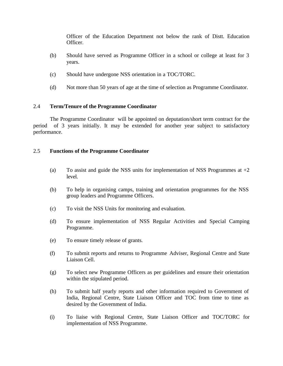Officer of the Education Department not below the rank of Distt. Education Officer.

- (b) Should have served as Programme Officer in a school or college at least for 3 years.
- (c) Should have undergone NSS orientation in a TOC/TORC.
- (d) Not more than 50 years of age at the time of selection as Programme Coordinator.

## 2.4 **Term/Tenure of the Programme Coordinator**

The Programme Coordinator will be appointed on deputation/short term contract for the period of 3 years initially. It may be extended for another year subject to satisfactory performance.

## 2.5 **Functions of the Programme Coordinator**

- (a) To assist and guide the NSS units for implementation of NSS Programmes at  $+2$ level.
- (b) To help in organising camps, training and orientation programmes for the NSS group leaders and Programme Officers.
- (c) To visit the NSS Units for monitoring and evaluation.
- (d) To ensure implementation of NSS Regular Activities and Special Camping Programme.
- (e) To ensure timely release of grants.
- (f) To submit reports and returns to Programme Adviser, Regional Centre and State Liaison Cell.
- (g) To select new Programme Officers as per guidelines and ensure their orientation within the stipulated period.
- (h) To submit half yearly reports and other information required to Government of India, Regional Centre, State Liaison Officer and TOC from time to time as desired by the Government of India.
- (i) To liaise with Regional Centre, State Liaison Officer and TOC/TORC for implementation of NSS Programme.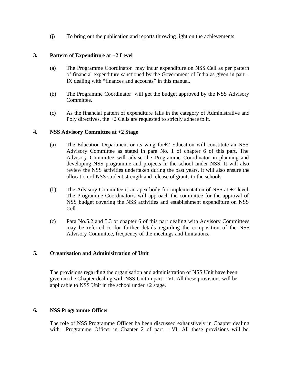(j) To bring out the publication and reports throwing light on the achievements.

# **3. Pattern of Expenditure at +2 Level**

- (a) The Programme Coordinator may incur expenditure on NSS Cell as per pattern of financial expenditure sanctioned by the Government of India as given in part – IX dealing with "finances and accounts" in this manual.
- (b) The Programme Coordinator will get the budget approved by the NSS Advisory Committee.
- (c) As the financial pattern of expenditure falls in the category of Administrative and Poly directives, the +2 Cells are requested to strictly adhere to it.

## **4. NSS Advisory Committee at +2 Stage**

- (a) The Education Department or its wing for+2 Education will constitute an NSS Advisory Committee as stated in para No. 1 of chapter 6 of this part. The Advisory Committee will advise the Programme Coordinator in planning and developing NSS programme and projects in the school under NSS. It will also review the NSS activities undertaken during the past years. It will also ensure the allocation of NSS student strength and release of grants to the schools.
- (b) The Advisory Committee is an apex body for implementation of NSS at +2 level. The Programme Coordinator/s will approach the committee for the approval of NSS budget covering the NSS activities and establishment expenditure on NSS Cell.
- (c) Para No.5.2 and 5.3 of chapter 6 of this part dealing with Advisory Committees may be referred to for further details regarding the composition of the NSS Advisory Committee, frequency of the meetings and limitations.

# **5. Organisation and Adminisitration of Unit**

The provisions regarding the organisation and administration of NSS Unit have been given in the Chapter dealing with NSS Unit in part – VI. All these provisions will be applicable to NSS Unit in the school under +2 stage.

# **6. NSS Programme Officer**

The role of NSS Programme Officer ha been discussed exhaustively in Chapter dealing with Programme Officer in Chapter 2 of part – VI. All these provisions will be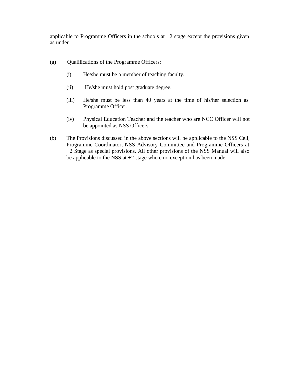applicable to Programme Officers in the schools at  $+2$  stage except the provisions given as under :

- (a) Qualifications of the Programme Officers:
	- (i) He/she must be a member of teaching faculty.
	- (ii) He/she must hold post graduate degree.
	- (iii) He/she must be less than 40 years at the time of his/her selection as Programme Officer.
	- (iv) Physical Education Teacher and the teacher who are NCC Officer will not be appointed as NSS Officers.
- (b) The Provisions discussed in the above sections will be applicable to the NSS Cell, Programme Coordinator, NSS Advisory Committee and Programme Officers at +2 Stage as special provisions. All other provisions of the NSS Manual will also be applicable to the NSS at +2 stage where no exception has been made.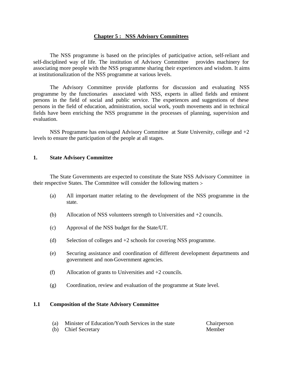#### **Chapter 5 : NSS Advisory Committees**

The NSS programme is based on the principles of participative action, self-reliant and self-disciplined way of life. The institution of Advisory Committee provides machinery for associating more people with the NSS programme sharing their experiences and wisdom. It aims at institutionalization of the NSS programme at various levels.

The Advisory Committee provide platforms for discussion and evaluating NSS programme by the functionaries associated with NSS, experts in allied fields and eminent persons in the field of social and public service. The experiences and suggestions of these persons in the field of education, administration, social work, youth movements and in technical fields have been enriching the NSS programme in the processes of planning, supervision and evaluation.

NSS Programme has envisaged Advisory Committee at State University, college and +2 levels to ensure the participation of the people at all stages.

#### **1. State Advisory Committee**

The State Governments are expected to constitute the State NSS Advisory Committee in their respective States. The Committee will consider the following matters :-

- (a) All important matter relating to the development of the NSS programme in the state.
- (b) Allocation of NSS volunteers strength to Universities and +2 councils.
- (c) Approval of the NSS budget for the State/UT.
- (d) Selection of colleges and  $+2$  schools for covering NSS programme.
- (e) Securing assistance and coordination of different development departments and government and non-Government agencies.
- (f) Allocation of grants to Universities and +2 councils.
- (g) Coordination, review and evaluation of the programme at State level.

#### **1.1 Composition of the State Advisory Committee**

- (a) Minister of Education/Youth Services in the state Chairperson
	-
- (b) Chief Secretary Member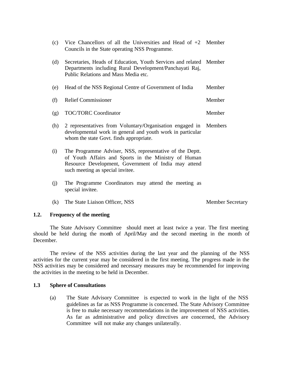| (c) | Vice Chancellors of all the Universities and Head of $+2$ Member<br>Councils in the State operating NSS Programme.                                                                                           |         |
|-----|--------------------------------------------------------------------------------------------------------------------------------------------------------------------------------------------------------------|---------|
| (d) | Secretaries, Heads of Education, Youth Services and related Member<br>Departments including Rural Development/Panchayati Raj,<br>Public Relations and Mass Media etc.                                        |         |
| (e) | Head of the NSS Regional Centre of Government of India                                                                                                                                                       | Member  |
| (f) | <b>Relief Commissioner</b>                                                                                                                                                                                   | Member  |
| (g) | <b>TOC/TORC Coordinator</b>                                                                                                                                                                                  | Member  |
| (h) | 2 representatives from Voluntary/Organisation engaged in<br>developmental work in general and youth work in particular<br>whom the state Govt. finds appropriate.                                            | Members |
| (i) | The Programme Adviser, NSS, representative of the Deptt.<br>of Youth Affairs and Sports in the Ministry of Human<br>Resource Development, Government of India may attend<br>such meeting as special invitee. |         |
| (j) | The Programme Coordinators may attend the meeting as<br>special invitee.                                                                                                                                     |         |

(k) The State Liaison Officer, NSS Member Secretary

#### **1.2. Frequency of the meeting**

The State Advisory Committee should meet at least twice a year. The first meeting should be held during the month of April/May and the second meeting in the month of December.

The review of the NSS activities during the last year and the planning of the NSS activities for the current year may be considered in the first meeting. The progress made in the NSS activities may be considered and necessary measures may be recommended for improving the activities in the meeting to be held in December.

#### **1.3 Sphere of Consultations**

(a) The State Advisory Committee is expected to work in the light of the NSS guidelines as far as NSS Programme is concerned. The State Advisory Committee is free to make necessary recommendations in the improvement of NSS activities. As far as administrative and policy directives are concerned, the Advisory Committee will not make any changes unilaterally.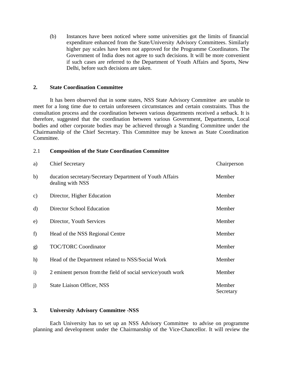(b) Instances have been noticed where some universities got the limits of financial expenditure enhanced from the State/University Advisory Committees. Similarly higher pay scales have been not approved for the Programme Coordinators. The Government of India does not agree to such decisions. It will be more convenient if such cases are referred to the Department of Youth Affairs and Sports, New Delhi, before such decisions are taken.

#### **2. State Coordination Committee**

It has been observed that in some states, NSS State Advisory Committee are unable to meet for a long time due to certain unforeseen circumstances and certain constraints. Thus the consultation process and the coordination between various departments received a setback. It is therefore, suggested that the coordination between various Government, Departments, Local bodies and other corporate bodies may be achieved through a Standing Committee under the Chairmanship of the Chief Secretary. This Committee may be known as State Coordination Committee.

#### 2.1 **Composition of the State Coordination Committee**

| a)            | <b>Chief Secretary</b>                                                       | Chairperson         |
|---------------|------------------------------------------------------------------------------|---------------------|
| b)            | ducation secretary/Secretary Department of Youth Affairs<br>dealing with NSS | Member              |
| $\mathbf{c})$ | Director, Higher Education                                                   | Member              |
| $\mathbf{d}$  | Director School Education                                                    | Member              |
| e)            | Director, Youth Services                                                     | Member              |
| f)            | Head of the NSS Regional Centre                                              | Member              |
| g)            | <b>TOC/TORC Coordinator</b>                                                  | Member              |
| h)            | Head of the Department related to NSS/Social Work                            | Member              |
| $\ddot{i}$    | 2 eminent person from the field of social service/youth work                 | Member              |
| $\mathbf{j}$  | <b>State Liaison Officer, NSS</b>                                            | Member<br>Secretary |

## **3. University Advisory Committee -NSS**

Each University has to set up an NSS Advisory Committee to advise on programme planning and development under the Chairmanship of the Vice-Chancellor. It will review the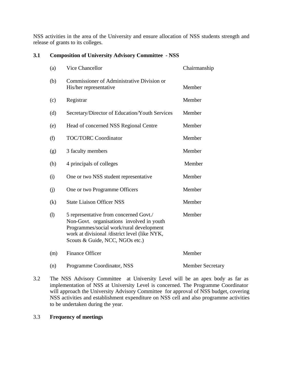NSS activities in the area of the University and ensure allocation of NSS students strength and release of grants to its colleges.

# **3.1 Composition of University Advisory Committee - NSS**

| (a)               | Vice Chancellor                                                                                                                                                                                                     | Chairmanship            |
|-------------------|---------------------------------------------------------------------------------------------------------------------------------------------------------------------------------------------------------------------|-------------------------|
| (b)               | Commissioner of Administrative Division or<br>His/her representative                                                                                                                                                | Member                  |
| (c)               | Registrar                                                                                                                                                                                                           | Member                  |
| (d)               | Secretary/Director of Education/Youth Services                                                                                                                                                                      | Member                  |
| (e)               | Head of concerned NSS Regional Centre                                                                                                                                                                               | Member                  |
| (f)               | <b>TOC/TORC Coordinator</b>                                                                                                                                                                                         | Member                  |
| (g)               | 3 faculty members                                                                                                                                                                                                   | Member                  |
| (h)               | 4 principals of colleges                                                                                                                                                                                            | Member                  |
| (i)               | One or two NSS student representative                                                                                                                                                                               | Member                  |
| (i)               | One or two Programme Officers                                                                                                                                                                                       | Member                  |
| $\left( k\right)$ | <b>State Liaison Officer NSS</b>                                                                                                                                                                                    | Member                  |
| (1)               | 5 representative from concerned Govt./<br>Non-Govt. organisations involved in youth<br>Programmes/social work/rural development<br>work at divisional /district level (like NYK,<br>Scouts & Guide, NCC, NGOs etc.) | Member                  |
| (m)               | <b>Finance Officer</b>                                                                                                                                                                                              | Member                  |
| (n)               | Programme Coordinator, NSS                                                                                                                                                                                          | <b>Member Secretary</b> |

3.2 The NSS Advisory Committee at University Level will be an apex body as far as implementation of NSS at University Level is concerned. The Programme Coordinator will approach the University Advisory Committee for approval of NSS budget, covering NSS activities and establishment expenditure on NSS cell and also programme activities to be undertaken during the year.

# 3.3 **Frequency of meetings**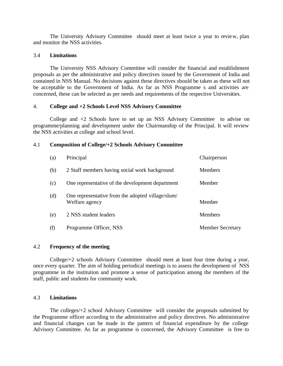The University Advisory Committee should meet at least twice a year to review, plan and monitor the NSS activities.

#### 3.4 **Limitations**

The University NSS Advisory Committee will consider the financial and establishment proposals as per the administrative and policy directives issued by the Government of India and contained in NSS Manual. No decisions against these directives should be taken as these will not be acceptable to the Government of India. As far as NSS Programme s and activities are concerned, these can be selected as per needs and requirements of the respective Universities.

#### 4. **College and +2 Schools Level NSS Advisory Committee**

College and  $+2$  Schools have to set up an NSS Advisory Committee to advise on programme/planning and development under the Chairmanship of the Principal. It will review the NSS activities at college and school level.

#### 4.1 **Composition of College/+2 Schools Advisory Committee**

| (a) | Principal                                                           | Chairperson             |
|-----|---------------------------------------------------------------------|-------------------------|
| (b) | 2 Staff members having social work background                       | <b>Members</b>          |
| (c) | One representative of the development department                    | Member                  |
| (d) | One representative from the adopted village/slum/<br>Welfare agency | Member                  |
| (e) | 2 NSS student leaders                                               | <b>Members</b>          |
| (f) | Programme Officer, NSS                                              | <b>Member Secretary</b> |

## 4.2 **Frequency of the meeting**

College/+2 schools Advisory Committee should meet at least four time during a year, once every quarter. The aim of holding periodical meetings is to assess the development of NSS programme in the institution and promote a sense of participation among the members of the staff, public and students for community work.

#### 4.3 **Limitations**

The colleges/+2 school Advisory Committee will consider the proposals submitted by the Programme officer according to the administrative and policy directives. No administrative and financial changes can be made in the pattern of financial expenditure by the college Advisory Committee. As far as programme is concerned, the Advisory Committee is free to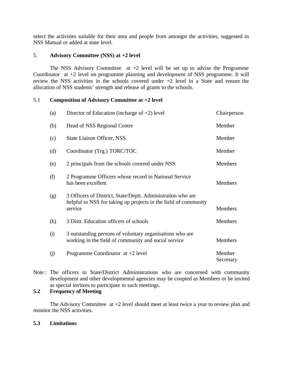select the activities suitable for their area and people from amongst the activities, suggested in NSS Manual or added at state level.

## 5. **Advisory Committee (NSS) at +2 level**

The NSS Advisory Committee at  $+2$  level will be set up to advise the Programme Coordinator at +2 level on programme planning and development of NSS programme. It will review the NSS activities in the schools covered under +2 level in a State and ensure the allocation of NSS students' strength and release of grants to the schools.

# 5.1 **Composition of Advisory Committee at +2 level**

| (a) | Director of Education (incharge of $+2$ ) level                                                                                           | Chairperson         |
|-----|-------------------------------------------------------------------------------------------------------------------------------------------|---------------------|
| (b) | Head of NSS Regional Centre                                                                                                               | Member              |
| (c) | <b>State Liaison Officer, NSS</b>                                                                                                         | Member              |
| (d) | Coordinator (Trg.) TORC/TOC                                                                                                               | Member              |
| (e) | 2 principals from the schools covered under NSS                                                                                           | <b>Members</b>      |
| (f) | 2 Programme Officers whose record in National Service<br>has been excellent                                                               | <b>Members</b>      |
| (g) | 3 Officers of District, State/Deptt. Administration who are<br>helpful to NSS for taking up projects in the field of community<br>service | <b>Members</b>      |
| (h) | 3 Distt. Education officers of schools                                                                                                    | <b>Members</b>      |
| (i) | 3 outstanding persons of voluntary organisations who are<br>working in the field of community and social service                          | <b>Members</b>      |
| (j) | Programme Coordinator at $+2$ level                                                                                                       | Member<br>Secretary |

Note : The officers in State/District Administrations who are concerned with community development and other developmental agencies may be coopted as Members or be invited as special invitees to participate in such meetings.

## **5.2 Frequency of Meeting**

The Advisory Committee  $at +2$  level should meet at least twice a year to review plan and monitor the NSS activities.

## **5.3 Limitations**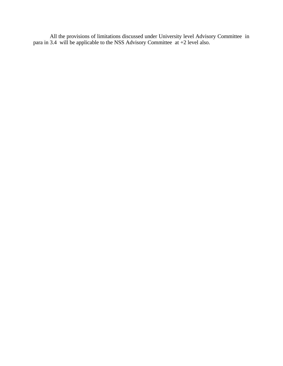All the provisions of limitations discussed under University level Advisory Committee in para in 3.4 will be applicable to the NSS Advisory Committee at +2 level also.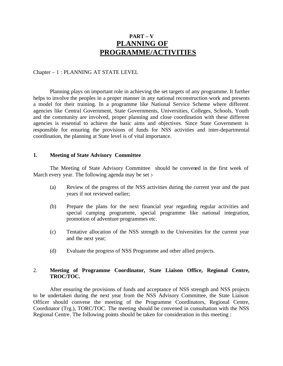# **PART – V PLANNING OF PROGRAMME/ACTIVITIES**

#### Chapter – 1 : PLANNING AT STATE LEVEL

Planning plays on important role in achieving the set targets of any programme. It further helps to involve the peoples in a proper manner in any national reconstruction work and presents a model for their training. In a programme like National Service Scheme where different agencies like Central Government, State Governments, Universities, Colleges, Schools, Youth and the community are involved, proper planning and close coordination with these different agencies is essential to achieve the basic aims and objectives. Since State Government is responsible for ensuring the provisions of funds for NSS activities and inter-departmental coordination, the planning at State level is of vital importance.

#### **1. Meeting of State Advisory Committee**

The Meeting of State Advisory Committee should be convened in the first week of March every year. The following agenda may be set :-

- (a) Review of the progress of the NSS activities during the current year and the past years if not reviewed earlier;
- (b) Prepare the plans for the next financial year regarding regular activities and special camping programme, special programme like national integration, promotion of adventure programmes etc.
- (c) Tentative allocation of the NSS strength to the Universities for the current year and the next year;
- (d) Evaluate the progress of NSS Programme and other allied projects.

#### 2. **Meeting of Programme Coordinator, State Liaison Office, Regional Centre, TROC/TOC.**

After ensuring the provisions of funds and acceptance of NSS strength and NSS projects to be undertaken during the next year from the NSS Advisory Committee, the State Liaison Officer should convene the meeting of the Programme Coordinators, Regional Centre, Coordinator (Trg.), TORC/TOC. The meeting should be convened in consultation with the NSS Regional Centre. The following points should be taken for consideration in this meeting :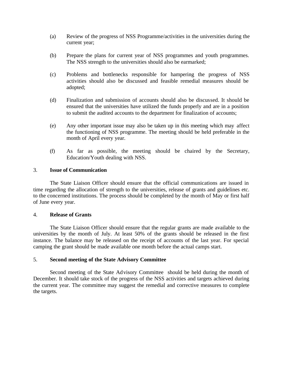- (a) Review of the progress of NSS Programme/activities in the universities during the current year;
- (b) Prepare the plans for current year of NSS programmes and youth programmes. The NSS strength to the universities should also be earmarked;
- (c) Problems and bottlenecks responsible for hampering the progress of NSS activities should also be discussed and feasible remedial measures should be adopted;
- (d) Finalization and submission of accounts should also be discussed. It should be ensured that the universities have utilized the funds properly and are in a position to submit the audited accounts to the department for finalization of accounts;
- (e) Any other important issue may also be taken up in this meeting which may affect the functioning of NSS programme. The meeting should be held preferable in the month of April every year.
- (f) As far as possible, the meeting should be chaired by the Secretary, Education/Youth dealing with NSS.

## 3. **Issue of Communication**

The State Liaison Officer should ensure that the official communications are issued in time regarding the allocation of strength to the universities, release of grants and guidelines etc. to the concerned institutions. The process should be completed by the month of May or first half of June every year.

#### 4. **Release of Grants**

The State Liaison Officer should ensure that the regular grants are made available to the universities by the month of July. At least 50% of the grants should be released in the first instance. The balance may be released on the receipt of accounts of the last year. For special camping the grant should be made available one month before the actual camps start.

## 5. **Second meeting of the State Advisory Committee**

Second meeting of the State Advisory Committee should be held during the month of December. It should take stock of the progress of the NSS activities and targets achieved during the current year. The committee may suggest the remedial and corrective measures to complete the targets.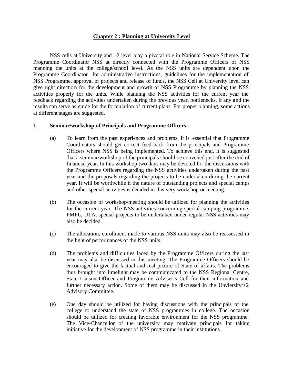## **Chapter 2 : Planning at University Level**

NSS cells at University and +2 level play a pivotal role in National Service Scheme. The Programme Coordinator NSS at directly connected with the Programme Officers of NSS manning the units at the college/school level. As the NSS units are dependent upon the Programme Coordinator for administrative instructions, guidelines for the implementation of NSS Programme, approval of projects and release of funds, the NSS Cell at University level can give right direction for the development and growth of NSS Programme by planning the NSS activities properly for the units. While planning the NSS activities for the current year the feedback regarding the activities undertaken during the previous year, bottlenecks, if any and the results can serve as guide for the formulation of current plans. For proper planning, some actions at different stages are suggested.

#### 1. **Seminar/workshop of Principals and Programme Officers**

- (a) To learn from the past experiences and problems, it is essential that Programme Coordinators should get correct feed-back from the principals and Programme Officers where NSS is being implemented. To achieve this end, it is suggested that a seminar/workshop of the principals should be convened just after the end of financial year. In this workshop two days may be devoted for the discussions with the Programme Officers regarding the NSS activities undertaken during the past year and the proposals regarding the projects to be undertaken during the current year. It will be worthwhile if the nature of outstanding projects and special camps and other special activities is decided in this very workshop or meeting.
- (b) The occasion of workshop/meeting should be utilized for planning the activities for the current year. The NSS activities concerning special camping programme, PMFL, UTA, special projects to be undertaken under regular NSS activities may also be decided.
- (c) The allocation, enrollment made to various NSS units may also be reassessed in the light of performances of the NSS units.
- (d) The problems and difficulties faced by the Programme Officers during the last year may also be discussed in this meeting. The Programme Officers should be encouraged to give the factual and real picture of State of affairs. The problems thus brought into limelight may be communicated to the NSS Regional Centre, State Liaison Officer and Programme Adviser's Cell for their information and further necessary action. Some of them may be discussed in the Unviersity $/+2$ Advisory Committee.
- (e) One day should be utilized for having discussions with the principals of the college to understand the state of NSS programmes in college. The occasion should be utilized for creating favorable environment for the NSS programme. The Vice-Chancellor of the university may motivate principals for taking initiative for the development of NSS programme in their institutions.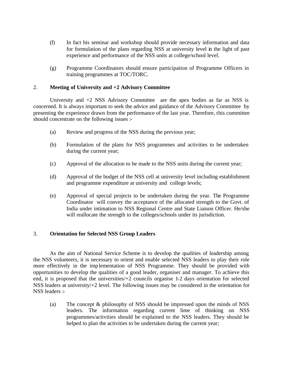- (f) In fact his seminar and workshop should provide necessary information and data for formulation of the plans regarding NSS at university level in the light of past experience and performance of the NSS units at college/school level.
- (g) Programme Coordinators should ensure participation of Programme Officers in training programmes at TOC/TORC.

# 2. **Meeting of University and +2 Advisory Committee**

University and  $+2$  NSS Advisory Committee are the apex bodies as far as NSS is concerned. It is always important to seek the advice and guidance of the Advisory Committee by presenting the experience drawn from the performance of the last year. Therefore, this committee should concentrate on the following issues :-

- (a) Review and progress of the NSS during the previous year;
- (b) Formulation of the plans for NSS programmes and activities to be undertaken during the current year;
- (c) Approval of the allocation to be made to the NSS units during the current year;
- (d) Approval of the budget of the NSS cell at university level including establishment and programme expenditure at university and college levels;
- (e) Approval of special projects to be undertaken during the year. The Programme Coordinator will convey the acceptance of the allocated strength to the Govt. of India under intimation to NSS Regional Centre and State Liaison Officer. He/she will reallocate the strength to the colleges/schools under its jurisdiction.

# 3. **Orientation for Selected NSS Group Leaders**

As the aim of National Service Scheme is to develop the qualities of leadership among the NSS volunteers, it is necessary to orient and enable selected NSS leaders to play their role more effectively in the implementation of NSS Programme. They should be provided with opportunities to develop the qualities of a good leader, organiser and manager. To achieve this end, it is proposed that the universities/+2 councils organise 1-2 days orientation for selected NSS leaders at university/+2 level. The following issues may be considered in the orientation for NSS leaders :-

(a) The concept & philosophy of NSS should be impressed upon the minds of NSS leaders. The information regarding current lime of thinking on NSS programmes/activities should be explained to the NSS leaders. They should be helped to plan the activities to be undertaken during the current year;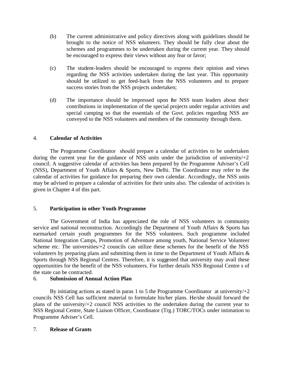- (b) The current administrative and policy directives along with guidelines should be brought to the notice of NSS volunteers. They should be fully clear about the schemes and programmes to be undertaken during the current year. They should be encouraged to express their views without any fear or favor;
- (c) The student-leaders should be encouraged to express their opinion and views regarding the NSS activities undertaken during the last year. This opportunity should be utilized to get feed-back from the NSS volunteers and to prepare success stories from the NSS projects undertaken;
- (d) The importance should be impressed upon the NSS team leaders about their contributions in implementation of the special projects under regular activities and special camping so that the essentials of the Govt. policies regarding NSS are conveyed to the NSS volunteers and members of the community through them.

# 4. **Calendar of Activities**

The Programme Coordinator should prepare a calendar of activities to be undertaken during the current year for the guidance of NSS units under the jurisdiction of university $/+2$ council. A suggestive calendar of activities has been prepared by the Programme Adviser's Cell (NSS), Department of Youth Affairs & Sports, New Delhi. The Coordinator may refer to the calendar of activities for guidance for preparing their own calendar. Accordingly, the NSS units may be advised to prepare a calendar of activities for their units also. The calendar of activities is given in Chapter 4 of this part.

# 5. **Participation in other Youth Programme**

The Government of India has appreciated the role of NSS volunteers in community service and national reconstruction. Accordingly the Department of Youth Affairs & Sports has earmarked certain youth programmes for the NSS volunteers. Such programme included National Integration Camps, Promotion of Adventure among youth, National Service Volunteer scheme etc. The universities/+2 councils can utilize these schemes for the benefit of the NSS volunteers by preparing plans and submitting them in time to the Department of Youth Affairs & Sports through NSS Regional Centres. Therefore, it is suggested that university may avail these opportunities for the benefit of the NSS volunteers. For further details NSS Regional Centre s of the state can be contracted.

# 6. **Submission of Annual Action Plan**

By initiating actions as stated in paras 1 to 5 the Programme Coordinator at university/ $+2$ councils NSS Cell has sufficient material to formulate his/her plans. He/she should forward the plans of the university/+2 council NSS activities to the undertaken during the current year to NSS Regional Centre, State Liaison Officer, Coordinator (Trg.) TORC/TOCs under intimation to Programme Adviser's Cell.

# 7. **Release of Grants**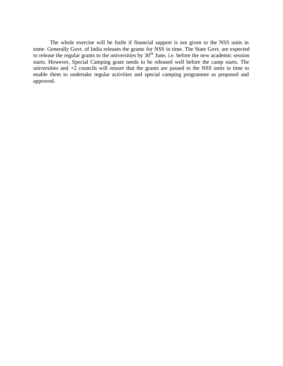The whole exercise will be futile if financial support is not given to the NSS units in tome. Generally Govt. of India releases the grants for NSS in time. The State Govt. are expected to release the regular grants to the universities by  $30<sup>th</sup>$  June, i.e. before the new academic session starts. However, Special Camping grant needs to be released well before the camp starts. The universities and  $+2$  councils will ensure that the grants are passed to the NSS units in time to enable them to undertake regular activities and special camping programme as proposed and approved.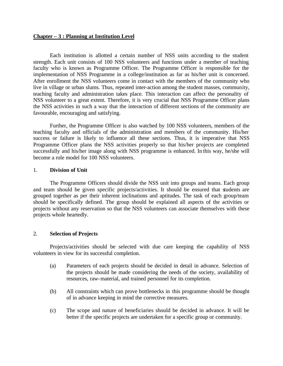#### **Chapter – 3 : Planning at Institution Level**

Each institution is allotted a certain number of NSS units according to the student strength. Each unit consists of 100 NSS volunteers and functions under a member of teaching faculty who is known as Programme Officer. The Programme Officer is responsible for the implementation of NSS Programme in a college/institution as far as his/her unit is concerned. After enrollment the NSS volunteers come in contact with the members of the community who live in village or urban slums. Thus, repeated inter-action among the student masses, community, teaching faculty and administration takes place. This interaction can affect the personality of NSS volunteer to a great extent. Therefore, it is very crucial that NSS Programme Officer plans the NSS activities in such a way that the interaction of different sections of the community are favourable, encouraging and satisfying.

Further, the Programme Officer is also watched by 100 NSS volunteers, members of the teaching faculty and officials of the administration and members of the community. His/her success or failure is likely to influence all these sections. Thus, it is imperative that NSS Programme Officer plans the NSS activities properly so that his/her projects are completed successfully and his/her image along with NSS programme is enhanced. In this way, he/she will become a role model for 100 NSS volunteers.

#### 1. **Division of Unit**

The Programme Officers should divide the NSS unit into groups and teams. Each group and team should be given specific projects/activities. It should be ensured that students are grouped together as per their inherent inclinations and aptitudes. The task of each group/team should be specifically defined. The group should be explained all aspects of the activities or projects without any reservation so that the NSS volunteers can associate themselves with these projects whole heartedly.

## 2. **Selection of Projects**

Projects/activities should be selected with due care keeping the capability of NSS volunteers in view for its successful completion.

- (a) Parameters of each projects should be decided in detail in advance. Selection of the projects should be made considering the needs of the society, availability of resources, raw-material, and trained personnel for its completion.
- (b) All constraints which can prove bottlenecks in this programme should be thought of in advance keeping in mind the corrective measures.
- (c) The scope and nature of beneficiaries should be decided in advance. It will be better if the specific projects are undertaken for a specific group or community.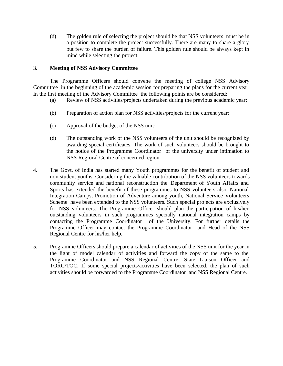(d) The golden rule of selecting the project should be that NSS volunteers must be in a position to complete the project successfully. There are many to share a glory but few to share the burden of failure. This golden rule should be always kept in mind while selecting the project.

## 3. **Meeting of NSS Advisory Committee**

The Programme Officers should convene the meeting of college NSS Advisory Committee in the beginning of the academic session for preparing the plans for the current year. In the first meeting of the Advisory Committee the following points are be considered:

- (a) Review of NSS activities/projects undertaken during the previous academic year;
- (b) Preparation of action plan for NSS activities/projects for the current year;
- (c) Approval of the budget of the NSS unit;
- (d) The outstanding work of the NSS volunteers of the unit should be recognized by awarding special certificates. The work of such volunteers should be brought to the notice of the Programme Coordinator of the university under intimation to NSS Regional Centre of concerned region.
- 4. The Govt. of India has started many Youth programmes for the benefit of student and non-student youths. Considering the valuable contribution of the NSS volunteers towards community service and national reconstruction the Department of Youth Affairs and Sports has extended the benefit of these programmes to NSS volunteers also. National Integration Camps, Promotion of Adventure among youth, National Service Volunteers Scheme have been extended to the NSS volunteers. Such special projects are exclusively for NSS volunteers. The Programme Officer should plan the participation of his/her outstanding volunteers in such programmes specially national integration camps by contacting the Programme Coordinator of the University. For further details the Programme Officer may contact the Programme Coordinator and Head of the NSS Regional Centre for his/her help.
- 5. Programme Officers should prepare a calendar of activities of the NSS unit for the year in the light of model calendar of activities and forward the copy of the same to the Programme Coordinator and NSS Regional Centre, State Liaison Officer and TORC/TOC. If some special projects/activities have been selected, the plan of such activities should be forwarded to the Programme Coordinator and NSS Regional Centre.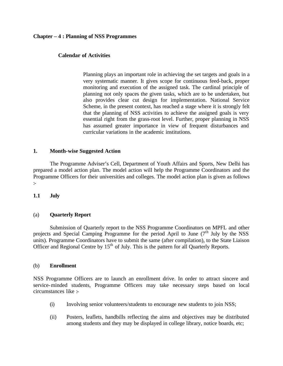#### **Chapter – 4 : Planning of NSS Programmes**

#### **Calendar of Activities**

Planning plays an important role in achieving the set targets and goals in a very systematic manner. It gives scope for continuous feed-back, proper monitoring and execution of the assigned task. The cardinal principle of planning not only spaces the given tasks, which are to be undertaken, but also provides clear cut design for implementation. National Service Scheme, in the present context, has reached a stage where it is strongly felt that the planning of NSS activities to achieve the assigned goals is very essential right from the grass-root level. Further, proper planning in NSS has assumed greater importance in view of frequent disturbances and curricular variations in the academic institutions.

## **1. Month-wise Suggested Action**

The Programme Adviser's Cell, Department of Youth Affairs and Sports, New Delhi has prepared a model action plan. The model action will help the Programme Coordinators and the Programme Officers for their universities and colleges. The model action plan is given as follows :-

## **1.1 July**

#### (a) **Quarterly Report**

Submission of Quarterly report to the NSS Programme Coordinators on MPFL and other projects and Special Camping Programme for the period April to June  $(7<sup>th</sup>$  July by the NSS units). Programme Coordinators have to submit the same (after compilation), to the State Liaison Officer and Regional Centre by 15<sup>th</sup> of July. This is the pattern for all Quarterly Reports.

#### (b) **Enrollment**

NSS Programme Officers are to launch an enrollment drive. In order to attract sincere and service-minded students, Programme Officers may take necessary steps based on local circumstances like :-

- (i) Involving senior volunteers/students to encourage new students to join NSS;
- (ii) Posters, leaflets, handbills reflecting the aims and objectives may be distributed among students and they may be displayed in college library, notice boards, etc;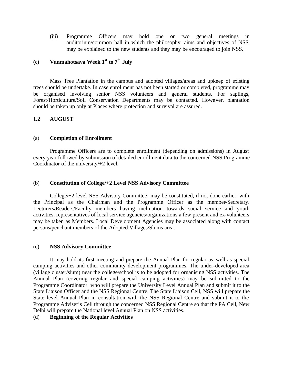(iii) Programme Officers may hold one or two general meetings in auditorium/common hall in which the philosophy, aims and objectives of NSS may be explained to the new students and they may be encouraged to join NSS.

# **(c) Vanmahotsava Week 1st to 7th July**

Mass Tree Plantation in the campus and adopted villages/areas and upkeep of existing trees should be undertake. In case enrollment has not been started or completed, programme may be organised involving senior NSS volunteers and general students. For saplings, Forest/Horticulture/Soil Conservation Departments may be contacted. However, plantation should be taken up only at Places where protection and survival are assured.

## **1.2 AUGUST**

#### (a) **Completion of Enrollment**

Programme Officers are to complete enrollment (depending on admissions) in August every year followed by submission of detailed enrollment data to the concerned NSS Programme Coordinator of the university/+2 level.

## (b) **Constitution of College/+2 Level NSS Advisory Committee**

College/+2 level NSS Advisory Committee may be constituted, if not done earlier, with the Principal as the Chairman and the Programme Officer as the member-Secretary. Lecturers/Readers/Faculty members having inclination towards social service and youth activities, representatives of local service agencies/organizations a few present and ex-volunteers may be taken as Members. Local Development Agencies may be associated along with contact persons/penchant members of the Adopted Villages/Slums area.

## (c) **NSS Advisory Committee**

It may hold its first meeting and prepare the Annual Plan for regular as well as special camping activities and other community development programmes. The under-developed area (village cluster/slum) near the college/school is to be adopted for organising NSS activities. The Annual Plan (covering regular and special camping activities) may be submitted to the Programme Coordinator who will prepare the University Level Annual Plan and submit it to the State Liaison Officer and the NSS Regional Centre. The State Liaison Cell, NSS will prepare the State level Annual Plan in consultation with the NSS Regional Centre and submit it to the Programme Adviser's Cell through the concerned NSS Regional Centre so that the PA Cell, New Delhi will prepare the National level Annual Plan on NSS activities.

## (d) **Beginning of the Regular Activities**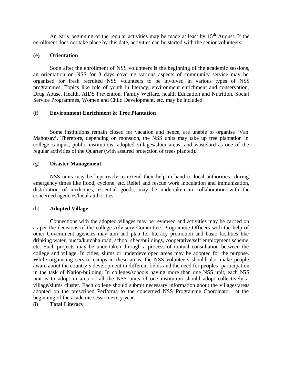An early beginning of the regular activities may be made at least by  $15<sup>th</sup>$  August. If the enrollment does not take place by this date, activities can be started with the senior volunteers.

## **(e) Orientation**

Soon after the enrollment of NSS volunteers in the beginning of the academic sessions, an orientation on NSS for 3 days covering various aspects of community service may be organised for fresh recruited NSS volunteers to be involved in various types of NSS programmes. Topics like role of youth in literacy, environment enrichment and conservation, Drug Abuse, Health, AIDS Prevention, Family Welfare, health Education and Nutrition, Social Service Programmes, Women and Child Development, etc. may be included.

## (f) **Environment Enrichment & Tree Plantation**

Some institutions remain closed for vacation and hence, are unable to organise 'Van Mahotsav'. Therefore, depending on monsoon, the NSS units may take up tree plantation in college campus, public institutions, adopted villages/slum areas, and wasteland as one of the regular activities of the Quarter (with assured protection of trees planted).

## (g) **Disaster Management**

NSS units may be kept ready to extend their help in hand to local authorities during emergency times like flood, cyclone, etc. Relief and rescue work inoculation and immunization, distribution of medicines, essential goods, may be undertaken in collaboration with the concerned agencies/local authorities.

## (h) **Adopted Village**

Connections with the adopted villages may be reviewed and activities may be carried on as per the decisions of the college Advisory Committee. Programme Officers with the help of other Government agencies may aim and plan for literacy promotion and basic facilities like drinking water, pucca/kutchha road, school shed/buildings, cooperative/self employment scheme, etc. Such projects may be undertaken through a process of mutual consultation between the college and village. In cities, slums or underdeveloped areas may be adopted for the purpose. While organising service camps in these areas, the NSS volunteers should also make people aware about the country's development in different fields and the need for peoples' participation in the task of Nation-building. In colleges/schools having more than one NSS unit, each NSS unit is to adopt in area or all the NSS units of one institution should adopt collectively a village/slums cluster. Each college should submit necessary information about the villages/areas adopted on the prescribed Performa to the concerned NSS Programme Coordinator at the beginning of the academic session every year.

## (i) **Total Literacy**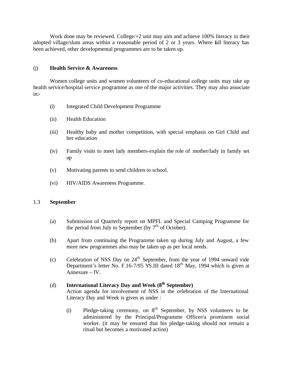Work done may be reviewed. College $/+2$  unit may aim and achieve 100% literacy in their adopted village/slum areas within a reasonable period of 2 or 3 years. Where full literacy has been achieved, other developmental programmes are to be taken up.

## (j) **Health Service & Awareness**

Women college units and women volunteers of co-educational college units may take up health service/hospital service programme as one of the major activities. They may also associate in:-

- (i) Integrated Child Development Programme
- (ii) Health Education
- (iii) Healthy baby and mother competition, with special emphasis on Girl Child and her education
- (iv) Family visits to meet lady members-explain the role of mother/lady in family set up
- (v) Motivating parents to send children to school.
- (vi) HIV/AIDS Awareness Programme.

## 1.3 **September**

- (a) Submission of Quarterly report on MPFL and Special Camping Programme for the period from July to September (by  $7<sup>th</sup>$  of October).
- (b) Apart from continuing the Programme taken up during July and August, a few more new programmes also may be taken up as per local needs.
- (c) Celebration of NSS Day on  $24<sup>th</sup>$  September, from the year of 1994 onward vide Department's letter No. F.16-7/95 YS.III dated 18<sup>th</sup> May, 1994 which is given at Annexure – IV.

# (d) **International Literacy Day and Week (8th September)**

Action agenda for involvement of NSS in the celebration of the International Literacy Day and Week is given as under :

(i) Pledge-taking ceremony, on  $8<sup>th</sup>$  September, by NSS volunteers to be administered by the Principal/Programme Officer/a prominent social worker. (it may be ensured that his pledge-taking should not remain a ritual but becomes a motivated action)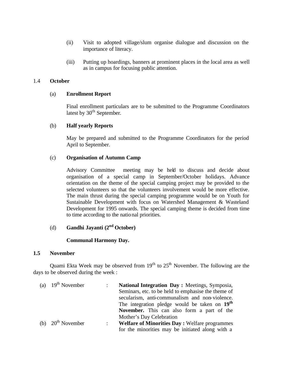- (ii) Visit to adopted village/slum organise dialogue and discussion on the importance of literacy.
- (iii) Putting up hoardings, banners at prominent places in the local area as well as in campus for focusing public attention.

## 1.4 **October**

#### (a) **Enrollment Report**

Final enrollment particulars are to be submitted to the Programme Coordinators latest by  $30<sup>th</sup>$  September.

## (b) **Half yearly Reports**

May be prepared and submitted to the Programme Coordinators for the period April to September.

## (c) **Organisation of Autumn Camp**

Advisory Committee meeting may be held to discuss and decide about organisation of a special camp in September/October holidays. Advance orientation on the theme of the special camping project may be provided to the selected volunteers so that the volunteers involvement would be more effective. The main thrust during the special camping programme would be on Youth for Sustainable Development with focus on Watershed Management & Wasteland Development for 1995 onwards. The special camping theme is decided from time to time according to the national priorities.

# (d) **Gandhi Jayanti (2nd October)**

## **Communal Harmony Day.**

#### **1.5 November**

Quami Ekta Week may be observed from  $19<sup>th</sup>$  to  $25<sup>th</sup>$  November. The following are the days to be observed during the week :

| (a) $19th$ November |                | National Integration Day: Meetings, Symposia,             |  |
|---------------------|----------------|-----------------------------------------------------------|--|
|                     |                | Seminars, etc. to be held to emphasise the theme of       |  |
|                     |                | secularism, anti-communalism and non-violence.            |  |
|                     |                | The integration pledge would be taken on 19 <sup>th</sup> |  |
|                     |                | November. This can also form a part of the                |  |
|                     |                | Mother's Day Celebration                                  |  |
| (b) $20th$ November | $\mathbb{R}^n$ | <b>Welfare of Minorities Day: Welfare programmes</b>      |  |
|                     |                | for the minorities may be initiated along with a          |  |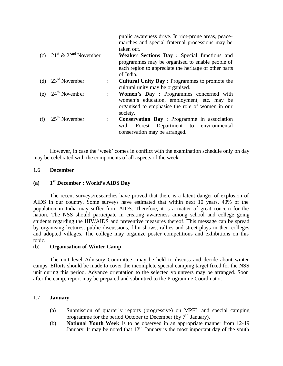|                                                   |                      | public awareness drive. In riot-prone areas, peace-<br>marches and special fraternal processions may be<br>taken out.                                               |
|---------------------------------------------------|----------------------|---------------------------------------------------------------------------------------------------------------------------------------------------------------------|
| (c) $21^{\text{st}} \& 22^{\text{nd}}$ November : |                      | Weaker Sections Day: Special functions and<br>programmes may be organised to enable people of<br>each region to appreciate the heritage of other parts<br>of India. |
| (d) $23^{\text{rd}}$ November                     | $\ddot{\phantom{0}}$ | <b>Cultural Unity Day: Programmes to promote the</b><br>cultural unity may be organised.                                                                            |
| (e) $24^{\text{th}}$ November                     | $\ddot{\cdot}$       | Women's Day : Programmes concerned with<br>women's education, employment, etc. may be<br>organised to emphasise the role of women in our<br>society.                |
| (f) $25^{\text{th}}$ November                     | $\ddot{\cdot}$       | Conservation Day: Programme in association<br>with Forest Department to environmental<br>conservation may be arranged.                                              |

However, in case the 'week' comes in conflict with the examination schedule only on day may be celebrated with the components of all aspects of the week.

## 1.6 **December**

#### **(a) 1 st December : World's AIDS Day**

The recent surveys/researches have proved that there is a latent danger of explosion of AIDS in our country. Some surveys have estimated that within next 10 years, 40% of the population in India may suffer from AIDS. Therefore, it is a matter of great concern for the nation. The NSS should participate in creating awareness among school and college going students regarding the HIV/AIDS and preventive measures thereof. This message can be spread by organising lectures, public discussions, film shows, rallies and street-plays in their colleges and adopted villages. The college may organize poster competitions and exhibitions on this topic.

## (b) **Organisation of Winter Camp**

The unit level Advisory Committee may be held to discuss and decide about winter camps. Efforts should be made to cover the incomplete special camping target fixed for the NSS unit during this period. Advance orientation to the selected volunteers may be arranged. Soon after the camp, report may be prepared and submitted to the Programme Coordinator.

## 1.7 **January**

- (a) Submission of quarterly reports (progressive) on MPFL and special camping programme for the period October to December (by  $7<sup>th</sup>$  January).
- (b) **National Youth Week** is to be observed in an appropriate manner from 12-19 January. It may be noted that  $12<sup>th</sup>$  January is the most important day of the youth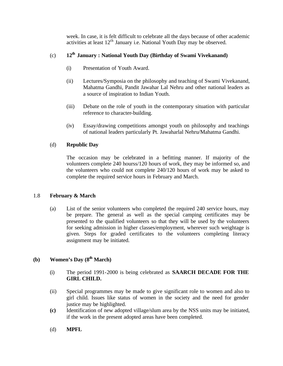week. In case, it is felt difficult to celebrate all the days because of other academic activities at least  $12<sup>th</sup>$  January i.e. National Youth Day may be observed.

## (c) **12th January : National Youth Day (Birthday of Swami Vivekanand)**

- (i) Presentation of Youth Award.
- (ii) Lectures/Symposia on the philosophy and teaching of Swami Vivekanand, Mahatma Gandhi, Pandit Jawahar Lal Nehru and other national leaders as a source of inspiration to Indian Youth.
- (iii) Debate on the role of youth in the contemporary situation with particular reference to character-building.
- (iv) Essay/drawing competitions amongst youth on philosophy and teachings of national leaders particularly Pt. Jawaharlal Nehru/Mahatma Gandhi.

## (d) **Republic Day**

The occasion may be celebrated in a befitting manner. If majority of the volunteers complete 240 hourss/120 hours of work, they may be informed so, and the volunteers who could not complete 240/120 hours of work may be asked to complete the required service hours in February and March.

## 1.8 **February & March**

(a) List of the senior volunteers who completed the required 240 service hours, may be prepare. The general as well as the special camping certificates may be presented to the qualified volunteers so that they will be used by the volunteers for seeking admission in higher classes/employment, wherever such weightage is given. Steps for graded certificates to the volunteers completing literacy assignment may be initiated.

## **(b) Women's Day (8th March)**

- (i) The period 1991-2000 is being celebrated as **SAARCH DECADE FOR THE GIRL CHILD.**
- (ii) Special programmes may be made to give significant role to women and also to girl child. Issues like status of women in the society and the need for gender justice may be highlighted.
- **(c)** Identification of new adopted village/slum area by the NSS units may be initiated, if the work in the present adopted areas have been completed.
- (d) **MPFL**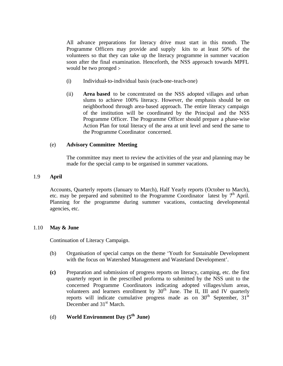All advance preparations for literacy drive must start in this month. The Programme Officers may provide and supply kits to at least 50% of the volunteers so that they can take up the literacy programme in summer vacation soon after the final examination. Henceforth, the NSS approach towards MPFL would be two pronged :-

- (i) Individual-to-individual basis (each-one-teach-one)
- (ii) **Area based** to be concentrated on the NSS adopted villages and urban slums to achieve 100% literacy. However, the emphasis should be on neighborhood through area-based approach. The entire literacy campaign of the institution will be coordinated by the Principal and the NSS Programme Officer. The Programme Officer should prepare a phase-wise Action Plan for total literacy of the area at unit level and send the same to the Programme Coordinator concerned.

## (e) **Advisory Committee Meeting**

The committee may meet to review the activities of the year and planning may be made for the special camp to be organised in summer vacations.

#### 1.9 **April**

Accounts, Quarterly reports (January to March), Half Yearly reports (October to March), etc. may be prepared and submitted to the Programme Coordinator latest by  $7<sup>th</sup>$  April. Planning for the programme during summer vacations, contacting developmental agencies, etc.

#### 1.10 **May & June**

Continuation of Literacy Campaign.

- (b) Organisation of special camps on the theme 'Youth for Sustainable Development with the focus on Watershed Management and Wasteland Development'.
- **(c)** Preparation and submission of progress reports on literacy, camping, etc. the first quarterly report in the prescribed proforma to submitted by the NSS unit to the concerned Programme Coordinators indicating adopted villages/slum areas, volunteers and learners enrollment by  $30<sup>th</sup>$  June. The II, III and IV quarterly reports will indicate cumulative progress made as on  $30<sup>th</sup>$  September,  $31<sup>st</sup>$ December and 31<sup>st</sup> March.
- (d) **World Environment Day (5th June)**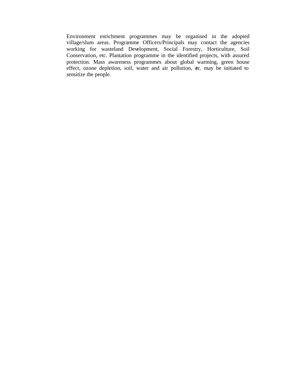Environment enrichment programmes may be organised in the adopted village/slum areas. Programme Officers/Principals may contact the agencies working for wasteland Development, Social Forestry, Horticulture, Soil Conservation, etc. Plantation programme in the identified projects, with assured protection. Mass awareness programmes about global warming, green house effect, ozone depletion, soil, water and air pollution, etc. may be initiated to sensitize the people.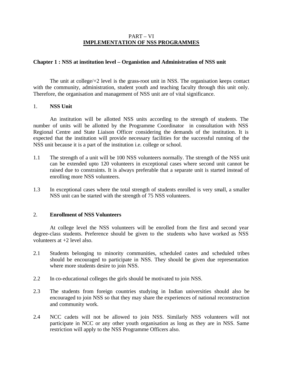## PART – VI **IMPLEMENTATION OF NSS PROGRAMMES**

## **Chapter 1 : NSS at institution level – Organistion and Administration of NSS unit**

The unit at college/+2 level is the grass-root unit in NSS. The organisation keeps contact with the community, administration, student youth and teaching faculty through this unit only. Therefore, the organisation and management of NSS unit are of vital significance.

## 1. **NSS Unit**

An institution will be allotted NSS units according to the strength of students. The number of units will be allotted by the Programme Coordinator in consultation with NSS Regional Centre and State Liaison Officer considering the demands of the institution. It is expected that the institution will provide necessary facilities for the successful running of the NSS unit because it is a part of the institution i.e. college or school.

- 1.1 The strength of a unit will be 100 NSS volunteers normally. The strength of the NSS unit can be extended upto 120 volunteers in exceptional cases where second unit cannot be raised due to constraints. It is always preferable that a separate unit is started instead of enrolling more NSS volunteers.
- 1.3 In exceptional cases where the total strength of students enrolled is very small, a smaller NSS unit can be started with the strength of 75 NSS volunteers.

## 2. **Enrollment of NSS Volunteers**

At college level the NSS volunteers will be enrolled from the first and second year degree-class students. Preference should be given to the students who have worked as NSS volunteers at +2 level also.

- 2.1 Students belonging to minority communities, scheduled castes and scheduled tribes should be encouraged to participate in NSS. They should be given due representation where more students desire to join NSS.
- 2.2 In co-educational colleges the girls should be motivated to join NSS.
- 2.3 The students from foreign countries studying in Indian universities should also be encouraged to join NSS so that they may share the experiences of national reconstruction and community work.
- 2.4 NCC cadets will not be allowed to join NSS. Similarly NSS volunteers will not participate in NCC or any other youth organisation as long as they are in NSS. Same restriction will apply to the NSS Programme Officers also.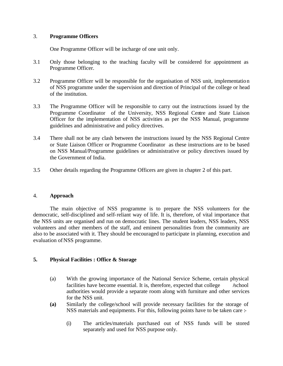## 3. **Programme Officers**

One Programme Officer will be incharge of one unit only.

- 3.1 Only those belonging to the teaching faculty will be considered for appointment as Programme Officer.
- 3.2 Programme Officer will be responsible for the organisation of NSS unit, implementation of NSS programme under the supervision and direction of Principal of the college or head of the institution.
- 3.3 The Programme Officer will be responsible to carry out the instructions issued by the Programme Coordinator of the University, NSS Regional Centre and State Liaison Officer for the implementation of NSS activities as per the NSS Manual, programme guidelines and administrative and policy directives.
- 3.4 There shall not be any clash between the instructions issued by the NSS Regional Centre or State Liaison Officer or Programme Coordinator as these instructions are to be based on NSS Manual/Programme guidelines or administrative or policy directives issued by the Government of India.
- 3.5 Other details regarding the Programme Officers are given in chapter 2 of this part.

## 4. **Approach**

The main objective of NSS programme is to prepare the NSS volunteers for the democratic, self-disciplined and self-reliant way of life. It is, therefore, of vital importance that the NSS units are organised and run on democratic lines. The student leaders, NSS leaders, NSS volunteers and other members of the staff, and eminent personalities from the community are also to be associated with it. They should be encouraged to participate in planning, execution and evaluation of NSS programme.

## **5. Physical Facilities : Office & Storage**

- (a) With the growing importance of the National Service Scheme, certain physical facilities have become essential. It is, therefore, expected that college **/**school authorities would provide a separate room along with furniture and other services for the NSS unit.
- **(a)** Similarly the college/school will provide necessary facilities for the storage of NSS materials and equipments. For this, following points have to be taken care :-
	- (i) The articles/materials purchased out of NSS funds will be stored separately and used for NSS purpose only.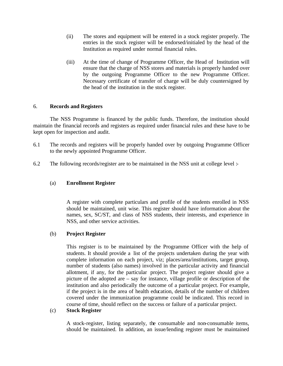- (ii) The stores and equipment will be entered in a stock register properly. The entries in the stock register will be endorsed/initialed by the head of the Institution as required under normal financial rules.
- (iii) At the time of change of Programme Officer, the Head of Institution will ensure that the charge of NSS stores and materials is properly handed over by the outgoing Programme Officer to the new Programme Officer. Necessary certificate of transfer of charge will be duly countersigned by the head of the institution in the stock register.

## 6. **Records and Registers**

The NSS Programme is financed by the public funds. Therefore, the institution should maintain the financial records and registers as required under financial rules and these have to be kept open for inspection and audit.

- 6.1 The records and registers will be properly handed over by outgoing Programme Officer to the newly appointed Programme Officer.
- 6.2 The following records/register are to be maintained in the NSS unit at college level :-

## (a) **Enrollment Register**

A register with complete particulars and profile of the students enrolled in NSS should be maintained, unit wise. This register should have information about the names, sex, SC/ST, and class of NSS students, their interests, and experience in NSS, and other service activities.

## (b) **Project Register**

This register is to be maintained by the Programme Officer with the help of students. It should provide a list of the projects undertaken during the year with complete information on each project, viz; places/area/institutions, target group, number of students (also names) involved in the particular activity and financial allotment, if any, for the particular project. The project register should give a picture of the adopted are – say for instance, village profile or description of the institution and also periodically the outcome of a particular project. For example, if the project is in the area of health education, details of the number of children covered under the immunization programme could be indicated. This record in course of time, should reflect on the success or failure of a particular project.

## (c) **Stock Register**

A stock-register, listing separately, the consumable and non-consumable items, should be maintained. In addition, an issue/lending register must be maintained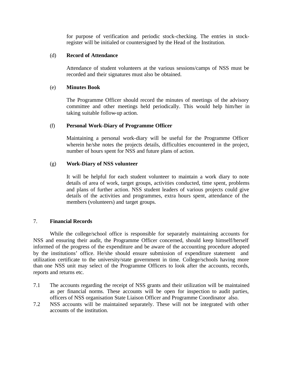for purpose of verification and periodic stock-checking. The entries in stockregister will be initialed or countersigned by the Head of the Institution.

## (d) **Record of Attendance**

Attendance of student volunteers at the various sessions/camps of NSS must be recorded and their signatures must also be obtained.

## (e) **Minutes Book**

The Programme Officer should record the minutes of meetings of the advisory committee and other meetings held periodically. This would help him/her in taking suitable follow-up action.

#### (f) **Personal Work-Diary of Programme Officer**

Maintaining a personal work-diary will be useful for the Programme Officer wherein he/she notes the projects details, difficulties encountered in the project, number of hours spent for NSS and future plans of action.

## (g) **Work-Diary of NSS volunteer**

It will be helpful for each student volunteer to maintain a work diary to note details of area of work, target groups, activities conducted, time spent, problems and plans of further action. NSS student leaders of various projects could give details of the activities and programmes, extra hours spent, attendance of the members (volunteers) and target groups.

## 7. **Financial Records**

While the college/school office is responsible for separately maintaining accounts for NSS and ensuring their audit, the Programme Officer concerned, should keep himself/herself informed of the progress of the expenditure and be aware of the accounting procedure adopted by the institutions' office. He/she should ensure submission of expenditure statement and utilization certificate to the university/state government in time. College/schools having more than one NSS unit may select of the Programme Officers to look after the accounts, records, reports and returns etc.

- 7.1 The accounts regarding the receipt of NSS grants and their utilization will be maintained as per financial norms. These accounts will be open for inspection to audit parties, officers of NSS organisation State Liaison Officer and Programme Coordinator also.
- 7.2 NSS accounts will be maintained separately. These will not be integrated with other accounts of the institution.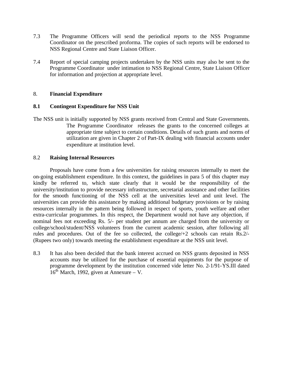- 7.3 The Programme Officers will send the periodical reports to the NSS Programme Coordinator on the prescribed proforma. The copies of such reports will be endorsed to NSS Regional Centre and State Liaison Officer.
- 7.4 Report of special camping projects undertaken by the NSS units may also be sent to the Programme Coordinator under intimation to NSS Regional Centre, State Liaison Officer for information and projection at appropriate level.

## 8. **Financial Expenditure**

## **8.1 Contingent Expenditure for NSS Unit**

The NSS unit is initially supported by NSS grants received from Central and State Governments. The Programme Coordinator releases the grants to the concerned colleges at appropriate time subject to certain conditions. Details of such grants and norms of utilization are given in Chapter 2 of Part-IX dealing with financial accounts under expenditure at institution level.

## 8.2 **Raising Internal Resources**

Proposals have come from a few universities for raising resources internally to meet the on-going establishment expenditure. In this context, the guidelines in para 5 of this chapter may kindly be referred to, which state clearly that it would be the responsibility of the university/institution to provide necessary infrastructure, secretarial assistance and other facilities for the smooth functioning of the NSS cell at the universities level and unit level. The universities can provide this assistance by making additional budgetary provisions or by raising resources internally in the pattern being followed in respect of sports, youth welfare and other extra-curricular programmes. In this respect, the Department would not have any objection, if nominal fees not exceeding Rs. 5/- per student per annum are charged from the university or college/school/student/NSS volunteers from the current academic session, after following all rules and procedures. Out of the fee so collected, the college/+2 schools can retain Rs.2/- (Rupees two only) towards meeting the establishment expenditure at the NSS unit level.

8.3 It has also been decided that the bank interest accrued on NSS grants deposited in NSS accounts may be utilized for the purchase of essential equipments for the purpose of programme development by the institution concerned vide letter No. 2-1/91-YS.III dated  $16<sup>th</sup>$  March, 1992, given at Annexure – V.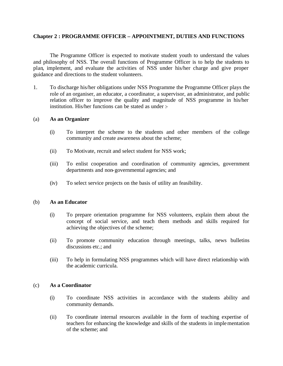## **Chapter 2 : PROGRAMME OFFICER – APPOINTMENT, DUTIES AND FUNCTIONS**

The Programme Officer is expected to motivate student youth to understand the values and philosophy of NSS. The overall functions of Programme Officer is to help the students to plan, implement, and evaluate the activities of NSS under his/her charge and give proper guidance and directions to the student volunteers.

1. To discharge his/her obligations under NSS Programme the Programme Officer plays the role of an organiser, an educator, a coordinator, a supervisor, an administrator, and public relation officer to improve the quality and magnitude of NSS programme in his/her institution. His/her functions can be stated as under :-

#### (a) **As an Organizer**

- (i) To interpret the scheme to the students and other members of the college community and create awareness about the scheme;
- (ii) To Motivate, recruit and select student for NSS work;
- (iii) To enlist cooperation and coordination of community agencies, government departments and non-governmental agencies; and
- (iv) To select service projects on the basis of utility an feasibility.

#### (b) **As an Educator**

- (i) To prepare orientation programme for NSS volunteers, explain them about the concept of social service, and teach them methods and skills required for achieving the objectives of the scheme;
- (ii) To promote community education through meetings, talks, news bulletins discussions etc.; and
- (iii) To help in formulating NSS programmes which will have direct relationship with the academic curricula.

## (c) **As a Coordinator**

- (i) To coordinate NSS activities in accordance with the students ability and community demands.
- (ii) To coordinate internal resources available in the form of teaching expertise of teachers for enhancing the knowledge and skills of the students in implementation of the scheme; and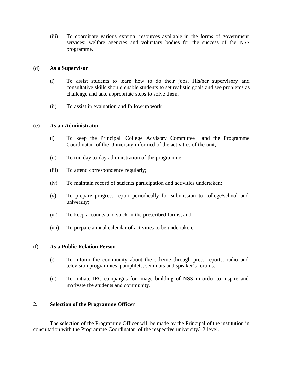(iii) To coordinate various external resources available in the forms of government services; welfare agencies and voluntary bodies for the success of the NSS programme.

## (d) **As a Supervisor**

- (i) To assist students to learn how to do their jobs. His/her supervisory and consultative skills should enable students to set realistic goals and see problems as challenge and take appropriate steps to solve them.
- (ii) To assist in evaluation and follow-up work.

## **(e) As an Administrator**

- (i) To keep the Principal, College Advisory Committee and the Programme Coordinator of the University informed of the activities of the unit;
- (ii) To run day-to-day administration of the programme;
- (iii) To attend correspondence regularly;
- (iv) To maintain record of students participation and activities undertaken;
- (v) To prepare progress report periodically for submission to college/school and university;
- (vi) To keep accounts and stock in the prescribed forms; and
- (vii) To prepare annual calendar of activities to be undertaken.

## (f) **As a Public Relation Person**

- (i) To inform the community about the scheme through press reports, radio and television programmes, pamphlets, seminars and speaker's forums.
- (ii) To initiate IEC campaigns for image building of NSS in order to inspire and motivate the students and community.

## 2. **Selection of the Programme Officer**

The selection of the Programme Officer will be made by the Principal of the institution in consultation with the Programme Coordinator of the respective university/+2 level.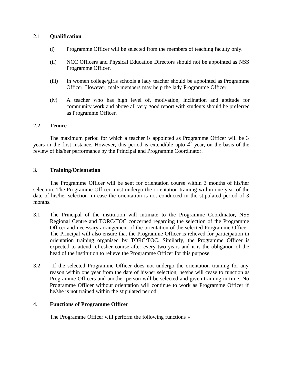## 2.1 **Qualification**

- (i) Programme Officer will be selected from the members of teaching faculty only.
- (ii) NCC Officers and Physical Education Directors should not be appointed as NSS Programme Officer.
- (iii) In women college/girls schools a lady teacher should be appointed as Programme Officer. However, male members may help the lady Programme Officer.
- (iv) A teacher who has high level of, motivation, inclination and aptitude for community work and above all very good report with students should be preferred as Programme Officer.

## 2.2. **Tenure**

The maximum period for which a teacher is appointed as Programme Officer will be 3 years in the first instance. However, this period is extendible upto  $4<sup>th</sup>$  year, on the basis of the review of his/her performance by the Principal and Programme Coordinator.

## 3. **Training/Orientation**

The Programme Officer will be sent for orientation course within 3 months of his/her selection. The Programme Officer must undergo the orientation training within one year of the date of his/her selection in case the orientation is not conducted in the stipulated period of 3 months.

- 3.1 The Principal of the institution will intimate to the Programme Coordinator, NSS Regional Centre and TORC/TOC concerned regarding the selection of the Programme Officer and necessary arrangement of the orientation of the selected Programme Officer. The Principal will also ensure that the Programme Officer is relieved for participation in orientation training organised by TORC/TOC. Similarly, the Programme Officer is expected to attend refresher course after every two years and it is the obligation of the head of the institution to relieve the Programme Officer for this purpose.
- 3.2 If the selected Programme Officer does not undergo the orientation training for any reason within one year from the date of his/her selection, he/she will cease to function as Programme Officers and another person will be selected and given training in time. No Programme Officer without orientation will continue to work as Programme Officer if he/she is not trained within the stipulated period.

## 4. **Functions of Programme Officer**

The Programme Officer will perform the following functions :-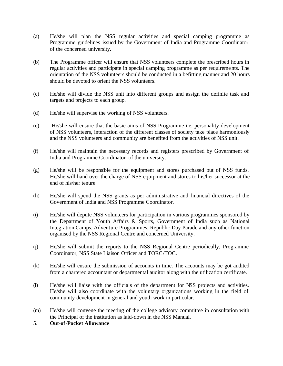- (a) He/she will plan the NSS regular activities and special camping programme as Programme guidelines issued by the Government of India and Programme Coordinator of the concerned university.
- (b) The Programme officer will ensure that NSS volunteers complete the prescribed hours in regular activities and participate in special camping programme as per requirements. The orientation of the NSS volunteers should be conducted in a befitting manner and 20 hours should be devoted to orient the NSS volunteers.
- (c) He/she will divide the NSS unit into different groups and assign the definite task and targets and projects to each group.
- (d) He/she will supervise the working of NSS volunteers.
- (e) He/she will ensure that the basic aims of NSS Programme i.e. personality development of NSS volunteers, interaction of the different classes of society take place harmoniously and the NSS volunteers and community are benefited from the activities of NSS unit.
- (f) He/she will maintain the necessary records and registers prescribed by Government of India and Programme Coordinator of the university.
- (g) He/she will be responsible for the equipment and stores purchased out of NSS funds. He/she will hand over the charge of NSS equipment and stores to his/her successor at the end of his/her tenure.
- (h) He/she will spend the NSS grants as per administrative and financial directives of the Government of India and NSS Programme Coordinator.
- (i) He/she will depute NSS volunteers for participation in various programmes sponsored by the Department of Youth Affairs & Sports, Government of India such as National Integration Camps, Adventure Programmes, Republic Day Parade and any other function organised by the NSS Regional Centre and concerned University.
- (j) He/she will submit the reports to the NSS Regional Centre periodically, Programme Coordinator, NSS State Liaison Officer and TORC/TOC.
- (k) He/she will ensure the submission of accounts in time. The accounts may be got audited from a chartered accountant or departmental auditor along with the utilization certificate.
- (l) He/she will liaise with the officials of the department for NSS projects and activities. He/she will also coordinate with the voluntary organizations working in the field of community development in general and youth work in particular.
- (m) He/she will convene the meeting of the college advisory committee in consultation with the Principal of the institution as laid-down in the NSS Manual.
- 5. **Out-of-Pocket Allowance**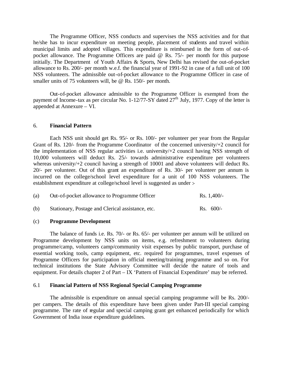The Programme Officer, NSS conducts and supervises the NSS activities and for that he/she has to incur expenditure on meeting people, placement of students and travel within municipal limits and adopted villages. This expenditure is reimbursed in the form of out-ofpocket allowance. The Programme Officers are paid @ Rs. 75/- per month for this purpose initially. The Department of Youth Affairs & Sports, New Delhi has revised the out-of-pocket allowance to Rs. 200/- per month w.e.f. the financial year of 1991-92 in case of a full unit of 100 NSS volunteers. The admissible out-of-pocket allowance to the Programme Officer in case of smaller units of 75 volunteers will, be @ Rs. 150/- per month.

Out-of-pocket allowance admissible to the Programme Officer is exempted from the payment of Income-tax as per circular No. 1-12/77-SY dated  $27<sup>th</sup>$  July, 1977. Copy of the letter is appended at Annexure – VI.

#### 6. **Financial Pattern**

Each NSS unit should get Rs. 95/- or Rs. 100/- per volunteer per year from the Regular Grant of Rs. 120/- from the Programme Coordinator of the concerned university/+2 council for the implementation of NSS regular activities i.e. university/+2 council having NSS strength of 10,000 volunteers will deduct Rs. 25/- towards administrative expenditure per volunteers whereas university/+2 council having a strength of 10001 and above volunteers will deduct Rs. 20/- per volunteer. Out of this grant an expenditure of Rs. 30/- per volunteer per annum is incurred on the college/school level expenditure for a unit of 100 NSS volunteers. The establishment expenditure at college/school level is suggested as under :-

| (a) | Out-of-pocket allowance to Programme Officer      | $Rs. 1,400/-$ |
|-----|---------------------------------------------------|---------------|
| (b) | Stationary, Postage and Clerical assistance, etc. | $Rs. 600/-$   |

#### (c) **Programme Development**

The balance of funds i.e. Rs. 70/- or Rs. 65/- per volunteer per annum will be utilized on Programme development by NSS units on items, e.g. refreshment to volunteers during programme/camp, volunteers camp/community visit expenses by public transport, purchase of essential working tools, camp equipment, etc. required for programmes, travel expenses of Programme Officers for participation in official meeting/training programme and so on. For technical institutions the State Advisory Committee will decide the nature of tools and equipment. For details chapter 2 of Part – IX 'Pattern of Financial Expenditure' may be referred.

#### 6.1 **Financial Pattern of NSS Regional Special Camping Programme**

The admissible is expenditure on annual special camping programme will be Rs. 200/ per campers. The details of this expenditure have been given under Part-III special camping programme. The rate of regular and special camping grant get enhanced periodically for which Government of India issue expenditure guidelines.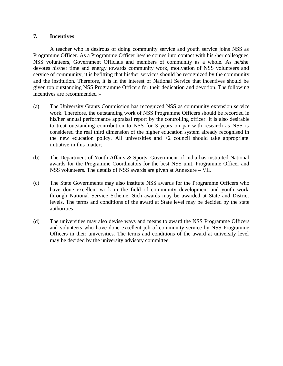#### **7. Incentives**

A teacher who is desirous of doing community service and youth service joins NSS as Programme Officer. As a Programme Officer he/she comes into contact with his./her colleagues, NSS volunteers, Government Officials and members of community as a whole. As he/she devotes his/her time and energy towards community work, motivation of NSS volunteers and service of community, it is befitting that his/her services should be recognized by the community and the institution. Therefore, it is in the interest of National Service that incentives should be given top outstanding NSS Programme Officers for their dedication and devotion. The following incentives are recommended :-

- (a) The University Grants Commission has recognized NSS as community extension service work. Therefore, the outstanding work of NSS Programme Officers should be recorded in his/her annual performance appraisal report by the controlling officer. It is also desirable to treat outstanding contribution to NSS for 3 years on par with research as NSS is considered the real third dimension of the higher education system already recognised in the new education policy. All universities and  $+2$  council should take appropriate initiative in this matter;
- (b) The Department of Youth Affairs & Sports, Government of India has instituted National awards for the Programme Coordinators for the best NSS unit, Programme Officer and NSS volunteers. The details of NSS awards are given at Annexure – VII.
- (c) The State Governments may also institute NSS awards for the Programme Officers who have done excellent work in the field of community development and youth work through National Service Scheme. Such awards may be awarded at State and District levels. The terms and conditions of the award at State level may be decided by the state authorities;
- (d) The universities may also devise ways and means to award the NSS Programme Officers and volunteers who have done excellent job of community service by NSS Programme Officers in their universities. The terms and conditions of the award at university level may be decided by the university advisory committee.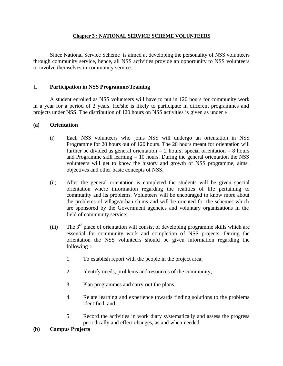## **Chapter 3 : NATIONAL SERVICE SCHEME VOLUNTEERS**

Since National Service Scheme is aimed at developing the personality of NSS volunteers through community service, hence, all NSS activities provide an opportunity to NSS volunteers to involve themselves in community service.

## 1. **Participation in NSS Programme/Training**

A student enrolled as NSS volunteers will have to put in 120 hours for community work in a year for a period of 2 years. He/she is likely to participate in different programmes and projects under NSS. The distribution of 120 hours on NSS activities is given as under :-

## **(a) Orientation**

- (i) Each NSS volunteers who joins NSS will undergo an orientation in NSS Programme for 20 hours out of 120 hours. The 20 hours meant for orientation will further be divided as general orientation  $-2$  hours; special orientation  $-8$  hours and Programme skill learning  $-10$  hours. During the general orientation the NSS volunteers will get to know the history and growth of NSS programme, aims, objectives and other basic concepts of NSS.
- (ii) After the general orientation is completed the students will be given special orientation where information regarding the realities of life pertaining to community and its problems. Volunteers will be encouraged to know more about the problems of village/urban slums and will be oriented for the schemes which are sponsored by the Government agencies and voluntary organizations in the field of community service;
- (iii) The  $3<sup>rd</sup>$  place of orientation will consist of developing programme skills which are essential for community work and completion of NSS projects. During the orientation the NSS volunteers should be given information regarding the following :-
	- 1. To establish report with the people in the project area;
	- 2. Identify needs, problems and resources of the community;
	- 3. Plan programmes and carry out the plans;
	- 4. Relate learning and experience towards finding solutions to the problems identified; and
	- 5. Record the activities in work diary systematically and assess the progress periodically and effect changes, as and when needed.
- **(b) Campus Projects**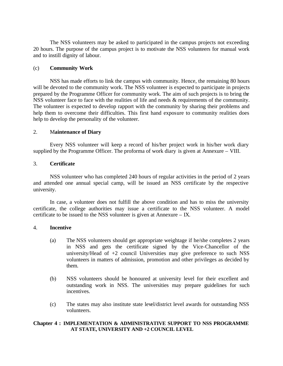The NSS volunteers may be asked to participated in the campus projects not exceeding 20 hours. The purpose of the campus project is to motivate the NSS volunteers for manual work and to instill dignity of labour.

## (c) **Community Work**

NSS has made efforts to link the campus with community. Hence, the remaining 80 hours will be devoted to the community work. The NSS volunteer is expected to participate in projects prepared by the Programme Officer for community work. The aim of such projects is to bring the NSS volunteer face to face with the realities of life and needs & requirements of the community. The volunteer is expected to develop rapport with the community by sharing their problems and help them to overcome their difficulties. This first hand exposure to community realities does help to develop the personality of the volunteer.

#### 2. M**aintenance of Diary**

Every NSS volunteer will keep a record of his/her project work in his/her work diary supplied by the Programme Officer. The proforma of work diary is given at Annexure – VIII.

#### 3. **Certificate**

NSS volunteer who has completed 240 hours of regular activities in the period of 2 years and attended one annual special camp, will be issued an NSS certificate by the respective university.

In case, a volunteer does not fulfill the above condition and has to miss the university certificate, the college authorities may issue a certificate to the NSS volunteer. A model certificate to be issued to the NSS volunteer is given at Annexure – IX.

#### 4. **Incentive**

- (a) The NSS volunteers should get appropriate weightage if he/she completes 2 years in NSS and gets the certificate signed by the Vice-Chancellor of the university/Head of  $+2$  council Universities may give preference to such NSS volunteers in matters of admission, promotion and other privileges as decided by them.
- (b) NSS volunteers should be honoured at university level for their excellent and outstanding work in NSS. The universities may prepare guidelines for such incentives.
- (c) The states may also institute state level/district level awards for outstanding NSS volunteers.

## **Chapter 4 : IMPLEMENTATION & ADMINISTRATIVE SUPPORT TO NSS PROGRAMME AT STATE, UNIVERSITY AND +2 COUNCIL LEVEL**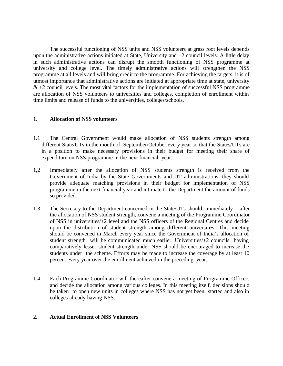The successful functioning of NSS units and NSS volunteers at grass root levels depends upon the administrative actions initiated at State, University and  $+2$  council levels. A little delay in such administrative actions can disrupt the smooth functioning of NSS programme at university and college level. The timely administrative actions will strengthen the NSS programme at all levels and will bring credit to the programme. For achieving the targets, it is of utmost importance that administrative actions are initiated at appropriate time at state, university  $& 2$  council levels. The most vital factors for the implementation of successful NSS programme are allocation of NSS volunteers to universities and colleges, completion of enrollment within time limits and release of funds to the universities, colleges/schools.

## 1. **Allocation of NSS volunteers**

- 1.1 The Central Government would make allocation of NSS students strength among different State/UTs in the month of September/October every year so that the States/UTs are in a position to make necessary provisions in their budget for meeting their share of expenditure on NSS programme in the next financial year.
- 1,2 Immediately after the allocation of NSS students strength is received from the Government of India by the State Governments and UT administrations, they should provide adequate matching provisions in their budget for implementation of NSS programme in the next financial year and intimate to the Department the amount of funds so provided.
- 1.3 The Secretary to the Department concerned in the State/UTs should, immediately after the allocation of NSS student strength, convene a meeting of the Programme Coordinator of NSS in universities/+2 level and the NSS officers of the Regional Centres and decide upon the distribution of student strength among different universities. This meeting should be convened in March every year since the Government of India's allocation of student strength will be communicated much earlier. Universities/+2 councils having comparatively lesser student strength under NSS should be encouraged to increase the students under the scheme. Efforts may be made to increase the coverage by at least 10 percent every year over the enrollment achieved in the preceding year.
- 1.4 Each Programme Coordinator will thereafter convene a meeting of Programme Officers and decide the allocation among various colleges. In this meeting itself, decisions should be taken to open new units in colleges where NSS has not yet been started and also in colleges already having NSS.

## 2. **Actual Enrollment of NSS Volunteers**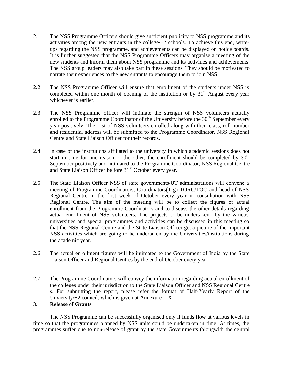- 2.1 The NSS Programme Officers should give sufficient publicity to NSS programme and its activities among the new entrants in the college/+2 schools. To achieve this end, writeups regarding the NSS programme, and achievements can be displayed on notice boards. It is further suggested that the NSS Programme Officers may organise a meeting of the new students and inform them about NSS programme and its activities and achievements. The NSS group leaders may also take part in these sessions. They should be motivated to narrate their experiences to the new entrants to encourage them to join NSS.
- **2.2** The NSS Programme Officer will ensure that enrollment of the students under NSS is completed within one month of opening of the institution or by  $31<sup>st</sup>$  August every year whichever is earlier.
- 2.3 The NSS Programme officer will intimate the strength of NSS volunteers actually enrolled to the Programme Coordinator of the University before the  $30<sup>th</sup>$  September every year positively. The List of NSS volunteers enrolled along with their class, roll number and residential address will be submitted to the Programme Coordinator, NSS Regional Centre and State Liaison Officer for their records.
- 2.4 In case of the institutions affiliated to the university in which academic sessions does not start in time for one reason or the other, the enrollment should be completed by  $30<sup>th</sup>$ September positively and intimated to the Programme Coordinator, NSS Regional Centre and State Liaison Officer be fore 31<sup>st</sup> October every year.
- 2.5 The State Liaison Officer NSS of state governments/UT administrations will convene a meeting of Programme Coordinators, Coordinators(Trg) TORC/TOC and head of NSS Regional Centre in the first week of October every year in consultation with NSS Regional Centre. The aim of the meeting will be to collect the figures of actual enrollment from the Programme Coordinators and to discuss the other details regarding actual enrollment of NSS volunteers. The projects to be undertaken by the various universities and special programmes and activities can be discussed in this meeting so that the NSS Regional Centre and the State Liaison Officer get a picture of the important NSS activities which are going to be undertaken by the Universities/institutions during the academic year.
- 2.6 The actual enrollment figures will be intimated to the Government of India by the State Liaison Officer and Regional Centres by the end of October every year.
- 2.7 The Programme Coordinators will convey the information regarding actual enrollment of the colleges under their jurisdiction to the State Liaison Officer and NSS Regional Centre s. For submitting the report, please refer the format of Half-Yearly Report of the Unviersity/ $+2$  council, which is given at Annexure – X.

## 3. **Release of Grants**

The NSS Programme can be successfully organised only if funds flow at various levels in time so that the programmes planned by NSS units could be undertaken in time. At times, the programmes suffer due to non-release of grant by the state Governments (alongwith the central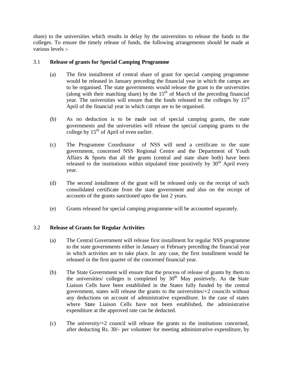share) to the universities which results in delay by the universities to release the funds to the colleges. To ensure the timely release of funds, the following arrangements should be made at various levels :-

## 3.1 **Release of grants for Special Camping Programme**

- (a) The first installment of central share of grant for special camping programme would be released in January preceding the financial year in which the camps are to be organised. The state governments would release the grant to the universities (along with their matching share) by the  $15<sup>th</sup>$  of March of the preceding financial year. The universities will ensure that the funds released to the colleges by 15<sup>th</sup> April of the financial year in which camps are to be organised.
- (b) As no deduction is to be made out of special camping grants, the state governments and the universities will release the special camping grants to the college by  $15<sup>th</sup>$  of April of even earlier.
- (c) The Programme Coordinator of NSS will send a certificate to the state government, concerned NSS Regional Centre and the Department of Youth Affairs & Sports that all the grants (central and state share both) have been released to the institutions within stipulated time positively by  $30<sup>th</sup>$  April every year.
- (d) The second installment of the grant will be released only on the receipt of such consolidated certificate from the state government and also on the receipt of accounts of the grants sanctioned upto the last 2 years.
- (e) Grants released for special camping programme will be accounted separately.

## 3.2 **Release of Grants for Regular Activities**

- (a) The Central Government will release first installment for regular NSS programme to the state governments either in January or February preceding the financial year in which activities are to take place. In any case, the first installment would be released in the first quarter of the concerned financial year.
- (b) The State Government will ensure that the process of release of grants by them to the universities/ colleges is completed by  $30<sup>th</sup>$  May positively. As the State Liaison Cells have been established in the States fully funded by the central government, states will release the grants to the universities/+2 councils without any deductions on account of administrative expenditure. In the case of states where State Liaison Cells have not been established, the administrative expenditure at the approved rate can be deducted.
- (c) The university/+2 council will release the grants to the institutions concerned, after deducting Rs. 30/- per volunteer for meeting administrative expenditure, by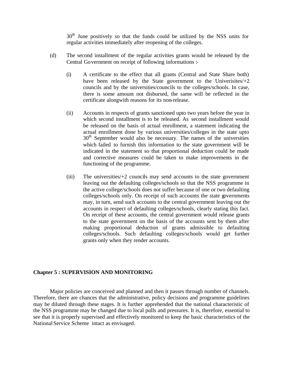$30<sup>th</sup>$  June positively so that the funds could be utilized by the NSS units for regular activities immediately after reopening of the colleges.

- (d) The second installment of the regular activities grants would be released by the Central Government on receipt of following informations :-
	- (i) A certificate to the effect that all grants (Central and State Share both) have been released by the State government to the Universities $/+2$ councils and by the universities/councils to the colleges/schools. In case, there is some amount not disbursed, the same will be reflected in the certificate alongwith reasons for its non-release.
	- (ii) Accounts in respects of grants sanctioned upto two years before the year in which second installment is to be released. As second installment would be released on the basis of actual enrollment, a statement indicating the actual enrollment done by various universities/colleges in the state upto  $30<sup>th</sup>$  September would also be necessary. The names of the universities which failed to furnish this information to the state government will be indicated in the statement so that proportional deduction could be made and corrective measures could be taken to make improvements in the functioning of the programme.
	- (iii) The universities/+2 councils may send accounts to the state government leaving out the defaulting colleges/schools so that the NSS programme in the active college/schools does not suffer because of one or two defaulting colleges/schools only. On receipt of such accounts the state governments may, in turn, send such accounts to the central government leaving out the accounts in respect of defaulting colleges/schools, clearly stating this fact. On receipt of these accounts, the central government would release grants to the state government on the basis of the accounts sent by them after making proportional deduction of grants admissible to defaulting colleges/schools. Such defaulting colleges/schools would get further grants only when they render accounts.

#### **Chapter 5 : SUPERVISION AND MONITORING**

Major policies are conceived and planned and then it passes through number of channels. Therefore, there are chances that the administrative, policy decisions and programme guidelines may be diluted through these stages. It is further apprehended that the national characteristic of the NSS programme may be changed due to local pulls and pressures. It is, therefore, essential to see that it is properly supervised and effectively monitored to keep the basic characteristics of the National Service Scheme intact as envisaged.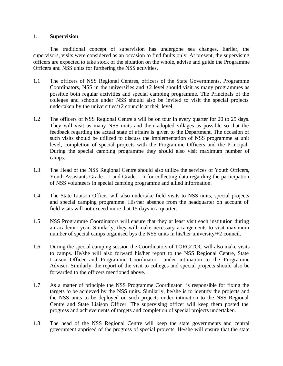## 1. **Supervision**

The traditional concept of supervision has undergone sea changes. Earlier, the supervisors, visits were considered as an occasion to find faults only. At present, the supervising officers are expected to take stock of the situation on the whole, advise and guide the Programme Officers and NSS units for furthering the NSS activities.

- 1.1 The officers of NSS Regional Centres, officers of the State Governments, Programme Coordinators, NSS in the universities and  $+2$  level should visit as many programmes as possible both regular activities and special camping programme. The Principals of the colleges and schools under NSS should also be invited to visit the special projects undertaken by the universities/+2 councils at their level.
- 1.2 The officers of NSS Regional Centre s will be on tour in every quarter for 20 to 25 days. They will visit as many NSS units and their adopted villages as possible so that the feedback regarding the actual state of affairs is given to the Department. The occasion of such visits should be utilized to discuss the implementation of NSS programme at unit level, completion of special projects with the Programme Officers and the Principal. During the special camping programme they should also visit maximum number of camps.
- 1.3 The Head of the NSS Regional Centre should also utilize the services of Youth Officers, Youth Assistants Grade – I and Grade – Ii for collecting data regarding the participation of NSS volunteers in special camping programme and allied information.
- 1.4 The State Liaison Officer will also undertake field visits to NSS units, special projects and special camping programme. His/her absence from the headquarter on account of field visits will not exceed more that 15 days in a quarter.
- 1.5 NSS Programme Coordinators will ensure that they at least visit each institution during an academic year. Similarly, they will make necessary arrangements to visit maximum number of special camps organised bys the NSS units in his/her university/+2 council.
- 1.6 During the special camping session the Coordinators of TORC/TOC will also make visits to camps. He/she will also forward his/her report to the NSS Regional Centre, State Liaison Officer and Programme Coordinator under intimation to the Programme Adviser. Similarly, the report of the visit to colleges and special projects should also be forwarded to the officers mentioned above.
- 1.7 As a matter of principle the NSS Programme Coordinator is responsible for fixing the targets to be achieved by the NSS units. Similarly, he/she is to identify the projects and the NSS units to be deployed on such projects under intimation to the NSS Regional Centre and State Liaison Officer. The supervising officer will keep them posted the progress and achievements of targets and completion of special projects undertaken.
- 1.8 The head of the NSS Regional Centre will keep the state governments and central government apprised of the progress of special projects. He/she will ensure that the state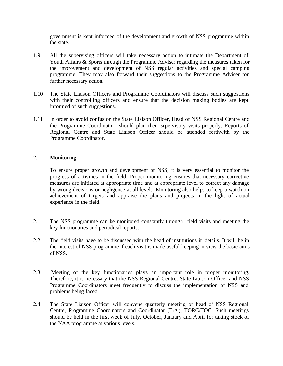government is kept informed of the development and growth of NSS programme within the state.

- 1.9 All the supervising officers will take necessary action to intimate the Department of Youth Affairs & Sports through the Programme Adviser regarding the measures taken for the improvement and development of NSS regular activities and special camping programme. They may also forward their suggestions to the Programme Adviser for further necessary action.
- 1.10 The State Liaison Officers and Programme Coordinators will discuss such suggestions with their controlling officers and ensure that the decision making bodies are kept informed of such suggestions.
- 1.11 In order to avoid confusion the State Liaison Officer, Head of NSS Regional Centre and the Programme Coordinator should plan their supervisory visits properly. Reports of Regional Centre and State Liaison Officer should be attended forthwith by the Programme Coordinator.

## 2. **Monitoring**

To ensure proper growth and development of NSS, it is very essential to monitor the progress of activities in the field. Proper monitoring ensures that necessary corrective measures are initiated at appropriate time and at appropriate level to correct any damage by wrong decisions or negligence at all levels. Monitoring also helps to keep a watch on achievement of targets and appraise the plans and projects in the light of actual experience in the field.

- 2.1 The NSS programme can be monitored constantly through field visits and meeting the key functionaries and periodical reports.
- 2.2 The field visits have to be discussed with the head of institutions in details. It will be in the interest of NSS programme if each visit is made useful keeping in view the basic aims of NSS.
- 2.3 Meeting of the key functionaries plays an important role in proper monitoring. Therefore, it is necessary that the NSS Regional Centre, State Liaison Officer and NSS Programme Coordinators meet frequently to discuss the implementation of NSS and problems being faced.
- 2.4 The State Liaison Officer will convene quarterly meeting of head of NSS Regional Centre, Programme Coordinators and Coordinator (Trg.), TORC/TOC. Such meetings should be held in the first week of July, October, January and April for taking stock of the NAA programme at various levels.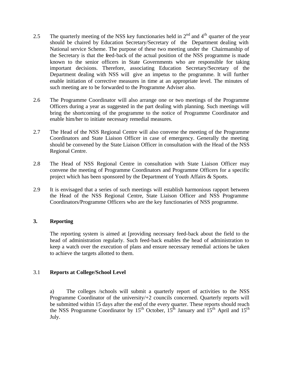- 2.5 The quarterly meeting of the NSS key functionaries held in  $2<sup>nd</sup>$  and  $4<sup>th</sup>$  quarter of the year should be chaired by Education Secretary/Secretary of the Department dealing with National service Scheme. The purpose of these two meeting under the Chairmanship of the Secretary is that the feed-back of the actual position of the NSS programme is made known to the senior officers in State Governments who are responsible for taking important decisions. Therefore, associating Education Secretary/Secretary of the Department dealing with NSS will give an impetus to the programme. It will further enable initiation of corrective measures in time at an appropriate level. The minutes of such meeting are to be forwarded to the Programme Adviser also.
- 2.6 The Programme Coordinator will also arrange one or two meetings of the Programme Officers during a year as suggested in the part dealing with planning. Such meetings will bring the shortcoming of the programme to the notice of Programme Coordinator and enable him/her to initiate necessary remedial measures.
- 2.7 The Head of the NSS Regional Centre will also convene the meeting of the Programme Coordinators and State Liaison Officer in case of emergency. Generally the meeting should be convened by the State Liaison Officer in consultation with the Head of the NSS Regional Centre.
- 2.8 The Head of NSS Regional Centre in consultation with State Liaison Officer may convene the meeting of Programme Coordinators and Programme Officers for a specific project which has been sponsored by the Department of Youth Affairs & Sports.
- 2.9 It is envisaged that a series of such meetings will establish harmonious rapport between the Head of the NSS Regional Centre, State Liaison Officer and NSS Programme Coordinators/Programme Officers who are the key functionaries of NSS programme.

## **3. Reporting**

The reporting system is aimed at [providing necessary feed-back about the field to the head of administration regularly. Such feed-back enables the head of administration to keep a watch over the execution of plans and ensure necessary remedial actions be taken to achieve the targets allotted to them.

## 3.1 **Reports at College/School Level**

a) The colleges /schools will submit a quarterly report of activities to the NSS Programme Coordinator of the university/+2 councils concerned. Quarterly reports will be submitted within 15 days after the end of the every quarter. These reports should reach the NSS Programme Coordinator by  $15^{th}$  October,  $15^{th}$  January and  $15^{th}$  April and  $15^{th}$ July.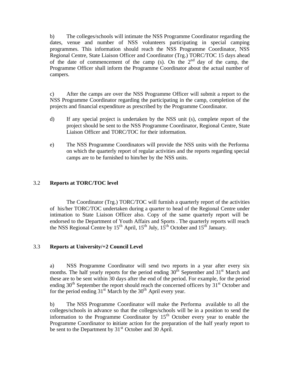b) The colleges/schools will intimate the NSS Programme Coordinator regarding the dates, venue and number of NSS volunteers participating in special camping programmes. This information should reach the NSS Programme Coordinator, NSS Regional Centre, State Liaison Officer and Coordinator (Trg.) TORC/TOC 15 days ahead of the date of commencement of the camp (s). On the  $2<sup>nd</sup>$  day of the camp, the Programme Officer shall inform the Programme Coordinator about the actual number of campers.

c) After the camps are over the NSS Programme Officer will submit a report to the NSS Programme Coordinator regarding the participating in the camp, completion of the projects and financial expenditure as prescribed by the Programme Coordinator.

- d) If any special project is undertaken by the NSS unit (s), complete report of the project should be sent to the NSS Programme Coordinator, Regional Centre, State Liaison Officer and TORC/TOC for their information.
- e) The NSS Programme Coordinators will provide the NSS units with the Performa on which the quarterly report of regular activities and the reports regarding special camps are to be furnished to him/her by the NSS units.

## 3.2 **Reports at TORC/TOC level**

The Coordinator (Trg.) TORC/TOC will furnish a quarterly report of the activities of his/her TORC/TOC undertaken during a quarter to head of the Regional Centre under intimation to State Liaison Officer also. Copy of the same quarterly report will be endorsed to the Department of Youth Affairs and Sports . The quarterly reports will reach the NSS Regional Centre by  $15^{th}$  April,  $15^{th}$  July,  $15^{th}$  October and  $15^{th}$  January.

## 3.3 **Reports at University/+2 Council Level**

a) NSS Programme Coordinator will send two reports in a year after every six months. The half yearly reports for the period ending  $30<sup>th</sup>$  September and  $31<sup>st</sup>$  March and these are to be sent within 30 days after the end of the period. For example, for the period ending  $30<sup>th</sup>$  September the report should reach the concerned officers by  $31<sup>st</sup>$  October and for the period ending  $31<sup>st</sup>$  March by the  $30<sup>th</sup>$  April every year.

b) The NSS Programme Coordinator will make the Performa available to all the colleges/schools in advance so that the colleges/schools will be in a position to send the information to the Programme Coordinator by  $15<sup>th</sup>$  October every year to enable the Programme Coordinator to initiate action for the preparation of the half yearly report to be sent to the Department by  $31<sup>st</sup>$  October and 30 April.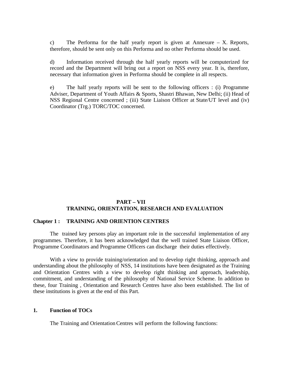c) The Performa for the half yearly report is given at Annexure  $- X$ . Reports, therefore, should be sent only on this Performa and no other Performa should be used.

d) Information received through the half yearly reports will be computerized for record and the Department will bring out a report on NSS every year. It is, therefore, necessary that information given in Performa should be complete in all respects.

e) The half yearly reports will be sent to the following officers : (i) Programme Adviser, Department of Youth Affairs & Sports, Shastri Bhawan, New Delhi; (ii) Head of NSS Regional Centre concerned ; (iii) State Liaison Officer at State/UT level and (iv) Coordinator (Trg.) TORC/TOC concerned.

## **PART – VII TRAINING, ORIENTATION, RESEARCH AND EVALUATION**

#### **Chapter 1 : TRAINING AND ORIENTION CENTRES**

The trained key persons play an important role in the successful implementation of any programmes. Therefore, it has been acknowledged that the well trained State Liaison Officer, Programme Coordinators and Programme Officers can discharge their duties effectively.

With a view to provide training/orientation and to develop right thinking, approach and understanding about the philosophy of NSS, 14 institutions have been designated as the Training and Orientation Centres with a view to develop right thinking and approach, leadership, commitment, and understanding of the philosophy of National Service Scheme. In addition to these, four Training , Orientation and Research Centres have also been established. The list of these institutions is given at the end of this Part.

#### **1. Function of TOCs**

The Training and Orientation Centres will perform the following functions: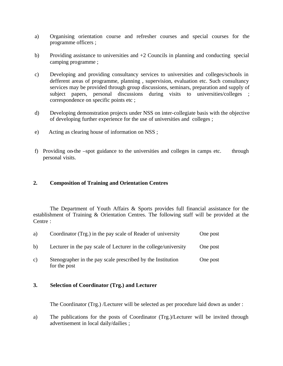- a) Organising orientation course and refresher courses and special courses for the programme officers ;
- b) Providing assistance to universities and +2 Councils in planning and conducting special camping programme ;
- c) Developing and providing consultancy services to universities and colleges/schools in defferent areas of programme, planning , supervision, evaluation etc. Such consultancy services may be provided through group discussions, seminars, preparation and supply of subject papers, personal discussions during visits to universities/colleges ; correspondence on specific points etc ;
- d) Developing demonstration projects under NSS on inter-collegiate basis with the objective of developing further experience for the use of universities and colleges ;
- e) Acting as clearing house of information on NSS ;
- f) Providing on-the –spot guidance to the universities and colleges in camps etc. through personal visits.

## **2. Composition of Training and Orientation Centres**

The Department of Youth Affairs & Sports provides full financial assistance for the establishment of Training & Orientation Centres. The following staff will be provided at the Centre :

| a)           | Coordinator (Trg.) in the pay scale of Reader of university                 | One post |
|--------------|-----------------------------------------------------------------------------|----------|
| $\mathbf{b}$ | Lecturer in the pay scale of Lecturer in the college/university             | One post |
| c)           | Stenographer in the pay scale prescribed by the Institution<br>for the post | One post |

## **3. Selection of Coordinator (Trg.) and Lecturer**

The Coordinator (Trg.) /Lecturer will be selected as per procedure laid down as under :

a) The publications for the posts of Coordinator (Trg.)/Lecturer will be invited through advertisement in local daily/dailies ;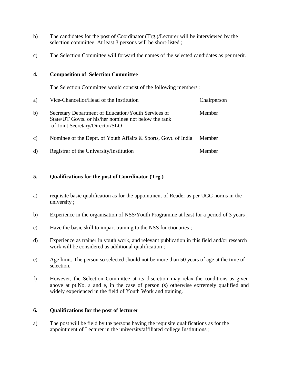- b) The candidates for the post of Coordinator (Trg.)/Lecturer will be interviewed by the selection committee. At least 3 persons will be short-listed ;
- c) The Selection Committee will forward the names of the selected candidates as per merit.

## **4. Composition of Selection Committee**

The Selection Committee would consist of the following members :

| a)           | Vice-Chancellor/Head of the Institution                                                                                                         | Chairperson |
|--------------|-------------------------------------------------------------------------------------------------------------------------------------------------|-------------|
| b)           | Secretary Department of Education/Youth Services of<br>State/UT Govts. or his/her nominee not below the rank<br>of Joint Secretary/Director/SLO | Member      |
| $\mathbf{c}$ | Nominee of the Deptt. of Youth Affairs & Sports, Govt. of India                                                                                 | Member      |
| d)           | Registrar of the University/Institution                                                                                                         | Member      |

## **5. Qualifications for the post of Coordinator (Trg.)**

- a) requisite basic qualification as for the appointment of Reader as per UGC norms in the university ;
- b) Experience in the organisation of NSS/Youth Programme at least for a period of 3 years ;
- c) Have the basic skill to impart training to the NSS functionaries ;
- d) Experience as trainer in youth work, and relevant publication in this field and/or research work will be considered as additional qualification ;
- e) Age limit: The person so selected should not be more than 50 years of age at the time of selection.
- f) However, the Selection Committee at its discretion may relax the conditions as given above at pt.No. a and e, in the case of person (s) otherwise extremely qualified and widely experienced in the field of Youth Work and training.

## **6. Qualifications for the post of lecturer**

a) The post will be field by the persons having the requisite qualifications as for the appointment of Lecturer in the university/affiliated college Institutions ;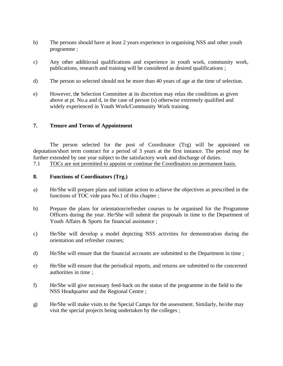- b) The persons should have at least 2 years experience in organising NSS and other youth programme ;
- c) Any other additional qualifications and experience in youth work, community work, publications, research and training will be considered as desired qualifications ;
- d) The person so selected should not be more than 40 years of age at the time of selection.
- e) However, the Selection Committee at its discretion may relax the conditions as given above at pt. No.a and d, in the case of person (s) otherwise extremely qualified and widely experienced in Youth Work/Community Work training.

## **7. Tenure and Terms of Appointment**

The person selected for the post of Coordinator (Trg) will be appointed on deputation/short term contract for a period of 3 years at the first instance. The period may be further extended by one year subject to the satisfactory work and discharge of duties.

7.1 TOCs are not permitted to appoint or continue the Coordinators on permanent basis.

## **8. Functions of Coordinators (Trg.)**

- a) He/She will prepare plans and initiate action to achieve the objectives as prescribed in the functions of TOC vide para No.1 of this chapter ;
- b) Prepare the plans for orientation/refresher courses to be organised for the Programme Officers during the year. He/She will submit the proposals in time to the Department of Youth Affairs & Sports for financial assistance ;
- c) He/She will develop a model depicting NSS activities for demonstration during the orientation and refresher courses;
- d) He/She will ensure that the financial accounts are submitted to the Department in time ;
- e) He/She will ensure that the periodical reports, and returns are submitted to the concerned authorities in time ;
- f) He/She will give necessary feed-back on the status of the programme in the field to the NSS Headquarter and the Regional Centre ;
- g) He/She will make visits to the Special Camps for the assessment. Similarly, he/she may visit the special projects being undertaken by the colleges ;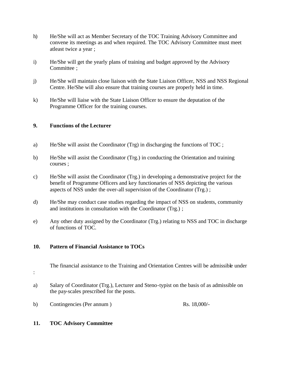- h) He/She will act as Member Secretary of the TOC Training Advisory Committee and convene its meetings as and when required. The TOC Advisory Committee must meet atleast twice a year ;
- i) He/She will get the yearly plans of training and budget approved by the Advisory Committee ;
- j) He/She will maintain close liaison with the State Liaison Officer, NSS and NSS Regional Centre. He/She will also ensure that training courses are properly held in time.
- k) He/She will liaise with the State Liaison Officer to ensure the deputation of the Programme Officer for the training courses.

## **9. Functions of the Lecturer**

- a) He/She will assist the Coordinator (Trg) in discharging the functions of TOC ;
- b) He/She will assist the Coordinator (Trg.) in conducting the Orientation and training courses ;
- c) He/She will assist the Coordinator (Trg.) in developing a demonstrative project for the benefit of Programme Officers and key functionaries of NSS depicting the various aspects of NSS under the over-all supervision of the Coordinator (Trg.) ;
- d) He/She may conduct case studies regarding the impact of NSS on students, community and institutions in consultation with the Coordinator (Trg.) ;
- e) Any other duty assigned by the Coordinator (Trg.) relating to NSS and TOC in discharge of functions of TOC.

#### **10. Pattern of Financial Assistance to TOCs**

The financial assistance to the Training and Orientation Centres will be admissible under

- :
- a) Salary of Coordinator (Trg.), Lecturer and Steno-typist on the basis of as admissible on the pay-scales prescribed for the posts.
- b) Contingencies (Per annum ) Rs. 18,000/-

#### **11. TOC Advisory Committee**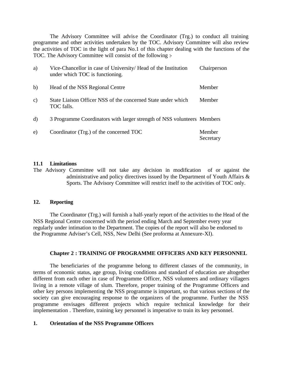The Advisory Committee will advise the Coordinator (Trg.) to conduct all training programme and other activities undertaken by the TOC. Advisory Committee will also review the activities of TOC in the light of para No.1 of this chapter dealing with the functions of the TOC. The Advisory Committee will consist of the following :-

| a)            | Vice-Chancellor in case of University/ Head of the Institution<br>under which TOC is functioning. | Chairperson         |
|---------------|---------------------------------------------------------------------------------------------------|---------------------|
| b)            | Head of the NSS Regional Centre                                                                   | Member              |
| $\mathbf{c})$ | State Liaison Officer NSS of the concerned State under which<br>TOC falls.                        | Member              |
| d)            | 3 Programme Coordinators with larger strength of NSS volunteers Members                           |                     |
| e)            | Coordinator (Trg.) of the concerned TOC                                                           | Member<br>Secretary |

#### **11.1 Limitations**

The Advisory Committee will not take any decision in modification of or against the administrative and policy directives issued by the Department of Youth Affairs & Sports. The Advisory Committee will restrict itself to the activities of TOC only.

#### **12. Reporting**

The Coordinator (Trg.) will furnish a half-yearly report of the activities to the Head of the NSS Regional Centre concerned with the period ending March and September every year regularly under intimation to the Department. The copies of the report will also be endorsed to the Programme Adviser's Cell, NSS, New Delhi (See proforma at Annexure-XI).

#### **Chapter 2 : TRAINING OF PROGRAMME OFFICERS AND KEY PERSONNEL**

The beneficiaries of the programme belong to different classes of the community, in terms of economic status, age group, living conditions and standard of education are altogether different from each other in case of Programme Officer, NSS volunteers and ordinary villagers living in a remote village of slum. Therefore, proper training of the Programme Officers and other key persons implementing the NSS programme is important, so that various sections of the society can give encouraging response to the organizers of the programme. Further the NSS programme envisages different projects which require technical knowledge for their implementation . Therefore, training key personnel is imperative to train its key personnel.

#### **1. Orientation of the NSS Programme Officers**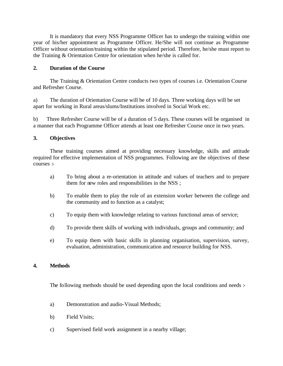It is mandatory that every NSS Programme Officer has to undergo the training within one year of his/her appointment as Programme Officer. He/She will not continue as Programme Officer without orientation/training within the stipulated period. Therefore, he/she must report to the Training & Orientation Centre for orientation when he/she is called for.

## **2. Duration of the Course**

The Training & Orientation Centre conducts two types of courses i.e. Orientation Course and Refresher Course.

a) The duration of Orientation Course will be of 10 days. Three working days will be set apart for working in Rural areas/slums/Institutions involved in Social Work etc.

b) Three Refresher Course will be of a duration of 5 days. These courses will be organised in a manner that each Programme Officer attends at least one Refresher Course once in two years.

## **3. Objectives**

These training courses aimed at providing necessary knowledge, skills and attitude required for effective implementation of NSS programmes. Following are the objectives of these courses :-

- a) To bring about a re-orientation in attitude and values of teachers and to prepare them for new roles and responsibilities in the NSS ;
- b) To enable them to play the role of an extension worker between the college and the community and to function as a catalyst;
- c) To equip them with knowledge relating to various functional areas of service;
- d) To provide them skills of working with individuals, groups and community; and
- e) To equip them with basic skills in planning organisation, supervision, survey, evaluation, administration, communication and resource building for NSS.

## **4. Methods**

The following methods should be used depending upon the local conditions and needs :-

- a) Demonstration and audio-Visual Methods;
- b) Field Visits;
- c) Supervised field work assignment in a nearby village;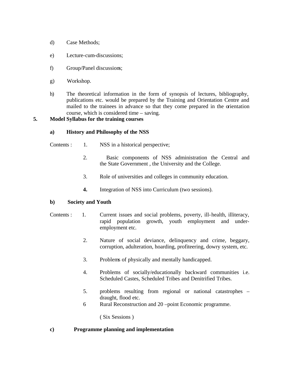- d) Case Methods;
- e) Lecture-cum-discussions;
- f) Group/Panel discussions;
- g) Workshop.
- h) The theoretical information in the form of synopsis of lectures, bibliography, publications etc. would be prepared by the Training and Orientation Centre and mailed to the trainees in advance so that they come prepared in the orientation course, which is considered time – saving.

#### **5. Model Syllabus for the training courses**

#### **a) History and Philosophy of the NSS**

- Contents : 1. NSS in a historical perspective;
	- 2. Basic components of NSS administration the Central and the State Government , the University and the College.
	- 3. Role of universities and colleges in community education.
	- **4.** Integration of NSS into Curriculum (two sessions).

#### **b) Society and Youth**

- Contents : 1. Current issues and social problems, poverty, ill-health, illiteracy, rapid population growth, youth employment and underemployment etc.
	- 2. Nature of social deviance, delinquency and crime, beggary, corruption, adulteration, hoarding, profiteering, dowry system, etc.
	- 3. Problems of physically and mentally handicapped.
	- 4. Problems of socially/educationally backward communities i.e. Scheduled Castes, Scheduled Tribes and Denitrified Tribes.
	- 5. problems resulting from regional or national catastrophes draught, flood etc.
	- 6 Rural Reconstruction and 20 –point Economic programme.

( Six Sessions )

#### **c) Programme planning and implementation**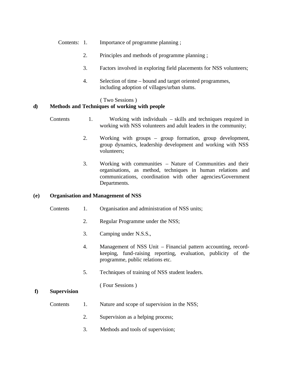- Contents: 1. Importance of programme planning ;
	- 2. Principles and methods of programme planning ;
	- 3. Factors involved in exploring field placements for NSS volunteers;
	- 4. Selection of time bound and target oriented programmes, including adoption of villages/urban slums.

#### ( Two Sessions )

#### **d) Methods and Techniques of working with people**

- Contents 1. Working with individuals skills and techniques required in working with NSS volunteers and adult leaders in the community;
	- 2. Working with groups group formation, group development, group dynamics, leadership development and working with NSS volunteers;
	- 3. Working with communities Nature of Communities and their organisations, as method, techniques in human relations and communications, coordination with other agencies/Government Departments.

#### **(e) Organisation and Management of NSS**

- Contents 1. Organisation and administration of NSS units;
	- 2. Regular Programme under the NSS;
	- 3. Camping under N.S.S.,
	- 4. Management of NSS Unit Financial pattern accounting, recordkeeping, fund-raising reporting, evaluation, publicity of the programme, public relations etc.
	- 5. Techniques of training of NSS student leaders.

( Four Sessions )

#### **f) Supervision**

- Contents 1. Nature and scope of supervision in the NSS;
	- 2. Supervision as a helping process;
	- 3. Methods and tools of supervision;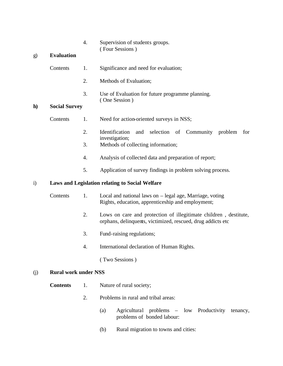4. Supervision of students groups. ( Four Sessions )

## g) **Evaluation**

- Contents 1. Significance and need for evaluation;
	- 2. Methods of Evaluation;
	- 3. Use of Evaluation for future programme planning. ( One Session )

#### **h) Social Survey**

- Contents 1. Need for action-oriented surveys in NSS;
	- 2. Identification and selection of Community problem for investigation;
	- 3. Methods of collecting information;
	- 4. Analysis of collected data and preparation of report;
	- 5. Application of survey findings in problem solving process.

### i) **Laws and Legislation relating to Social Welfare**

- Contents 1. Local and national laws on legal age, Marriage, voting Rights, education, apprenticeship and employment;
	- 2. Lows on care and protection of illegitimate children , destitute, orphans, delinquents, victimized, rescued, drug addicts etc
	- 3. Fund-raising regulations;
	- 4. International declaration of Human Rights.

( Two Sessions )

#### (j) **Rural work under NSS**

- **Contents** 1. Nature of rural society;
	- 2. Problems in rural and tribal areas:
		- (a) Agricultural problems low Productivity tenancy, problems of bonded labour:
		- (b) Rural migration to towns and cities: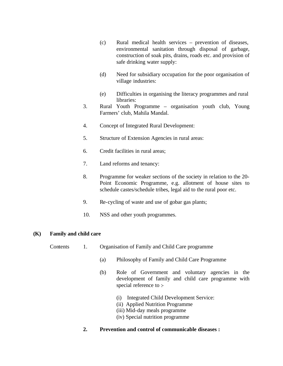- (c) Rural medical health services prevention of diseases, environmental sanitation through disposal of garbage, construction of soak pits, drains, roads etc. and provision of safe drinking water supply:
- (d) Need for subsidiary occupation for the poor organisation of village industries:
- (e) Difficulties in organising the literacy programmes and rural libraries:
- 3. Rural Youth Programme organisation youth club, Young Farmers' club, Mahila Mandal.
- 4. Concept of Integrated Rural Development:
- 5. Structure of Extension Agencies in rural areas:
- 6. Credit facilities in rural areas;
- 7. Land reforms and tenancy:
- 8. Programme for weaker sections of the society in relation to the 20- Point Economic Programme, e.g. allotment of house sites to schedule castes/schedule tribes, legal aid to the rural poor etc.
- 9. Re-cycling of waste and use of gobar gas plants;
- 10. NSS and other youth programmes.

#### **(K) Family and child care**

- Contents 1. Organisation of Family and Child Care programme
	- (a) Philosophy of Family and Child Care Programme
	- (b) Role of Government and voluntary agencies in the development of family and child care programme with special reference to :-
		- (i) Integrated Child Development Service:
		- (ii) Applied Nutrition Programme
		- (iii) Mid-day meals programme
		- (iv) Special nutrition programme
	- **2. Prevention and control of communicable diseases :**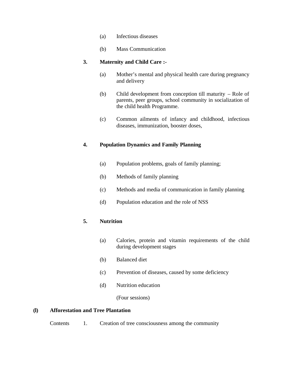- (a) Infectious diseases
- (b) Mass Communication

### **3. Maternity and Child Care :-**

- (a) Mother's mental and physical health care during pregnancy and delivery
- (b) Child development from conception till maturity Role of parents, peer groups, school community in socialization of the child health Programme.
- (c) Common ailments of infancy and childhood, infectious diseases, immunization, booster doses,

## **4. Population Dynamics and Family Planning**

- (a) Population problems, goals of family planning;
- (b) Methods of family planning
- (c) Methods and media of communication in family planning
- (d) Population education and the role of NSS

## **5. Nutrition**

- (a) Calories, protein and vitamin requirements of the child during development stages
- (b) Balanced diet
- (c) Prevention of diseases, caused by some deficiency
- (d) Nutrition education

(Four sessions)

## **(l) Afforestation and Tree Plantation**

Contents 1. Creation of tree consciousness among the community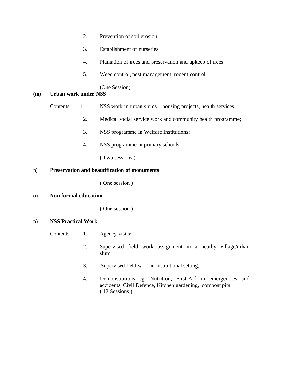- 2. Prevention of soil erosion
- 3. Establishment of nurseries
- 4. Plantation of trees and preservation and upkeep of trees
- 5. Weed control, pest management, rodent control

(One Session)

#### **(m) Urban work under NSS**

- Contents 1. NSS work in urban slums housing projects, health services,
	- 2. Medical social service work and community health programme;
	- 3. NSS programme in Welfare Institutions;
	- 4. NSS programme in primary schools.

( Two sessions )

#### n) **Preservation and beautification of monuments**

( One session )

**o) Non-formal education**

( One session )

### p) **NSS Practical Work**

- Contents 1. Agency visits;
	- 2. Supervised field work assignment in a nearby village/urban slum;
	- 3. Supervised field work in institutional setting;
	- 4. Demonstrations eg. Nutrition, First-Aid in emergencies and accidents, Civil Defence, Kitchen gardening, compost pits . ( 12 Sessions )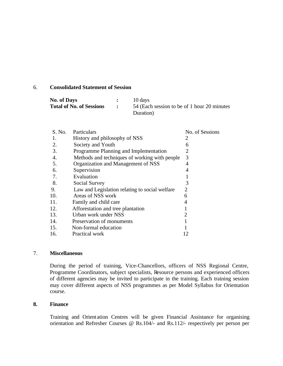#### 6. **Consolidated Statement of Session**

| <b>No. of Days</b>              | 10 days                                      |
|---------------------------------|----------------------------------------------|
| <b>Total of No. of Sessions</b> | 54 (Each session to be of 1 hour 20 minutes) |
|                                 | Duration)                                    |

| S. No. | Particulars                                    | No. of Sessions |
|--------|------------------------------------------------|-----------------|
| 1.     | History and philosophy of NSS                  | 2               |
| 2.     | Society and Youth                              | 6               |
| 3.     | Programme Planning and Implementation          | $\overline{2}$  |
| 4.     | Methods and techniques of working with people  | 3               |
| 5.     | Organization and Management of NSS             | 4               |
| 6.     | Supervision                                    | 4               |
| 7.     | Evaluation                                     |                 |
| 8.     | Social Survey                                  | 3               |
| 9.     | Law and Legislation relating to social welfare | 2               |
| 10.    | Areas of NSS work                              | 6               |
| 11.    | Family and child care                          | 4               |
| 12.    | Afforestation and tree plantation              |                 |
| 13.    | Urban work under NSS                           | 2               |
| 14.    | Preservation of monuments                      |                 |
| 15.    | Non-formal education                           |                 |
| 16.    | Practical work                                 | 12              |
|        |                                                |                 |

#### 7. **Miscellaneous**

During the period of training, Vice-Chancellors, officers of NSS Regional Centre, Programme Coordinators, subject specialists, Resource persons and experienced officers of different agencies may be invited to participate in the training. Each training session may cover different aspects of NSS programmes as per Model Syllabus for Orientation course.

#### **8. Finance**

Training and Orient ation Centres will be given Financial Assistance for organising orientation and Refresher Courses @ Rs.104/- and Rs.112/- respectively per person per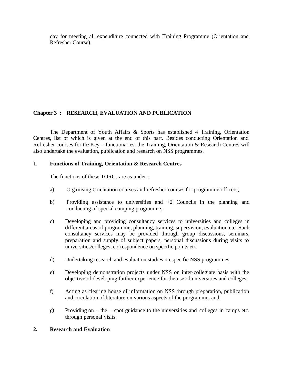day for meeting all expenditure connected with Training Programme (Orientation and Refresher Course).

# **Chapter 3 : RESEARCH, EVALUATION AND PUBLICATION**

The Department of Youth Affairs & Sports has established 4 Training, Orientation Centres, list of which is given at the end of this part. Besides conducting Orientation and Refresher courses for the Key – functionaries, the Training, Orientation & Research Centres will also undertake the evaluation, publication and research on NSS programmes.

## 1. **Functions of Training, Orientation & Research Centres**

The functions of these TORCs are as under :

- a) Organising Orientation courses and refresher courses for programme officers;
- b) Providing assistance to universities and +2 Councils in the planning and conducting of special camping programme;
- c) Developing and providing consultancy services to universities and colleges in different areas of programme, planning, training, supervision, evaluation etc. Such consultancy services may be provided through group discussions, seminars, preparation and supply of subject papers, personal discussions during visits to universities/colleges, correspondence on specific points etc.
- d) Undertaking research and evaluation studies on specific NSS programmes;
- e) Developing demonstration projects under NSS on inter-collegiate basis with the objective of developing further experience for the use of universities and colleges;
- f) Acting as clearing house of information on NSS through preparation, publication and circulation of literature on various aspects of the programme; and
- g) Providing on the spot guidance to the universities and colleges in camps etc. through personal visits.

#### **2. Research and Evaluation**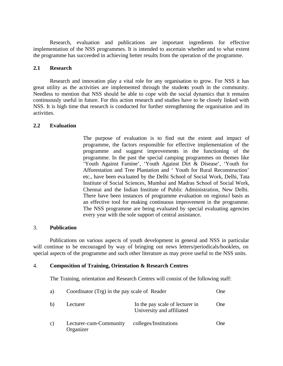Research, evaluation and publications are important ingredients for effective implementation of the NSS programmes. It is intended to ascertain whether and to what extent the programme has succeeded in achieving better results from the operation of the programme.

#### **2.1 Research**

Research and innovation play a vital role for any organisation to grow. For NSS it has great utility as the activities are implemented through the students youth in the community. Needless to mention that NSS should be able to cope with the social dynamics that it remains continuously useful in future. For this action research and studies have to be closely linked with NSS. It is high time that research is conducted for further strengthening the organisation and its activities.

#### **2.2 Evaluation**

The purpose of evaluation is to find out the extent and impact of programme, the factors responsible for effective implementation of the programme and suggest improvements in the functioning of the programme. In the past the special camping programmes on themes like 'Youth Against Famine', 'Youth Against Dirt & Disease', 'Youth for Afforestation and Tree Plantation and ' Youth for Rural Reconstruction' etc., have been eva luated by the Delhi School of Social Work, Delhi, Tata Institute of Social Sciences, Mumbai and Madras School of Social Work, Chennai and the Indian Institute of Public Administration, New Delhi. There have been instances of programme evaluation on regional basis as an effective tool for making continuous improvement in the programme. The NSS programme are being evaluated by special evaluating agencies every year with the sole support of central assistance.

#### 3. **Publication**

Publications on various aspects of youth development in general and NSS in particular will continue to be encouraged by way of bringing out news letters/periodicals/booklets, on special aspects of the programme and such other literature as may prove useful to the NSS units.

#### 4. **Composition of Training, Orientation & Research Centres**

The Training, orientation and Research Centres will consist of the following staff:

| a) | Coordinator (Trg) in the pay scale of Reader |                                                              | One |
|----|----------------------------------------------|--------------------------------------------------------------|-----|
| b) | Lecturer                                     | In the pay scale of lecturer in<br>University and affiliated | One |
| C) | Lecturer-cum-Community<br>Organizer          | colleges/Institutions                                        | One |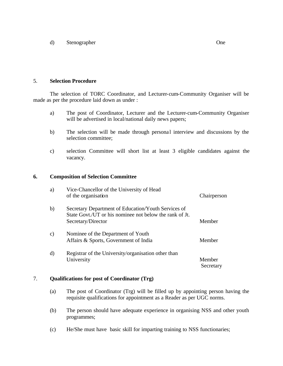d) Stenographer One

#### 5. **Selection Procedure**

The selection of TORC Coordinator, and Lecturer-cum-Community Organiser will be made as per the procedure laid down as under :

- a) The post of Coordinator, Lecturer and the Lecturer-cum-Community Organiser will be advertised in local/national daily news papers;
- b) The selection will be made through personal interview and discussions by the selection committee;
- c) selection Committee will short list at least 3 eligible candidates against the vacancy.

#### **6. Composition of Selection Committee**

| a)            | Vice-Chancellor of the University of Head<br>of the organisation                                                                     | Chairperson         |
|---------------|--------------------------------------------------------------------------------------------------------------------------------------|---------------------|
| b)            | Secretary Department of Education/Youth Services of<br>State Govt./UT or his nominee not below the rank of Jt.<br>Secretary/Director | Member              |
| $\mathbf{c})$ | Nominee of the Department of Youth<br>Affairs & Sports, Government of India                                                          | Member              |
| d)            | Registrar of the University/organisation other than<br>University                                                                    | Member<br>Secretary |

### 7. **Qualifications for post of Coordinator (Trg)**

- (a) The post of Coordinator (Trg) will be filled up by appointing person having the requisite qualifications for appointment as a Reader as per UGC norms.
- (b) The person should have adequate experience in organising NSS and other youth programmes;
- (c) He/She must have basic skill for imparting training to NSS functionaries;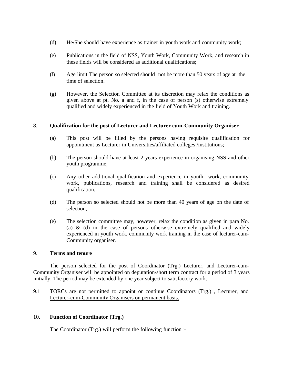- (d) He/She should have experience as trainer in youth work and community work;
- (e) Publications in the field of NSS, Youth Work, Community Work, and research in these fields will be considered as additional qualifications;
- (f) Age limit The person so selected should not be more than 50 years of age at the time of selection.
- (g) However, the Selection Committee at its discretion may relax the conditions as given above at pt. No. a and f, in the case of person (s) otherwise extremely qualified and widely experienced in the field of Youth Work and training.

## 8. **Qualification for the post of Lecturer and Lecturer-cum-Community Organiser**

- (a) This post will be filled by the persons having requisite qualification for appointment as Lecturer in Universities/affiliated colleges /institutions;
- (b) The person should have at least 2 years experience in organising NSS and other youth programme;
- (c) Any other additional qualification and experience in youth work, community work, publications, research and training shall be considered as desired qualification.
- (d) The person so selected should not be more than 40 years of age on the date of selection;
- (e) The selection committee may, however, relax the condition as given in para No. (a) & (d) in the case of persons otherwise extremely qualified and widely experienced in youth work, community work training in the case of lecturer-cum-Community organiser.

#### 9. **Terms and tenure**

The person selected for the post of Coordinator (Trg.) Lecturer, and Lecturer-cum-Community Organiser will be appointed on deputation/short term contract for a period of 3 years initially. The period may be extended by one year subject to satisfactory work.

9.1 TORCs are not permitted to appoint or continue Coordinators (Trg.) , Lecturer, and Lecturer-cum-Community Organisers on permanent basis.

#### 10. **Function of Coordinator (Trg.)**

The Coordinator (Trg.) will perform the following function :-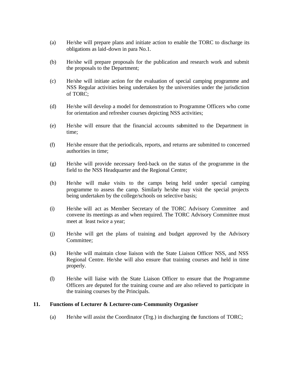- (a) He/she will prepare plans and initiate action to enable the TORC to discharge its obligations as laid-down in para No.1.
- (b) He/she will prepare proposals for the publication and research work and submit the proposals to the Department;
- (c) He/she will initiate action for the evaluation of special camping programme and NSS Regular activities being undertaken by the universities under the jurisdiction of TORC;
- (d) He/she will develop a model for demonstration to Programme Officers who come for orientation and refresher courses depicting NSS activities;
- (e) He/she will ensure that the financial accounts submitted to the Department in time;
- (f) He/she ensure that the periodicals, reports, and returns are submitted to concerned authorities in time;
- (g) He/she will provide necessary feed-back on the status of the programme in the field to the NSS Headquarter and the Regional Centre;
- (h) He/she will make visits to the camps being held under special camping programme to assess the camp. Similarly he/she may visit the special projects being undertaken by the college/schools on selective basis;
- (i) He/she will act as Member Secretary of the TORC Advisory Committee and convene its meetings as and when required. The TORC Advisory Committee must meet at least twice a year;
- (j) He/she will get the plans of training and budget approved by the Advisory Committee;
- (k) He/she will maintain close liaison with the State Liaison Officer NSS, and NSS Regional Centre. He/she will also ensure that training courses and held in time properly.
- (l) He/she will liaise with the State Liaison Officer to ensure that the Programme Officers are deputed for the training course and are also relieved to participate in the training courses by the Principals.

#### **11. Functions of Lecturer & Lecturer-cum-Community Organiser**

(a) He/she will assist the Coordinator (Trg.) in discharging the functions of TORC;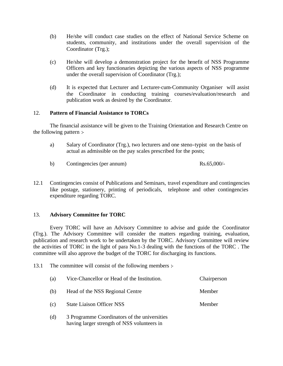- (b) He/she will conduct case studies on the effect of National Service Scheme on students, community, and institutions under the overall supervision of the Coordinator (Trg.);
- (c) He/she will develop a demonstration project for the benefit of NSS Programme Officers and key functionaries depicting the various aspects of NSS programme under the overall supervision of Coordinator (Trg.);
- (d) It is expected that Lecturer and Lecturer-cum-Community Organiser will assist the Coordinator in conducting training courses/evaluation/research and publication work as desired by the Coordinator.

### 12. **Pattern of Financial Assistance to TORCs**

The financial assistance will be given to the Training Orientation and Research Centre on the following pattern :-

- a) Salary of Coordinator (Trg.), two lecturers and one steno-typist on the basis of actual as admissible on the pay scales prescribed for the posts;
- b) Contingencies (per annum) Rs.65,000/-
- 12.1 Contingencies consist of Publications and Seminars, travel expenditure and contingencies like postage, stationery, printing of periodicals, telephone and other contingencies expenditure regarding TORC.

#### 13. **Advisory Committee for TORC**

Every TORC will have an Advisory Committee to advise and guide the Coordinator (Trg.). The Advisory Committee will consider the matters regarding training, evaluation, publication and research work to be undertaken by the TORC. Advisory Committee will review the activities of TORC in the light of para No.1-3 dealing with the functions of the TORC . The committee will also approve the budget of the TORC for discharging its functions.

13.1 The committee will consist of the following members :-

| (a)              | Vice-Chancellor or Head of the Institution. | Chairperson |
|------------------|---------------------------------------------|-------------|
| (b)              | Head of the NSS Regional Centre             | Member      |
| (c)              | <b>State Liaison Officer NSS</b>            | Member      |
| $\left(1\right)$ |                                             |             |

(d) 3 Programme Coordinators of the universities having larger strength of NSS volunteers in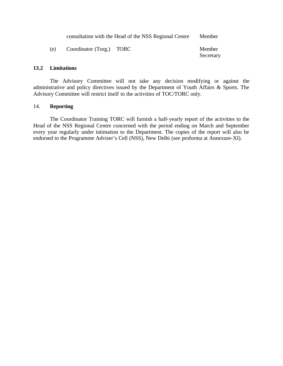|     | consultation with the Head of the NSS Regional Centre | Member              |  |
|-----|-------------------------------------------------------|---------------------|--|
| (e) | Coordinator (Torg.) TORC                              | Member<br>Secretary |  |

## **13.2 Limitations**

The Advisory Committee will not take any decision modifying or against the administrative and policy directives issued by the Department of Youth Affairs & Sports. The Advisory Committee will restrict itself to the activities of TOC/TORC only.

#### 14. **Reporting**

The Coordinator Training TORC will furnish a half-yearly report of the activities to the Head of the NSS Regional Centre concerned with the period ending on March and September every year regularly under intimation to the Department. The copies of the report will also be endorsed to the Programme Adviser's Cell (NSS), New Delhi (see proforma at Annexure-XI).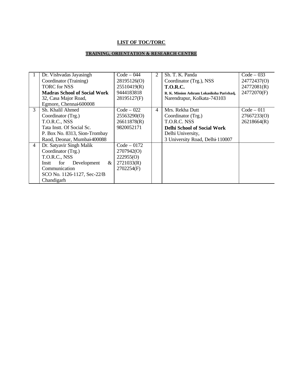## **LIST OF TOC/TORC**

## **TRAINING, ORIENTATION & RESEARCH CENTRE**

|   | Dr. Vishvadas Jayasingh             | $Code - 044$  | 2              | Sh. T. K. Panda                           | $Code - 033$ |
|---|-------------------------------------|---------------|----------------|-------------------------------------------|--------------|
|   | Coordinator (Training)              | 28195126(O)   |                | Coordinator (Trg.), NSS                   | 24772437(O)  |
|   | <b>TORC</b> for NSS                 | 25510419(R)   |                | <b>T.O.R.C.</b>                           | 24772081(R)  |
|   | <b>Madras School of Social Work</b> | 9444183818    |                | R. K. Mission Ashram Lokasiksha Parishad, | 24772070(F)  |
|   | 32, Casa Major Road,                | 28195127(F)   |                | Narendrapur, Kolkata-743103               |              |
|   | Egmore, Chennai 600008              |               |                |                                           |              |
| 3 | Sh. Khalil Ahmed                    | $Code - 022$  | $\overline{4}$ | Mrs. Rekha Dutt                           | $Code - 011$ |
|   | Coordinator (Trg.)                  | 25563290(O)   |                | Coordinator (Trg.)                        | 27667233(O)  |
|   | T.O.R.C., NSS                       | 26611878(R)   |                | T.O.R.C. NSS                              | 26218664(R)  |
|   | Tata Instt. Of Social Sc.           | 9820052171    |                | <b>Delhi School of Social Work</b>        |              |
|   | P. Box No. 8313, Sion-Trombay       |               |                | Delhi University,                         |              |
|   | Raod, Deonar, Mumbai-400088         |               |                | 3 University Road, Delhi-110007           |              |
| 4 | Dr. Satyavir Singh Malik            | $Code - 0172$ |                |                                           |              |
|   | Coordinator (Trg.)                  | 2707942(O)    |                |                                           |              |
|   | T.O.R.C., NSS                       | 222955(0)     |                |                                           |              |
|   | &<br>Development<br>Instt<br>for    | 2721033(R)    |                |                                           |              |
|   | Communication                       | 2702254(F)    |                |                                           |              |
|   | SCO No. 1126-1127, Sec-22/B         |               |                |                                           |              |
|   | Chandigarh                          |               |                |                                           |              |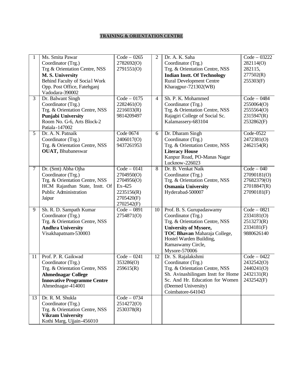### **TRAINING & ORIENTATION CENTRE**

|                | Ms. Smita Pawar<br>Coordinator (Trg.)<br>Trg & Orientation Centre, NSS<br>M.S. University<br>Behind Faculty of Social Work<br>Opp. Post Office, Fatehganj<br>Vadodara-390002 | $Code - 0265$<br>2782692(O)<br>2791551(O)                                                     | 2               | Dr. A. K. Saha<br>Coordinator (Trg.)<br>Trg. & Orientation Centre, NSS<br><b>Indian Instt. Of Technology</b><br><b>Rural Development Centre</b><br>Kharagpur-721302(WB)                                            | Code - 03222<br>282114(O)<br>282115,<br>277502(R)<br>255303(F)           |
|----------------|------------------------------------------------------------------------------------------------------------------------------------------------------------------------------|-----------------------------------------------------------------------------------------------|-----------------|--------------------------------------------------------------------------------------------------------------------------------------------------------------------------------------------------------------------|--------------------------------------------------------------------------|
| $\overline{3}$ | Dr. Balwant Singh<br>Coordinator (Trg.)<br>Trg. & Orientation Centre, NSS<br><b>Punjabi University</b><br>Room No. G-6, Arts Block-2<br>Patiala-147002                       | $Code - 0175$<br>2282461(O)<br>2216033(R)<br>9814209497                                       | $\overline{4}$  | Sh. P. K. Mohammed<br>Coordinator (Trg.)<br>Trg. & Orientation Centre, NSS<br>Rajagiri College of Social Sc.<br>Kalamassery-683104                                                                                 | $Code - 0484$<br>2550064(O)<br>2555564(O)<br>2315947(R)<br>2532862(F)    |
| 5              | Dr. A. N. Patnaik<br>Coordinator (Trg.)<br>Trg. & Orientation Centre, NSS<br><b>OUAT</b> , Bhubaneswar                                                                       | Code 0674<br>2406017(O)<br>9437261953                                                         | 6               | Dr. Dharam Singh<br>Coordinator (Trg.)<br>Trg. & Orientation Centre, NSS<br><b>Literacy House</b><br>Kanpur Road, PO-Manas Nagar<br>Lucknow-226023                                                                 | Code-0522<br>2472381(O)<br>2462154(R)                                    |
| $\tau$         | Dr. (Smt) Abha Ojha<br>Coordinator (Trg.)<br>Trg. & Orientation Centre, NSS<br>HCM Rajasthan State, Instt. Of<br><b>Public Administration</b><br>Jaipur                      | $Code - 0141$<br>2704950(O)<br>2704956(O)<br>Ex-425<br>2235156(R)<br>2705420(F)<br>2702542(F) | $\overline{8}$  | Dr. B. Venkat Naik<br>Coordinator (Trg.)<br>Trg. & Orientation Centre, NSS<br><b>Osmania University</b><br>Hyderabad-500007                                                                                        | $Code - 040$<br>27090181(O)<br>27682379(O)<br>27018847(R)<br>27090181(F) |
| 9              | Sh. R. D. Sampath Kumar<br>Coordinator (Trg.)<br>Trg. & Orientation Centre, NSS<br><b>Andhra University</b><br>Visakhapatnam-530003                                          | $Code - 0891$<br>2754871(O)                                                                   | 10              | Prof. B. S. Gurupadaswamy<br>Coordinator (Trg.)<br>Trg. & Orientation Centre, NSS<br><b>University of Mysore,</b><br>TOC Bhavan Maharaja College,<br>Hostel Warden Building,<br>Ramaswamy Circle,<br>Mysore-570006 | $Code - 0821$<br>2334181(O)<br>2513273(R)<br>2334181(F)<br>9880626140    |
| 11             | Prof. P. R. Gaikwad<br>Coordinator (Trg.)<br>Trg. & Orientation Centre, NSS<br><b>Ahmednagar College</b><br><b>Innovative Programme Centre</b><br>Ahmednagar-414001          | $Code - 0241$<br>353286(O)<br>259615(R)                                                       | $\overline{12}$ | Dr. S. Rajalakshmi<br>Coordinator (Trg.)<br>Trg. & Orientation Centre, NSS<br>Sh. Avinashilingam Instt for Home<br>Sc. And Hr. Education for Women<br>(Deemed University)<br>Coimbatore-641043                     | $Code - 0422$<br>2432542(O)<br>2440241(O)<br>2432131(R)<br>2432542(F)    |
| 13             | Dr. R. M. Shukla<br>Coordinator (Trg.)<br>Trg. & Orientation Centre, NSS<br><b>Vikram University</b><br>Kothi Marg, Ujjain-456010                                            | $Code - 0734$<br>2514272(O)<br>2530378(R)                                                     |                 |                                                                                                                                                                                                                    |                                                                          |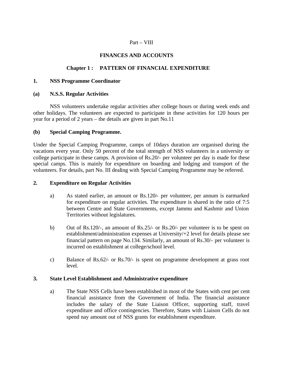### Part – VIII

## **FINANCES AND ACCOUNTS**

## **Chapter 1 : PATTERN OF FINANCIAL EXPENDITURE**

#### **1. NSS Programme Coordinator**

#### **(a) N.S.S. Regular Activities**

NSS volunteers undertake regular activities after college hours or during week ends and other holidays. The volunteers are expected to participate in these activities for 120 hours per year for a period of 2 years – the details are given in part No.11

#### **(b) Special Camping Programme.**

Under the Special Camping Programme, camps of 10days duration are organised during the vacations every year. Only 50 percent of the total strength of NSS volunteers in a university or college participate in these camps. A provision of Rs.20/- per volunteer per day is made for these special camps. This is mainly for expenditure on boarding and lodging and transport of the volunteers. For details, part No. III dealing with Special Camping Programme may be referred.

#### **2. Expenditure on Regular Activities**

- a) As stated earlier, an amount or Rs.120/- per volunteer, per annum is earmarked for expenditure on regular activities. The expenditure is shared in the ratio of 7:5 between Centre and State Governments, except Jammu and Kashmir and Union Territories without legislatures.
- b) Out of Rs.120/-, an amount of Rs.25/- or Rs.20/- per volunteer is to be spent on establishment/administration expenses at University/+2 level for details please see financial pattern on page No.134. Similarly, an amount of Rs.30/- per volunteer is incurred on establishment at college/school level.
- c) Balance of Rs.62/- or Rs.70/- is spent on programme development at grass root level.

#### **3. State Level Establishment and Administrative expenditure**

a) The State NSS Cells have been established in most of the States with cent per cent financial assistance from the Government of India. The financial assistance includes the salary of the State Liaison Officer, supporting staff, travel expenditure and office contingencies. Therefore, States with Liaison Cells do not spend nay amount out of NSS grants for establishment expenditure.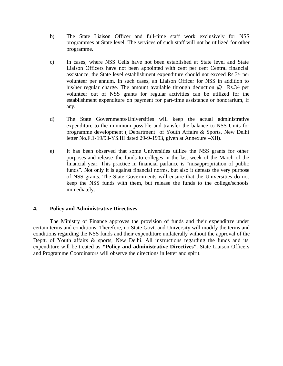- b) The State Liaison Officer and full-time staff work exclusively for NSS programmes at State level. The services of such staff will not be utilized for other programme.
- c) In cases, where NSS Cells have not been established at State level and State Liaison Officers have not been appointed with cent per cent Central financial assistance, the State level establishment expenditure should not exceed Rs.3/- per volunteer per annum. In such cases, an Liaison Officer for NSS in addition to his/her regular charge. The amount available through deduction @ Rs.3/- per volunteer out of NSS grants for regular activities can be utilized for the establishment expenditure on payment for part-time assistance or honorarium, if any.
- d) The State Governments/Universities will keep the actual administrative expenditure to the minimum possible and transfer the balance to NSS Units for programme development ( Department of Youth Affairs & Sports, New Delhi letter No.F.1-19/93-YS.III dated 29-9-1993, given at Annexure –XII).
- e) It has been observed that some Universities utilize the NSS grants for other purposes and release the funds to colleges in the last week of the March of the financial year. This practice in financial parlance is "misappropriation of public funds". Not only it is against financial norms, but also it defeats the very purpose of NSS grants. The State Governments will ensure that the Universities do not keep the NSS funds with them, but release the funds to the college/schools immediately.

## **4. Policy and Administrative Directives**

The Ministry of Finance approves the provision of funds and their expenditure under certain terms and conditions. Therefore, no State Govt. and University will modify the terms and conditions regarding the NSS funds and their expenditure unilaterally without the approval of the Deptt. of Youth affairs & sports, New Delhi. All instructions regarding the funds and its expenditure will be treated as **"Policy and administrative Directives".** State Liaison Officers and Programme Coordinators will observe the directions in letter and spirit.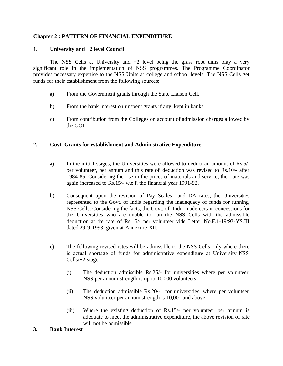## **Chapter 2 : PATTERN OF FINANCIAL EXPENDITURE**

### 1. **University and +2 level Council**

The NSS Cells at University and  $+2$  level being the grass root units play a very significant role in the implementation of NSS programmes. The Programme Coordinator provides necessary expertise to the NSS Units at college and school levels. The NSS Cells get funds for their establishment from the following sources;

- a) From the Government grants through the State Liaison Cell.
- b) From the bank interest on unspent grants if any, kept in banks.
- c) From contribution from the Colleges on account of admission charges allowed by the GOI.

## **2. Govt. Grants for establishment and Administrative Expenditure**

- a) In the initial stages, the Universities were allowed to deduct an amount of Rs.5/ per volunteer, per annum and this rate of deduction was revised to Rs.10/- after 1984-85. Considering the rise in the prices of materials and service, the r ate was again increased to Rs.15/- w.e.f. the financial year 1991-92.
- b) Consequent upon the revision of Pay Scales and DA rates, the Universities represented to the Govt. of India regarding the inadequacy of funds for running NSS Cells. Considering the facts, the Govt. of India made certain concessions for the Universities who are unable to run the NSS Cells with the admissible deduction at the rate of Rs.15/- per volunteer vide Letter No.F.1-19/93-YS.III dated 29-9-1993, given at Annexure-XII.
- c) The following revised rates will be admissible to the NSS Cells only where there is actual shortage of funds for administrative expenditure at University NSS Cells/+2 stage:
	- (i) The deduction admissible Rs.25/- for universities where per volunteer NSS per annum strength is up to 10,000 volunteers.
	- (ii) The deduction admissible Rs.20/- for universities, where per volunteer NSS volunteer per annum strength is 10,001 and above.
	- (iii) Where the existing deduction of Rs.15/- per volunteer per annum is adequate to meet the administrative expenditure, the above revision of rate will not be admissible
- **3. Bank Interest**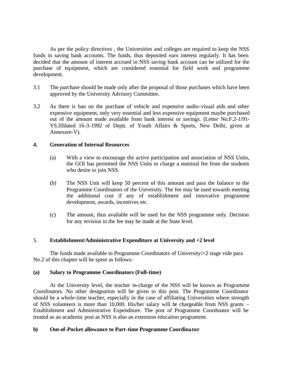As per the policy directives , the Universities and colleges are required to keep the NSS funds in saving bank accounts. The funds, thus deposited earn interest regularly. It has been decided that the amount of interest accrued in NSS saving bank account can be utilized for the purchase of equipment, which are considered essential for field work and programme development.

- 3.1 The purchase should be made only after the proposal of those purchases which have been approved by the University Advisory Committee.
- 3.2 As there is ban on the purchase of vehicle and expensive audio-visual aids and other expensive equipment, only very essential and less expensive equipment maybe purchased out of the amount made available from bank interest or savings. (Letter No.F.2-1/91- YS.IIIdated 16-3-1992 of Deptt. of Youth Affairs & Sports, New Delhi, given at Annexure-V).

## **4. Generation of Internal Resources**

- (a) With a view to encourage the active participation and association of NSS Units, the GOI has permitted the NSS Units to charge a nominal fee from the students who desire to join NSS.
- (b) The NSS Unit will keep 50 percent of this amount and pass the balance to the Programme Coordinators of the University. The fee may be used towards meeting the additional cost if any of establishment and innovative programme development, awards, incentives etc.
- (c) The amount, thus available will be used for the NSS programme only. Decision for any revision in the fee may be made at the State level.

#### 5. **Establishment/Administrative Expenditure at University and +2 level**

The funds made available to Programme Coordinators of University/+2 stage vide para No.2 of this chapter will be spent as follows:

#### **(a) Salary to Programme Coordinators (Full-time)**

At the University level, the teacher in-charge of the NSS will be known as Programme Coordinators. No other designation will be given to this post. The Programme Coordinator should be a whole-time teacher, especially in the case of affiliating Universities where strength of NSS volunteers is more than 10,000. His/her salary will be chargeable from NSS grants – Establishment and Administrative Expenditure. The post of Programme Coordinator will be treated as an academic post as NSS is also an extension education programme.

#### **b) Out-of-Pocket allowance to Part-time Programme Coordinator**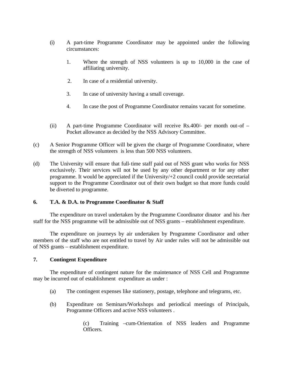- (i) A part-time Programme Coordinator may be appointed under the following circumstances:
	- 1. Where the strength of NSS volunteers is up to 10,000 in the case of affiliating university.
	- 2. In case of a residential university.
	- 3. In case of university having a small coverage.
	- 4. In case the post of Programme Coordinator remains vacant for sometime.
- (ii) A part-time Programme Coordinator will receive Rs.400/- per month out-of Pocket allowance as decided by the NSS Advisory Committee.
- (c) A Senior Programme Officer will be given the charge of Programme Coordinator, where the strength of NSS volunteers is less than 500 NSS volunteers.
- (d) The University will ensure that full-time staff paid out of NSS grant who works for NSS exclusively. Their services will not be used by any other department or for any other programme. It would be appreciated if the University/+2 council could provide secretarial support to the Programme Coordinator out of their own budget so that more funds could be diverted to programme.

## **6. T.A. & D.A. to Programme Coordinator & Staff**

The expenditure on travel undertaken by the Programme Coordinator dinator and his /her staff for the NSS programme will be admissible out of NSS grants – establishment expenditure.

The expenditure on journeys by air undertaken by Programme Coordinator and other members of the staff who are not entitled to travel by Air under rules will not be admissible out of NSS grants – establishment expenditure.

## **7. Contingent Expenditure**

The expenditure of contingent nature for the maintenance of NSS Cell and Programme may be incurred out of establishment expenditure as under :

- (a) The contingent expenses like stationery, postage, telephone and telegrams, etc.
- (b) Expenditure on Seminars/Workshops and periodical meetings of Principals, Programme Officers and active NSS volunteers .

(c) Training –cum-Orientation of NSS leaders and Programme Officers.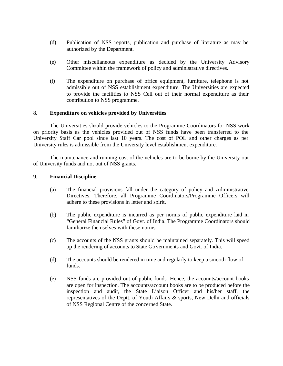- (d) Publication of NSS reports, publication and purchase of literature as may be authorized by the Department.
- (e) Other miscellaneous expenditure as decided by the University Advisory Committee within the framework of policy and administrative directives.
- (f) The expenditure on purchase of office equipment, furniture, telephone is not admissible out of NSS establishment expenditure. The Universities are expected to provide the facilities to NSS Cell out of their normal expenditure as their contribution to NSS programme.

#### 8. **Expenditure on vehicles provided by Universities**

The Universities should provide vehicles to the Programme Coordinators for NSS work on priority basis as the vehicles provided out of NSS funds have been transferred to the University Staff Car pool since last 10 years. The cost of POL and other charges as per University rules is admissible from the University level establishment expenditure.

The maintenance and running cost of the vehicles are to be borne by the University out of University funds and not out of NSS grants.

#### 9. **Financial Discipline**

- (a) The financial provisions fall under the category of policy and Administrative Directives. Therefore, all Programme Coordinators/Programme Officers will adhere to these provisions in letter and spirit.
- (b) The public expenditure is incurred as per norms of public expenditure laid in "General Financial Rules" of Govt. of India. The Programme Coordinators should familiarize themselves with these norms.
- (c) The accounts of the NSS grants should be maintained separately. This will speed up the rendering of accounts to State Governments and Govt. of India.
- (d) The accounts should be rendered in time and regularly to keep a smooth flow of funds.
- (e) NSS funds are provided out of public funds. Hence, the accounts/account books are open for inspection. The accounts/account books are to be produced before the inspection and audit, the State Liaison Officer and his/her staff, the representatives of the Deptt. of Youth Affairs & sports, New Delhi and officials of NSS Regional Centre of the concerned State.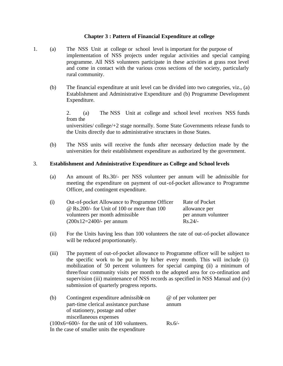#### **Chapter 3 : Pattern of Financial Expenditure at college**

- 1. (a) The NSS Unit at college or school level is important for the purpose of implementation of NSS projects under regular activities and special camping programme. All NSS volunteers participate in these activities at grass root level and come in contact with the various cross sections of the society, particularly rural community.
	- (b) The financial expenditure at unit level can be divided into two categories, viz., (a) Establishment and Administrative Expenditure and (b) Programme Development Expenditure.

2. (a) The NSS Unit at college and school level receives NSS funds from the

universities/ college/+2 stage normally. Some State Governments release funds to the Units directly due to administrative structures in those States.

(b) The NSS units will receive the funds after necessary deduction made by the universities for their establishment expenditure as authorized by the government.

#### 3. **Establishment and Administrative Expenditure as College and School levels**

(a) An amount of Rs.30/- per NSS volunteer per annum will be admissible for meeting the expenditure on payment of out-of-pocket allowance to Programme Officer, and contingent expenditure.

| (i) | Out-of-pocket Allowance to Programme Officer        | Rate of Pocket      |
|-----|-----------------------------------------------------|---------------------|
|     | $\omega$ Rs. 200/- for Unit of 100 or more than 100 | allowance per       |
|     | volunteers per month admissible                     | per annum volunteer |
|     | $(200x12=2400)$ - per annum                         | $Rs.24/-$           |

- (ii) For the Units having less than 100 volunteers the rate of out-of-pocket allowance will be reduced proportionately.
- (iii) The payment of out-of-pocket allowance to Programme officer will be subject to the specific work to be put in by hi/her every month. This will include (i) mobilization of 50 percent volunteers for special camping (ii) a minimum of three/four community visits per month to the adopted area for co-ordination and supervision (iii) maintenance of NSS records as specified in NSS Manual and (iv) submission of quarterly progress reports.

| (b) | Contingent expenditure admissible on           | @ of per volunteer per |
|-----|------------------------------------------------|------------------------|
|     | part-time clerical assistance purchase         | annum                  |
|     | of stationery, postage and other               |                        |
|     | miscellaneous expenses                         |                        |
|     | $(100x6=600/-$ for the unit of 100 volunteers. | $Rs.6/-$               |
|     | In the case of smaller units the expenditure   |                        |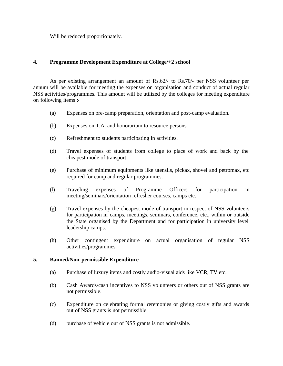Will be reduced proportionately.

### **4. Programme Development Expenditure at College/+2 school**

As per existing arrangement an amount of Rs.62/- to Rs.70/- per NSS volunteer per annum will be available for meeting the expenses on organisation and conduct of actual regular NSS activities/programmes. This amount will be utilized by the colleges for meeting expenditure on following items :-

- (a) Expenses on pre-camp preparation, orientation and post-camp evaluation.
- (b) Expenses on T.A. and honorarium to resource persons.
- (c) Refreshment to students participating in activities.
- (d) Travel expenses of students from college to place of work and back by the cheapest mode of transport.
- (e) Purchase of minimum equipments like utensils, pickax, shovel and petromax, etc required for camp and regular programmes.
- (f) Traveling expenses of Programme Officers for participation in meeting/seminars/orientation refresher courses, camps etc.
- (g) Travel expenses by the cheapest mode of transport in respect of NSS volunteers for participation in camps, meetings, seminars, conference, etc., within or outside the State organised by the Department and for participation in university level leadership camps.
- (h) Other contingent expenditure on actual organisation of regular NSS activities/programmes.

#### **5. Banned/Non-permissible Expenditure**

- (a) Purchase of luxury items and costly audio-visual aids like VCR, TV etc.
- (b) Cash Awards/cash incentives to NSS volunteers or others out of NSS grants are not permissible.
- (c) Expenditure on celebrating formal ceremonies or giving costly gifts and awards out of NSS grants is not permissible.
- (d) purchase of vehicle out of NSS grants is not admissible.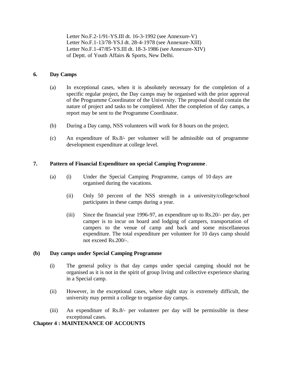Letter No.F.2-1/91-YS.III dt. 16-3-1992 (see Annexure-V) Letter No.F.1-13/78-YS.I dt. 28-4-1978 (see Annexure-XIII) Letter No.F.1-47/85-YS.III dt. 18-3-1986 (see Annexure-XIV) of Deptt. of Youth Affairs & Sports, New Delhi.

## **6. Day Camps**

- (a) In exceptional cases, when it is absolutely necessary for the completion of a specific regular project, the Day camps may be organised with the prior approval of the Programme Coordinator of the University. The proposal should contain the nature of project and tasks to be completed. After the completion of day camps, a report may be sent to the Programme Coordinator.
- (b) During a Day camp, NSS volunteers will work for 8 hours on the project.
- (c) An expenditure of Rs.8/- per volunteer will be admissible out of programme development expenditure at college level.

## **7. Pattern of Financial Expenditure on special Camping Programme** .

- (a) (i) Under the Special Camping Programme, camps of 10 days are organised during the vacations.
	- (ii) Only 50 percent of the NSS strength in a university/college/school participates in these camps during a year.
	- (iii) Since the financial year 1996-97, an expenditure up to Rs.20/- per day, per camper is to incur on board and lodging of campers, transportation of campers to the venue of camp and back and some miscellaneous expenditure. The total expenditure per volunteer for 10 days camp should not exceed Rs.200/-.

## **(b) Day camps under Special Camping Programme**

- (i) The general policy is that day camps under special camping should not be organised as it is not in the spirit of group living and collective experience sharing in a Special camp.
- (ii) However, in the exceptional cases, where night stay is extremely difficult, the university may permit a college to organise day camps.
- (iii) An expenditure of Rs.8/- per volunteer per day will be permissible in these exceptional cases.

## **Chapter 4 : MAINTENANCE OF ACCOUNTS**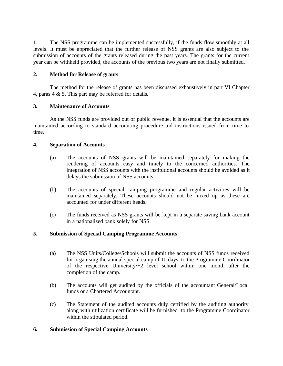1. The NSS programme can be implemented successfully, if the funds flow smoothly at all levels. It must be appreciated that the further release of NSS grants are also subject to the submission of accounts of the grants released during the past years. The grants for the current year can be withheld provided, the accounts of the previous two years are not finally submitted.

## **2. Method for Release of grants**

The method for the release of grants has been discussed exhaustively in part VI Chapter 4, paras 4 & 5. This part may be referred for details.

## **3. Maintenance of Accounts**

As the NSS funds are provided out of public revenue, it is essential that the accounts are maintained according to standard accounting procedure and instructions issued from time to time.

#### **4. Separation of Accounts**

- (a) The accounts of NSS grants will be maintained separately for making the rendering of accounts easy and timely to the concerned authorities. The integration of NSS accounts with the institutional accounts should be avoided as it delays the submission of NSS accounts.
- (b) The accounts of special camping programme and regular activities will be maintained separately. These accounts should not be mixed up as these are accounted for under different heads.
- (c) The funds received as NSS grants will be kept in a separate saving bank account in a nationalized bank solely for NSS.

## **5. Submission of Special Camping Programme Accounts**

- (a) The NSS Units/College/Schools will submit the accounts of NSS funds received for organising the annual special camp of 10 days, to the Programme Coordinator of the respective University/+2 level school within one month after the completion of the camp.
- (b) The accounts will get audited by the officials of the accountant General/Local funds or a Chartered Accountant.
- (c) The Statement of the audited accounts duly certified by the auditing authority along with utilization certificate will be furnished to the Programme Coordinator within the stipulated period.

#### **6. Submission of Special Camping Accounts**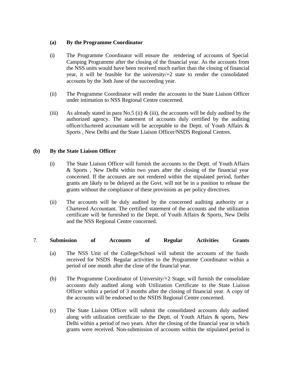## **(a) By the Programme Coordinator**

- (i) The Programme Coordinator will ensure the rendering of accounts of Special Camping Programme after the closing of the financial year. As the accounts from the NSS units would have been received much earlier than the closing of financial year, it will be feasible for the university/+2 state to render the consolidated accounts by the 3oth June of the succeeding year.
- (ii) The Programme Coordinator will render the accounts to the State Liaison Officer under intimation to NSS Regional Centre concerned.
- (iii) As already stated in para No.5 (ii)  $\&$  (iii), the accounts will be duly audited by the authorized agency. The statement of accounts duly certified by the auditing officer/cha rtered accountant will be acceptable to the Deptt. of Youth Affairs  $\&$ Sports , New Delhi and the State Liaison Officer/NSDS Regional Centres.

## **(b) By the State Liaison Officer**

- (i) The State Liaison Officer will furnish the accounts to the Deptt. of Youth Affairs & Sports , New Delhi within two years after the closing of the financial year concerned. If the accounts are not rendered within the stipulated period, further grants are likely to be delayed as the Govt. will not be in a position to release the grants without the compliance of these provisions as per policy directives.
- (ii) The accounts will be duly audited by the concerned auditing authority or a Chartered Accountant. The certified statement of the accounts and the utilization certificate will be furnished to the Deptt. of Youth Affairs & Sports, New Delhi and the NSS Regional Centre concerned.

#### 7. **Submission of Accounts of Regular Activities Grants**

- (a) The NSS Unit of the College/School will submit the accounts of the funds received for NSDS Regular activities to the Programme Coordinator within a period of one month after the close of the financial year.
- (b) The Programme Coordinator of University/+2 Stage, will furnish the consolidate accounts duly audited along with Utilization Certificate to the State Liaison Officer within a period of 3 months after the closing of financial year. A copy of the accounts will be endorsed to the NSDS Regional Centre concerned.
- (c) The State Liaison Officer will submit the consolidated accounts duly audited along with utilization certificate to the Deptt. of Youth Affairs & sports, New Delhi within a period of two years. After the closing of the financial year in which grants were received. Non-submission of accounts within the stipulated period is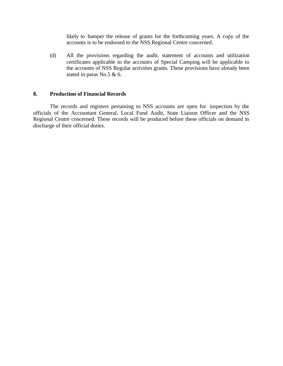likely to hamper the release of grants for the forthcoming years. A copy of the accounts is to be endorsed to the NSS Regional Centre concerned.

(d) All the provisions regarding the audit, statement of accounts and utilization certificates applicable to the accounts of Special Camping will be applicable to the accounts of NSS Regular activities grants. These provisions have already been stated in paras No.5 & 6.

#### **8. Production of Financial Records**

The records and registers pertaining to NSS accounts are open for inspection by the officials of the Accountant General, Local Fund Audit, State Liaison Officer and the NSS Regional Centre concerned. These records will be produced before these officials on demand in discharge of their official duties.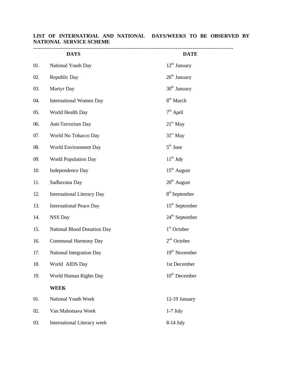|     | <b>DAYS</b>                        | <b>DATE</b>               |
|-----|------------------------------------|---------------------------|
| 01. | National Youth Day                 | $12th$ January            |
| 02. | Republic Day                       | $26th$ January            |
| 03. | Martyr Day                         | $30th$ January            |
| 04. | <b>International Women Day</b>     | $8th$ March               |
| 05. | World Health Day                   | $7th$ April               |
| 06. | Anti-Terrorism Day                 | $21st$ May                |
| 07. | World No Tobacco Day               | $31^{\rm st}$ May         |
| 08. | World Environment Day              | $5th$ June                |
| 09. | <b>World Population Day</b>        | $11^{\text{th}}$ July     |
| 10. | <b>Independence Day</b>            | $15th$ August             |
| 11. | Sadbavana Day                      | $20th$ August             |
| 12. | <b>International Literacy Day</b>  | $8th$ September           |
| 13. | <b>International Peace Day</b>     | $15th$ September          |
| 14. | <b>NSS Day</b>                     | $24th$ September          |
| 15. | National Blood Donation Day        | $1st$ October             |
| 16. | Communal Harmony Day               | $2nd$ October             |
| 17. | National Integration Day           | 19 <sup>th</sup> November |
| 18. | World AIDS Day                     | 1st December              |
| 19. | World Human Rights Day             | $10th$ December           |
|     | <b>WEEK</b>                        |                           |
| 01. | National Youth Week                | 12-19 January             |
| 02. | Van Mahotsava Week                 | $1-7$ July                |
| 03. | <b>International Literacy week</b> | $8-14$ July               |

# **LIST OF INTERNATIOAL AND NATIONAL DAYS/WEEKS TO BE OBSERVED BY NATIONAL SERVICE SCHEME**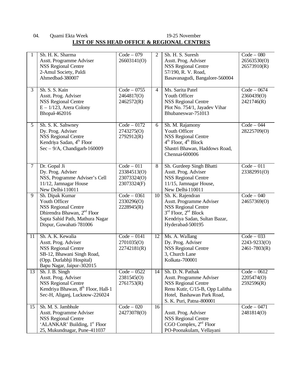# 04. Quami Ekta Week 19-25 November **LIST OF NSS HEAD OFFICE & REGIONAL CENTRES**

| 1               | Sh. H. K. Sharma<br>Asstt. Programme Adviser<br><b>NSS Regional Centre</b><br>2-Amul Society, Paldi<br>Ahmedbad-380007                                                  | $Code - 079$<br>26603141(O)                               | 2              | Sh. H. S. Suresh<br>Asstt. Prog. Adviser<br><b>NSS Regional Centre</b><br>57/190, R. V. Road,<br>Basavanagudi, Bangalore-560004                                         | $Code - 080$<br>26563530(O)<br>26573910(R)       |
|-----------------|-------------------------------------------------------------------------------------------------------------------------------------------------------------------------|-----------------------------------------------------------|----------------|-------------------------------------------------------------------------------------------------------------------------------------------------------------------------|--------------------------------------------------|
| $\overline{3}$  | Sh. S. S. Kain<br>Asstt. Prog. Adviser<br><b>NSS Regional Centre</b><br>$E - 1/123$ , Arera Colony<br>Bhopal-462016                                                     | $Code - 0755$<br>2464817(O)<br>2462572(R)                 | $\overline{4}$ | Ms. Sarita Patel<br>Youth Officer<br><b>NSS Regional Centre</b><br>Plot No. 754/1, Jayadev Vihar<br>Bhubaneswar-751013                                                  | $Code - 0674$<br>2360439(O)<br>2421746(R)        |
| $5\overline{)}$ | Sh. S. K. Sahwney<br>Dy. Prog. Adviser<br><b>NSS Regional Centre</b><br>Kendriya Sadan, 4 <sup>th</sup> Floor<br>$Sec - 9/A$ , Chandigarh-160009                        | $Code - 0172$<br>2743275(O)<br>2792912(R)                 | 6              | Sh. M. Rajamony<br>Youth Officer<br><b>NSS Regional Centre</b><br>$4th$ Floor, $4th$ Block<br>Shastri Bhawan, Haddows Road,<br>Chennai-600006                           | $Code - 044$<br>28225709(O)                      |
| $\overline{7}$  | Dr. Gopal Ji<br>Dy. Prog. Adviser<br>NSS, Programme Adviser's Cell<br>11/12, Jamnagar House<br>New Delhi-110011                                                         | $Code - 011$<br>23384513(O)<br>23073324(O)<br>23073324(F) | $\overline{8}$ | Sh. Gurdeep Singh Bhatti<br>Asstt. Prog. Adviser<br><b>NSS Regional Centre</b><br>11/15, Jamnagar House,<br>New Delhi-110011                                            | $Code - 011$<br>23382991(O)                      |
| $\overline{9}$  | Sh. Dipak Kumar<br>Youth Officer<br><b>NSS Regional Centre</b><br>Dhirendra Bhawan, 2 <sup>nd</sup> Floor<br>Sapta Sahid Path, Mathura Nagar<br>Dispur, Guwahati-781006 | $Code - 0361$<br>2330296(O)<br>2228945(R)                 | 10             | Sh. K. Rajendran<br>Asstt. Programme Adviser<br><b>NSS Regional Centre</b><br>$3rd$ Floor, $2nd$ Block<br>Kendriya Sadan, Sultan Bazar,<br>Hyderabad-500195             | $Code - 040$<br>24657369(O)                      |
| 11              | Sh. A. K. Kewalia<br>Asstt. Prog. Adviser<br><b>NSS Regional Centre</b><br>SB-12, Bhawani Singh Road,<br>(Opp. Durlabhji Hospital)<br>Bapu Nagar, Jaipur-302015         | $Code - 0141$<br>2701035(O)<br>22742181(R)                | 12             | Ms. A. Wallang<br>Dy. Prog. Adviser<br><b>NSS Regional Centre</b><br>3, Church Lane<br>Kolkata-700001                                                                   | $Code - 033$<br>2243-9233(O)<br>$2461 - 7803(R)$ |
| 13              | Sh. J. B. Singh<br>Asstt. Prog. Adviser<br><b>NSS Regional Centre</b><br>Kendriya Bhawan, 8 <sup>th</sup> Floor, Hall-1<br>Sec-H, Aliganj, Lucknow-226024               | $Code - 0522$<br>2381545(O)<br>2761753(R)                 | 14             | Sh. D. N. Pathak<br>Asstt. Programme Adviser<br><b>NSS Regional Centre</b><br>Renu Kutir, C/15-B, Opp Lalitha<br>Hotel, Bashawan Park Road,<br>S. K. Puri, Patna-800001 | $Code - 0612$<br>2205474(O)<br>2592596(R)        |
| 15              | Sh. M. S. Jambhule<br>Asstt. Programme Adviser<br><b>NSS Regional Centre</b><br>'ALANKAR' Building, 1 <sup>st</sup> Floor<br>25, Mukundnagar, Pune-411037               | $Code - 020$<br>24273078(O)                               | 16             | Asstt. Prog. Adviser<br><b>NSS Regional Centre</b><br>CGO Complex, $2nd$ Floor<br>PO-Poonakulam, Vellayani                                                              | $Code - 0471$<br>2481814(O)                      |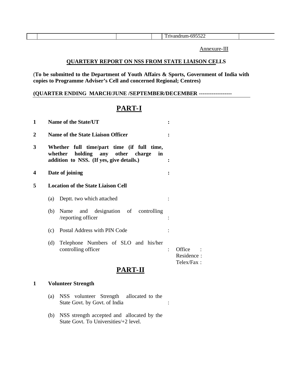Annexure-III

## **QUARTERY REPORT ON NSS FROM STATE LIAISON CELLS**

(**To be submitted to the Department of Youth Affairs & Sports, Government of India with copies to Programme Adviser's Cell and concerned Regional; Centres)**

## **(QUARTER ENDING MARCH/JUNE /SEPTEMBER/DECEMBER ------------------**

# **PART-I**

| 1              | Name of the State/UT                                                                                                                |                |                                    |
|----------------|-------------------------------------------------------------------------------------------------------------------------------------|----------------|------------------------------------|
| $\overline{2}$ | <b>Name of the State Liaison Officer</b>                                                                                            |                |                                    |
| 3              | Whether full time/part time (if full time,<br>holding any other charge<br>whether<br>in<br>addition to NSS. (If yes, give details.) |                |                                    |
| 4              | Date of joining                                                                                                                     |                |                                    |
| 5              | <b>Location of the State Liaison Cell</b>                                                                                           |                |                                    |
|                | Deptt. two which attached<br>(a)                                                                                                    |                |                                    |
|                | and designation of controlling<br>(b)<br>Name<br>/reporting officer                                                                 |                |                                    |
|                | Postal Address with PIN Code<br>(c)                                                                                                 |                |                                    |
|                | Telephone Numbers of SLO and his/her<br>(d)<br>controlling officer                                                                  | $\ddot{\cdot}$ | Office<br>Residence:<br>Telex/Fax: |
|                | PART-II                                                                                                                             |                |                                    |

## **1 Volunteer Strength**

- (a) NSS volunteer Strength allocated to the State Govt. by Govt. of India :
- (b) NSS strength accepted and allocated by the State Govt. To Universities/+2 level.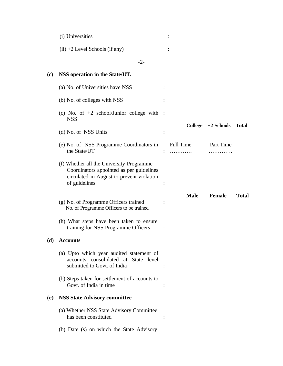|     | (i) Universities                                                                                                                                   |                  |               |              |
|-----|----------------------------------------------------------------------------------------------------------------------------------------------------|------------------|---------------|--------------|
|     | $(ii) +2$ Level Schools (if any)                                                                                                                   |                  |               |              |
|     | $-2-$                                                                                                                                              |                  |               |              |
| (c) | NSS operation in the State/UT.                                                                                                                     |                  |               |              |
|     | (a) No. of Universities have NSS                                                                                                                   |                  |               |              |
|     | (b) No. of colleges with NSS                                                                                                                       |                  |               |              |
|     | (c) No. of $+2$ school/Junior college with :<br><b>NSS</b>                                                                                         |                  |               |              |
|     | (d) No. of NSS Units                                                                                                                               | <b>College</b>   | $+2$ Schools  | <b>Total</b> |
|     | (e) No. of NSS Programme Coordinators in<br>the State/UT                                                                                           | <b>Full Time</b> | Part Time     |              |
|     | (f) Whether all the University Programme<br>Coordinators appointed as per guidelines<br>circulated in August to prevent violation<br>of guidelines |                  |               |              |
|     | (g) No. of Programme Officers trained<br>No. of Programme Officers to be trained                                                                   | <b>Male</b>      | <b>Female</b> | <b>Total</b> |
|     | (h) What steps have been taken to ensure<br>training for NSS Programme Officers                                                                    |                  |               |              |
| (d) | <b>Accounts</b>                                                                                                                                    |                  |               |              |
|     | (a) Upto which year audited statement of<br>accounts consolidated at State level<br>submitted to Govt. of India                                    |                  |               |              |
|     | (b) Steps taken for settlement of accounts to<br>Govt. of India in time                                                                            |                  |               |              |
| (e) | <b>NSS State Advisory committee</b>                                                                                                                |                  |               |              |
|     | (a) Whether NSS State Advisory Committee<br>has been constituted                                                                                   |                  |               |              |
|     | (b) Date (s) on which the State Advisory                                                                                                           |                  |               |              |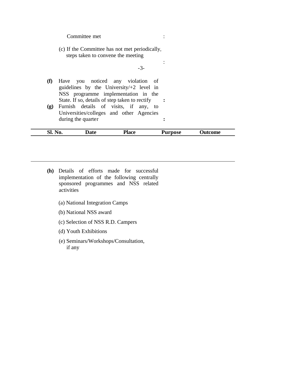#### Committee met :

(c) If the Committee has not met periodically, steps taken to convene the meeting

-3-

:

- **(f)** Have you noticed any violation of guidelines by the University/+2 level in NSS programme implementation in the State. If so, details of step taken to rectify **:**
- **(g)** Furnish details of visits, if any, to Universities/colleges and other Agencies during the quarter **:**

| Sl. No. | Date | <b>Place</b> | Purpose | Jutcome |
|---------|------|--------------|---------|---------|
|         |      |              |         |         |

- **(h)** Details of efforts made for successful implementation of the following centrally sponsored programmes and NSS related activities
	- (a) National Integration Camps
	- (b) National NSS award
	- (c) Selection of NSS R.D. Campers
	- (d) Youth Exhibitions
	- (e) Seminars/Workshops/Consultation, if any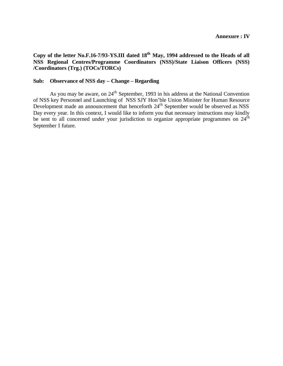**Copy of the letter No.F.16-7/93-YS.III dated 18th May, 1994 addressed to the Heads of all NSS Regional Centres/Programme Coordinators (NSS)/State Liaison Officers (NSS) /Coordinators (Trg.) (TOCs/TORCs)**

#### **Sub: Observance of NSS day – Change – Regarding**

As you may be aware, on 24<sup>th</sup> September, 1993 in his address at the National Convention of NSS key Personnel and Launching of NSS SJY Hon'ble Union Minister for Human Resource Development made an announcement that henceforth 24<sup>th</sup> September would be observed as NSS Day every year. In this context, I would like to inform you that necessary instructions may kindly be sent to all concerned under your jurisdiction to organize appropriate programmes on 24<sup>th</sup> September I future.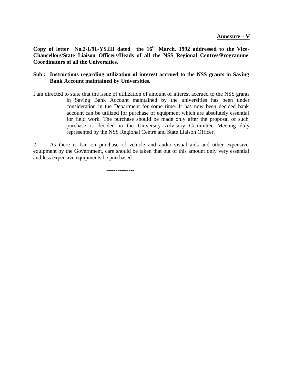**Copy of letter No.2-1/91-YS.III dated the 16th March, 1992 addressed to the Vice-Chancellors/State Liaison Officers/Heads of all the NSS Regional Centres/Programme Coordinators of all the Universities.** 

### **Sub : Instructions regarding utilization of interest accrued to the NSS grants in Saving Bank Account maintained by Universities.**

I am directed to state that the issue of utilization of amount of interest accrued to the NSS grants in Saving Bank Account maintained by the universities has been under consideration in the Department for some time. It has now been decided bank account can be utilized for purchase of equipment which are absolutely essential for field work. The purchase should be made only after the proposal of such purchase is decided in the University Advisory Committee Meeting duly represented by the NSS Regional Centre and State Liaison Officer.

2. As there is ban on purchase of vehicle and audio-visual aids and other expensive equipment by the Government, care should be taken that out of this amount only very essential and less expensive equipments be purchased.

---------------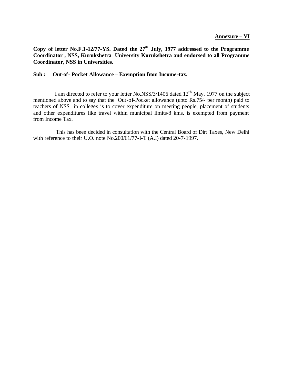### **Copy of letter No.F.1-12/77-YS. Dated the 27th July, 1977 addressed to the Programme Coordinator , NSS, Kurukshetra University Kurukshetra and endorsed to all Programme Coordinator, NSS in Universities.**

#### **Sub : Out-of- Pocket Allowance – Exemption from Income -tax.**

I am directed to refer to your letter No.NSS/3/1406 dated 12<sup>th</sup> May, 1977 on the subject mentioned above and to say that the Out-of-Pocket allowance (upto Rs.75/- per month) paid to teachers of NSS in colleges is to cover expenditure on meeting people, placement of students and other expenditures like travel within municipal limits/8 kms. is exempted from payment from Income Tax.

 This has been decided in consultation with the Central Board of Dirt Taxes, New Delhi with reference to their U.O. note No.200/61/77-I-T (A.I) dated 20-7-1997.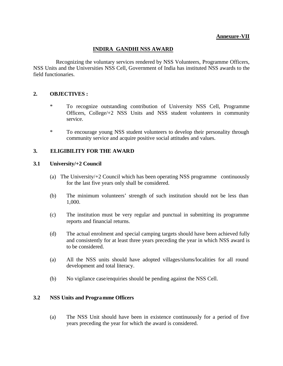### **INDIRA GANDHI NSS AWARD**

 Recognizing the voluntary services rendered by NSS Volunteers, Programme Officers, NSS Units and the Universities NSS Cell, Government of India has instituted NSS awards to the field functionaries.

### **2. OBJECTIVES :**

- \* To recognize outstanding contribution of University NSS Cell, Programme Officers, College/+2 NSS Units and NSS student volunteers in community service.
- \* To encourage young NSS student volunteers to develop their personality through community service and acquire positive social attitudes and values.

### **3. ELIGIBILITY FOR THE AWARD**

#### **3.1 University/+2 Council**

- (a) The University/+2 Council which has been operating NSS programme continuously for the last five years only shall be considered.
- (b) The minimum volunteers' strength of such institution should not be less than 1,000.
- (c) The institution must be very regular and punctual in submitting its programme reports and financial returns.
- (d) The actual enrolment and special camping targets should have been achieved fully and consistently for at least three years preceding the year in which NSS award is to be considered.
- (a) All the NSS units should have adopted villages/slums/localities for all round development and total literacy.
- (b) No vigilance case/enquiries should be pending against the NSS Cell.

### **3.2 NSS Units and Programme Officers**

(a) The NSS Unit should have been in existence continuously for a period of five years preceding the year for which the award is considered.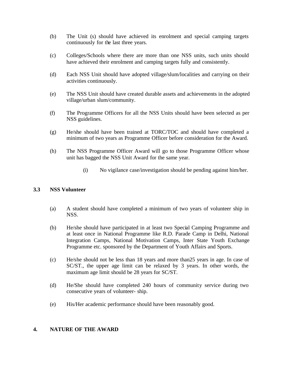- (b) The Unit (s) should have achieved its enrolment and special camping targets continuously for the last three years.
- (c) Colleges/Schools where there are more than one NSS units, such units should have achieved their enrolment and camping targets fully and consistently.
- (d) Each NSS Unit should have adopted village/slum/localities and carrying on their activities continuously.
- (e) The NSS Unit should have created durable assets and achievements in the adopted village/urban slum/community.
- (f) The Programme Officers for all the NSS Units should have been selected as per NSS guidelines.
- (g) He/she should have been trained at TORC/TOC and should have completed a minimum of two years as Programme Officer before consideration for the Award.
- (h) The NSS Programme Officer Award will go to those Programme Officer whose unit has bagged the NSS Unit Award for the same year.
	- (i) No vigilance case/investigation should be pending against him/her.

### **3.3 NSS Volunteer**

- (a) A student should have completed a minimum of two years of volunteer ship in NSS.
- (b) He/she should have participated in at least two Special Camping Programme and at least once in National Programme like R.D. Parade Camp in Delhi, National Integration Camps, National Motivation Camps, Inter State Youth Exchange Programme etc. sponsored by the Department of Youth Affairs and Sports.
- (c) He/she should not be less than 18 years and more than25 years in age. In case of SC/ST., the upper age limit can be relaxed by 3 years. In other words, the maximum age limit should be 28 years for SC/ST.
- (d) He/She should have completed 240 hours of community service during two consecutive years of volunteer- ship.
- (e) His/Her academic performance should have been reasonably good.

### **4. NATURE OF THE AWARD**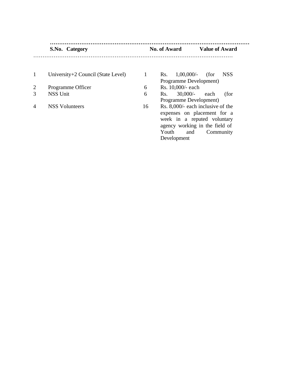#### **……………………………………………………………………………………………… S.No. Category No. of Award Value of Award** ………………………………………………………………………………………………

|                | University+2 Council (State Level) |    | $1,00,000/$ -<br><b>NSS</b><br>Rs.<br>(for |
|----------------|------------------------------------|----|--------------------------------------------|
|                |                                    |    | Programme Development)                     |
| $\overline{2}$ | Programme Officer                  | 6  | Rs. 10,000/- each                          |
| 3              | <b>NSS Unit</b>                    | 6  | $30,000/$ -<br>each<br>(for<br>Rs.         |
|                |                                    |    | Programme Development)                     |
| $\overline{4}$ | <b>NSS Volunteers</b>              | 16 | Rs. 8,000/- each inclusive of the          |
|                |                                    |    | expenses on placement for a                |
|                |                                    |    | week in a reputed voluntary                |
|                |                                    |    | grapeu working in the field of             |

|   | Rs. $1,00,000/$ - (for NSS        |  |
|---|-----------------------------------|--|
|   | Programme Development)            |  |
|   | Rs. 10,000/- each                 |  |
|   | Rs. 30,000/- each (for            |  |
|   | Programme Development)            |  |
| 6 | Rs. 8,000/- each inclusive of the |  |

s. 8,000/- eac expenses on placement for a week in a reputed voluntary agency working in the field of<br>Youth and Community and Community Development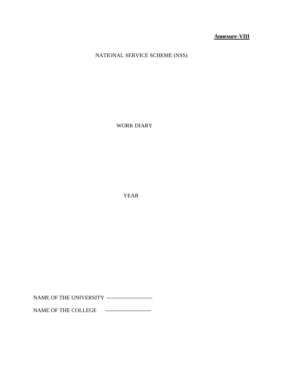**Annexure-VIII**

NATIONAL SERVICE SCHEME (NSS)

WORK DIARY

YEAR

NAME OF THE UNIVERSITY -------------------------

NAME OF THE COLLEGE --------------------------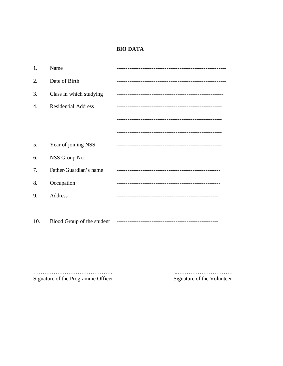# **BIO DATA**

| 1.  | Name                       |  |
|-----|----------------------------|--|
| 2.  | Date of Birth              |  |
| 3.  | Class in which studying    |  |
| 4.  | <b>Residential Address</b> |  |
|     |                            |  |
|     |                            |  |
| 5.  | Year of joining NSS        |  |
| 6.  | NSS Group No.              |  |
| 7.  | Father/Guardian's name     |  |
| 8.  | Occupation                 |  |
| 9.  | Address                    |  |
|     |                            |  |
| 10. | Blood Group of the student |  |

Signature of the Programme Officer

Signature of the Volunteer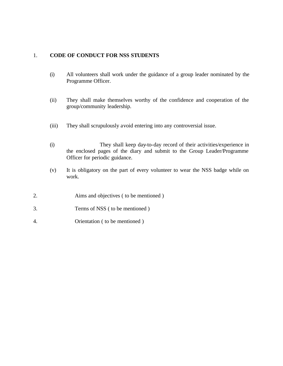### 1. **CODE OF CONDUCT FOR NSS STUDENTS**

- (i) All volunteers shall work under the guidance of a group leader nominated by the Programme Officer.
- (ii) They shall make themselves worthy of the confidence and cooperation of the group/community leadership.
- (iii) They shall scrupulously avoid entering into any controversial issue.
- (i) They shall keep day-to-day record of their activities/experience in the enclosed pages of the diary and submit to the Group Leader/Programme Officer for periodic guidance.
- (v) It is obligatory on the part of every volunteer to wear the NSS badge while on work.
- 2. Aims and objectives ( to be mentioned )
- 3. Terms of NSS ( to be mentioned )
- 4. Orientation ( to be mentioned )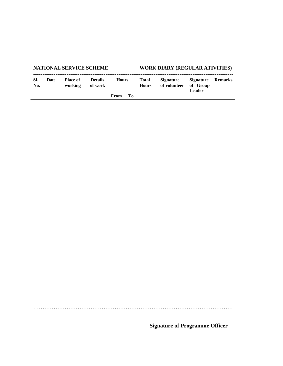| <b>NATIONAL SERVICE SCHEME</b> |      |                            |                           | <b>WORK DIARY (REGULAR ATIVITIES)</b> |      |                       |                                  |                                                |  |
|--------------------------------|------|----------------------------|---------------------------|---------------------------------------|------|-----------------------|----------------------------------|------------------------------------------------|--|
| SI.<br>No.                     | Date | <b>Place of</b><br>working | <b>Details</b><br>of work | <b>Hours</b>                          |      | Total<br><b>Hours</b> | <b>Signature</b><br>of volunteer | Signature Remarks<br>of Group<br><b>Leader</b> |  |
|                                |      |                            |                           | From                                  | - To |                       |                                  |                                                |  |

………………………………………………………………………………………………

**Signature of Programme Officer**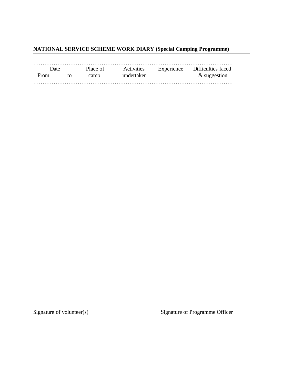# **NATIONAL SERVICE SCHEME WORK DIARY (Special Camping Programme)**

| Date |    |      | Place of Activities | Experience Difficulties faced |
|------|----|------|---------------------|-------------------------------|
| From | to | camp | undertaken          | & suggestion.                 |
|      |    |      |                     |                               |

Signature of volunteer(s) Signature of Programme Officer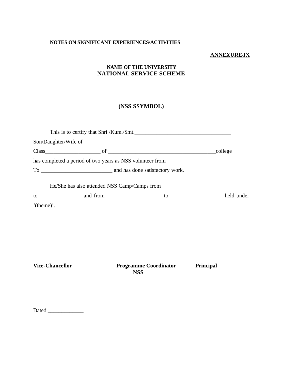#### **NOTES ON SIGNIFICANT EXPERIENCES/ACTIVITIES**

### **ANNEXURE-IX**

### **NAME OF THE UNIVERSITY NATIONAL SERVICE SCHEME**

### **(NSS SSYMBOL)**

|                        | This is to certify that Shri /Kum./Smt.                                          |  |
|------------------------|----------------------------------------------------------------------------------|--|
|                        |                                                                                  |  |
|                        |                                                                                  |  |
|                        | has completed a period of two years as NSS volunteer from ______________________ |  |
|                        |                                                                                  |  |
|                        |                                                                                  |  |
|                        |                                                                                  |  |
| '(theme)'.             |                                                                                  |  |
|                        |                                                                                  |  |
|                        |                                                                                  |  |
|                        |                                                                                  |  |
|                        |                                                                                  |  |
|                        |                                                                                  |  |
| <b>Vice-Chancellor</b> | <b>Programme Coordinator</b><br>Principal<br><b>NSS</b>                          |  |
|                        |                                                                                  |  |
| Dated                  |                                                                                  |  |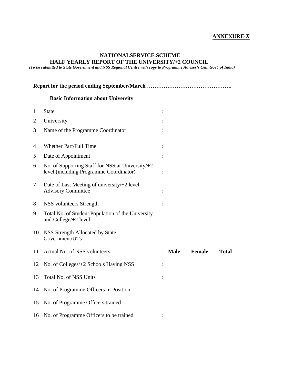#### **ANNEXURE-X**

#### **NATIONALSERVICE SCHEME HALF YEARLY REPORT OF THE UNIVERSITY/+2 COUNCIL**

*(To be submitted to State Government and NSS Regional Centre with copy to Programme Adviser's Cell, Govt. of India)*

**Report for the period ending September/March ………………………………………. Basic Information about University** 1 State : 2 University : 3 Name of the Programme Coordinator : 4 Whether Part/Full Time : 5 Date of Appointment : 6 No. of Supporting Staff for NSS at University/+2 level (including Programme Coordinator) : 7 Date of Last Meeting of university/+2 level Advisory Committee : 8 NSS volunteers Strength : 9 Total No. of Student Population of the University and College/+2 level : 10 NSS Strength Allocated by State Government/UTs : 11 Actual No. of NSS volunteers : **Male Female Total**  12 No. of Colleges/+2 Schools Having NSS : 13 Total No. of NSS Units : 14 No. of Programme Officers in Position : 15 No. of Programme Officers trained : 16 No. of Programme Officers to be trained :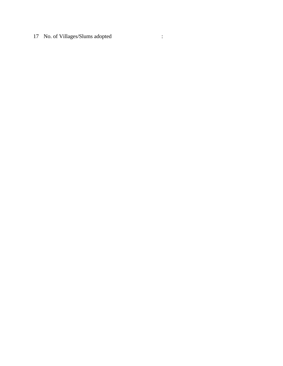No. of Villages/Slums adopted :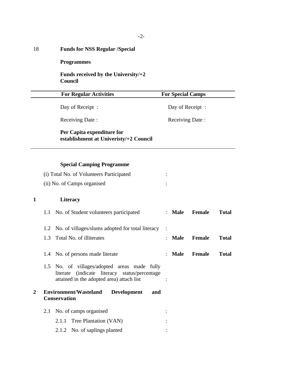# 18 **Funds for NSS Regular /Special**

**Programmes**

**Funds received by the University/+2 Council**

|   |                             | <b>For Regular Activities</b>                                                                                                             |                 | <b>For Special Camps</b> |              |  |  |  |
|---|-----------------------------|-------------------------------------------------------------------------------------------------------------------------------------------|-----------------|--------------------------|--------------|--|--|--|
|   |                             | Day of Receipt:                                                                                                                           | Day of Receipt: |                          |              |  |  |  |
|   |                             | Receiving Date:                                                                                                                           | Receiving Date: |                          |              |  |  |  |
|   |                             | Per Capita expenditure for<br>establishment at Univeristy/+2 Council                                                                      |                 |                          |              |  |  |  |
|   |                             | <b>Special Camping Programme</b>                                                                                                          |                 |                          |              |  |  |  |
|   |                             | (i) Total No. of Volunteers Participated                                                                                                  |                 |                          |              |  |  |  |
|   | (ii) No. of Camps organised |                                                                                                                                           |                 |                          |              |  |  |  |
| 1 |                             | <b>Literacy</b>                                                                                                                           |                 |                          |              |  |  |  |
|   | 1.1                         | No. of Student volunteers participated                                                                                                    | $:$ Male        | <b>Female</b>            | <b>Total</b> |  |  |  |
|   | 1.2                         | No. of villages/slums adopted for total literacy                                                                                          |                 |                          |              |  |  |  |
|   | 1.3                         | Total No. of illiterates                                                                                                                  | <b>Male</b>     | <b>Female</b>            | <b>Total</b> |  |  |  |
|   |                             | 1.4 No. of persons made literate                                                                                                          | <b>Male</b>     | <b>Female</b>            | <b>Total</b> |  |  |  |
|   | 1.5                         | No. of villages/adopted areas made fully<br>(indicate literacy status/percentage<br>literate<br>attained in the adopted area) attach list |                 |                          |              |  |  |  |
| 2 |                             | <b>Environment/Wasteland</b><br><b>Development</b><br>and<br><b>Conservation</b>                                                          |                 |                          |              |  |  |  |
|   | 2.1                         | No. of camps organised                                                                                                                    |                 |                          |              |  |  |  |
|   |                             | Tree Plantation (VAN)<br>2.1.1                                                                                                            |                 |                          |              |  |  |  |
|   |                             | No. of saplings planted<br>2.1.2                                                                                                          |                 |                          |              |  |  |  |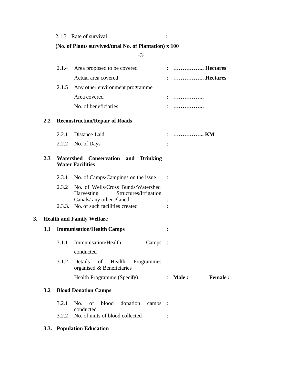### 2.1.3 Rate of survival :

### **(No. of Plants survived/total No. of Plantation) x 100**

-3-

|    |                  | 2.1.4 | Area proposed to be covered                                                                                 | :  Hectares                    |
|----|------------------|-------|-------------------------------------------------------------------------------------------------------------|--------------------------------|
|    |                  |       | Actual area covered                                                                                         | :  Hectares                    |
|    |                  |       | 2.1.5 Any other environment programme                                                                       |                                |
|    |                  |       | Area covered                                                                                                |                                |
|    |                  |       | No. of beneficiaries                                                                                        |                                |
|    | $2.2\phantom{0}$ |       | <b>Reconstruction/Repair of Roads</b>                                                                       |                                |
|    |                  |       | 2.2.1 Distance Laid                                                                                         | :  KM                          |
|    |                  |       | 2.2.2 No. of Days                                                                                           |                                |
|    | 2.3              |       | Watershed Conservation and Drinking<br><b>Water Facilities</b>                                              |                                |
|    |                  |       | 2.3.1 No. of Camps/Campings on the issue                                                                    |                                |
|    |                  |       | 2.3.2 No. of Wells/Cross Bunds/Watershed<br>Harvesting<br>Structures/Irrigation<br>Canals/ any other Planed |                                |
|    |                  |       | 2.3.3. No. of such facilities created                                                                       |                                |
| 3. |                  |       | <b>Health and Family Welfare</b>                                                                            |                                |
|    | 3.1              |       | <b>Immunisation/Health Camps</b>                                                                            |                                |
|    |                  | 3.1.1 | Immunisation/Health<br>Camps :<br>conducted                                                                 |                                |
|    |                  | 3.1.2 | Details<br>of<br>Health<br>Programmes<br>organised & Beneficiaries                                          |                                |
|    |                  |       | Health Programme (Specify)                                                                                  | $:$ Male $:$<br><b>Female:</b> |
|    | 3.2              |       | <b>Blood Donation Camps</b>                                                                                 |                                |
|    |                  | 3.2.1 | blood<br>donation<br>No.<br>of<br>camps :                                                                   |                                |
|    |                  |       | conducted<br>3.2.2 No. of units of blood collected                                                          |                                |
|    |                  |       |                                                                                                             |                                |

### **3.3. Population Education**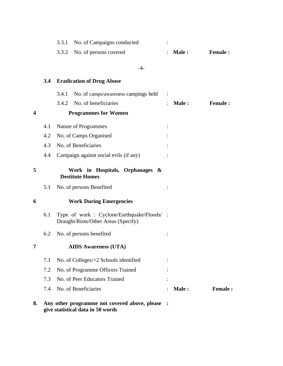|                         |     | 3.3.1 | No. of Campaigns conducted                                                       |       |                |
|-------------------------|-----|-------|----------------------------------------------------------------------------------|-------|----------------|
|                         |     | 3.3.2 | No. of persons covered                                                           | Male: | <b>Female:</b> |
|                         |     |       | $-4-$                                                                            |       |                |
|                         | 3.4 |       | <b>Eradication of Drug Abuse</b>                                                 |       |                |
|                         |     | 3.4.1 | No. of camps/awareness campings held                                             |       |                |
|                         |     | 3.4.2 | No. of beneficiaries                                                             | Male: | <b>Female:</b> |
| $\overline{\mathbf{4}}$ |     |       | <b>Programmes for Women</b>                                                      |       |                |
|                         | 4.1 |       | Nature of Programmes                                                             |       |                |
|                         | 4.2 |       | No. of Camps Organised                                                           |       |                |
|                         | 4.3 |       | No. of Beneficiaries                                                             |       |                |
|                         | 4.4 |       | Campaign against social evils (if any)                                           |       |                |
| 5                       |     |       | Work in Hospitals, Orphanages &<br><b>Destitute Homes</b>                        |       |                |
|                         | 5.1 |       | No. of persons Benefited                                                         |       |                |
| 6                       |     |       | <b>Work During Emergencies</b>                                                   |       |                |
|                         | 6.1 |       | Type of work: Cyclone/Earthquake/Floods/:<br>Draught/Riots/Other Areas (Specify) |       |                |
|                         | 6.2 |       | No. of persons benefited                                                         |       |                |
|                         |     |       | <b>AIDS Awareness (UTA)</b>                                                      |       |                |
|                         | 7.1 |       | No. of Colleges/+2 Schools identified                                            |       |                |
|                         | 7.2 |       | No. of Programme Officers Trained                                                |       |                |
|                         | 7.3 |       | No. of Peer Educators Trained                                                    |       |                |
|                         | 7.4 |       | No. of Beneficiaries                                                             | Male: | <b>Female:</b> |
| 8.                      |     |       | Any other programme not covered above, please                                    |       |                |

**give statistical data in 50 words**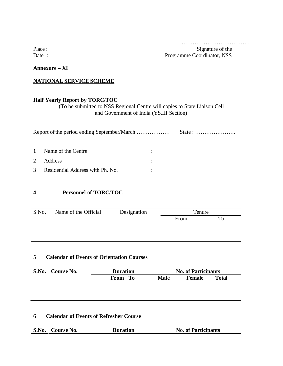…………………………………………

Place : Signature of the Signature of the Signature of the Signature of the Signature of the Signature of the Signature of the Signature of the Signature of the Signature of the Signature of the Signature of the Signature Date : Programme Coordinator, NSS

**Annexure – XI**

### **NATIONAL SERVICE SCHEME**

### **Half Yearly Report by TORC/TOC**

(To be submitted to NSS Regional Centre will copies to State Liaison Cell and Government of India (YS.III Section)

| $\mathbf{1}$  | Name of the Centre               |  |  |
|---------------|----------------------------------|--|--|
| 2             | <b>Address</b>                   |  |  |
| $\mathcal{R}$ | Residential Address with Ph. No. |  |  |

### **4 Personnel of TORC/TOC**

| S.No. | Name of the Official | Designation |      | enure |  |  |
|-------|----------------------|-------------|------|-------|--|--|
|       |                      |             | From |       |  |  |

### 5 **Calendar of Events of Orientation Courses**

| S.No. | Course No. | <b>Duration</b> | <b>No. of Participants</b> |                        |  |
|-------|------------|-----------------|----------------------------|------------------------|--|
|       |            | From<br>Tо      | Male                       | Total<br><b>Female</b> |  |

### 6 **Calendar of Events of Refresher Course**

| S.No. | <b>Course No.</b> | <b>Duration</b> | <b>No. of Participants</b> |
|-------|-------------------|-----------------|----------------------------|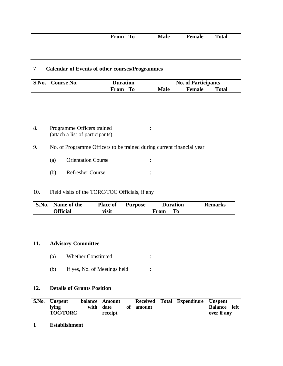|  |  | From | m<br>πu<br>__ | <b>Male</b> | nar<br>------- | otal |
|--|--|------|---------------|-------------|----------------|------|
|--|--|------|---------------|-------------|----------------|------|

### 7 **Calendar of Events of other courses/Programmes**

| S.No. | <b>Course No.</b> | <b>Duration</b> |             | <b>No. of Participants</b> |              |  |  |
|-------|-------------------|-----------------|-------------|----------------------------|--------------|--|--|
|       |                   | To<br>From      | <b>Male</b> | <b>Female</b>              | <b>Total</b> |  |  |

- 8. Programme Officers trained : (attach a list of participants)
- 9. No. of Programme Officers to be trained during current financial year
	- (a) Orientation Course :
	- (b) Refresher Course :

### 10. Field visits of the TORC/TOC Officials, if any

| S.No. Name of the | <b>Place of</b> | <b>Purpose</b> | <b>Duration</b> | <b>Remarks</b> |
|-------------------|-----------------|----------------|-----------------|----------------|
| <b>Official</b>   | visit           |                | To<br>From      |                |

### **11. Advisory Committee**

- (a) Whether Constituted :
- (b) If yes, No. of Meetings held :

### **12. Details of Grants Position**

| S.No. | <b>Unspent</b>  | balance Amount |           | Received Total Expenditure Unspent |                |      |
|-------|-----------------|----------------|-----------|------------------------------------|----------------|------|
|       | <b>lying</b>    | with date      | of amount |                                    | <b>Balance</b> | left |
|       | <b>TOC/TORC</b> | receipt        |           |                                    | over if any    |      |

#### **1 Establishment**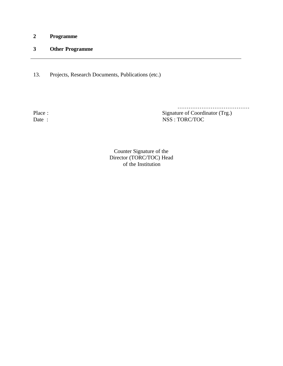**2 Programme**

### **3 Other Programme**

13. Projects, Research Documents, Publications (etc.)

………………………………………… Place :<br>
Date :<br>  $\qquad \qquad$  Signature of Coordinator (Trg.)<br>  $\qquad \qquad$  NSS : TORC/TOC  $NSS : TORC/TOC$ 

> Counter Signature of the Director (TORC/TOC) Head of the Institution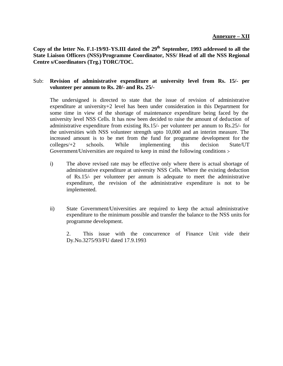Copy of the letter No. F.1-19/93-YS.III dated the 29<sup>th</sup> September, 1993 addressed to all the **State Liaison Officers (NSS)/Programme Coordinator, NSS/ Head of all the NSS Regional Centre s/Coordinators (Trg.) TORC/TOC.**

### Sub: **Revision of administrative expenditure at university level from Rs. 15/- per volunteer per annum to Rs. 20/- and Rs. 25/-**

The undersigned is directed to state that the issue of revision of administrative expenditure at university+2 level has been under consideration in this Department for some time in view of the shortage of maintenance expenditure being faced by the university level NSS Cells. It has now been decided to raise the amount of deduction of administrative expenditure from existing Rs.15/- per volunteer per annum to Rs.25/- for the universities with NSS volunteer strength upto 10,000 and an interim measure. The increased amount is to be met from the fund for programme development for the colleges/+2 schools. While implementing this decision State/UT Government/Universities are required to keep in mind the following conditions :-

- i) The above revised rate may be effective only where there is actual shortage of administrative expenditure at university NSS Cells. Where the existing deduction of Rs.15/- per volunteer per annum is adequate to meet the administrative expenditure, the revision of the administrative expenditure is not to be implemented.
- ii) State Government/Universities are required to keep the actual administrative expenditure to the minimum possible and transfer the balance to the NSS units for programme development.

2. This issue with the concurrence of Finance Unit vide their Dy.No.3275/93/FU dated 17.9.1993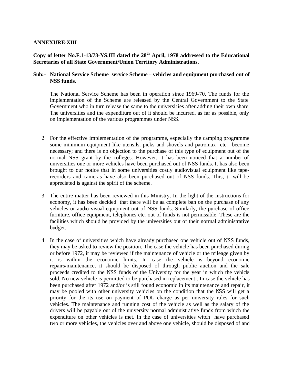### **ANNEXURE-XIII**

**Copy of letter No.F.1-13/78-YS.III dated the 28th April, 1978 addressed to the Educational Secretaries of all State Government/Union Territory Administrations.**

### **Sub:- National Service Scheme service Scheme – vehicles and equipment purchased out of NSS funds.**

The National Service Scheme has been in operation since 1969-70. The funds for the implementation of the Scheme are released by the Central Government to the State Government who in turn release the same to the universities after adding their own share. The universities and the expenditure out of it should be incurred, as far as possible, only on implementation of the various programmes under NSS.

- 2. For the effective implementation of the programme, especially the camping programme some minimum equipment like utensils, picks and shovels and patromax etc. become necessary; and there is no objection to the purchase of this type of equipment out of the normal NSS grant by the colleges. However, it has been noticed that a number of universities one or more vehicles have been purchased out of NSS funds. It has also been brought to our notice that in some universities costly audiovisual equipment like taperecorders and cameras have also been purchased out of NSS funds. This, it will be appreciated is against the spirit of the scheme.
- 3. The entire matter has been reviewed in this Ministry. In the light of the instructions for economy, it has been decided that there will be aa complete ban on the purchase of any vehicles or audio-visual equipment out of NSS funds. Similarly, the purchase of office furniture, office equipment, telephones etc. out of funds is not permissible. These are the facilities which should be provided by the universities out of their normal administrative budget.
- 4. In the case of universities which have already purchased one vehicle out of NSS funds, they may be asked to review the position. The case the vehicle has been purchased during or before 1972, it may be reviewed if the maintenance of vehicle or the mileage given by it is within the economic limits. In case the vehicle is beyond economic repairs/maintenance, it should be disposed of through public auction and the sale proceeds credited to the NSS funds of the University for the year in which the vehicle sold. No new vehicle is permitted to be purchased in replacement . In case the vehicle has been purchased after 1972 and/or is still found economic in its maintenance and repair, it may be pooled with other university vehicles on the condition that the NSS will get a priority for the its use on payment of POL charge as per university rules for such vehicles. The maintenance and running cost of the vehicle as well as the salary of the drivers will be payable out of the university normal administrative funds from which the expenditure on other vehicles is met. In the case of universities witch have purchased two or more vehicles, the vehicles over and above one vehicle, should be disposed of and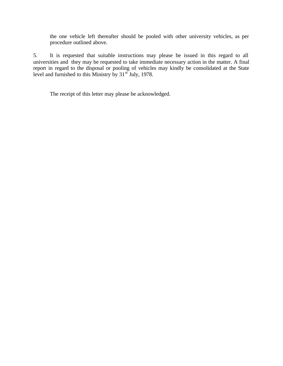the one vehicle left thereafter should be pooled with other university vehicles, as per procedure outlined above.

5. It is requested that suitable instructions may please be issued in this regard to all universities and they may be requested to take immediate necessary action in the matter. A final report in regard to the disposal or pooling of vehicles may kindly be consolidated at the State level and furnished to this Ministry by  $31<sup>st</sup>$  July, 1978.

The receipt of this letter may please be acknowledged.